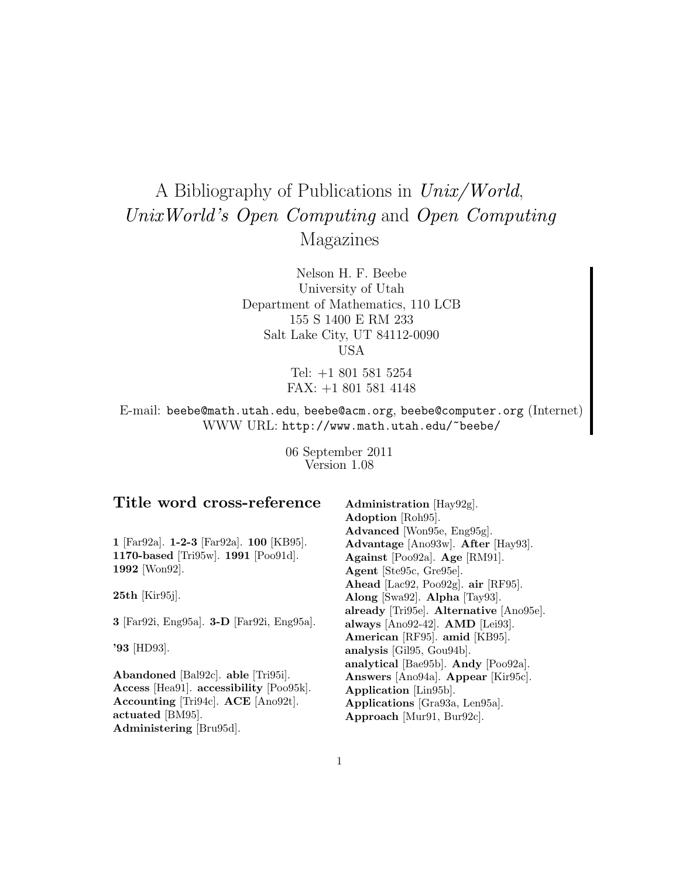# A Bibliography of Publications in Unix/World, UnixWorld's Open Computing and Open Computing Magazines

Nelson H. F. Beebe University of Utah Department of Mathematics, 110 LCB 155 S 1400 E RM 233 Salt Lake City, UT 84112-0090 USA

> Tel: +1 801 581 5254 FAX: +1 801 581 4148

E-mail: beebe@math.utah.edu, beebe@acm.org, beebe@computer.org (Internet) WWW URL: http://www.math.utah.edu/~beebe/

> 06 September 2011 Version 1.08

## **Title word cross-reference**

**1** [Far92a]. **1-2-3** [Far92a]. **100** [KB95]. **1170-based** [Tri95w]. **1991** [Poo91d]. **1992** [Won92].

**25th** [Kir95j].

**3** [Far92i, Eng95a]. **3-D** [Far92i, Eng95a].

**'93** [HD93].

**Abandoned** [Bal92c]. **able** [Tri95i]. **Access** [Hea91]. **accessibility** [Poo95k]. **Accounting** [Tri94c]. **ACE** [Ano92t]. **actuated** [BM95]. **Administering** [Bru95d].

**Administration** [Hay92g]. **Adoption** [Roh95]. **Advanced** [Won95e, Eng95g]. **Advantage** [Ano93w]. **After** [Hay93]. **Against** [Poo92a]. **Age** [RM91]. **Agent** [Ste95c, Gre95e]. **Ahead** [Lac92, Poo92g]. **air** [RF95]. **Along** [Swa92]. **Alpha** [Tay93]. **already** [Tri95e]. **Alternative** [Ano95e]. **always** [Ano92-42]. **AMD** [Lei93]. **American** [RF95]. **amid** [KB95]. **analysis** [Gil95, Gou94b]. **analytical** [Bae95b]. **Andy** [Poo92a]. **Answers** [Ano94a]. **Appear** [Kir95c]. **Application** [Lin95b]. **Applications** [Gra93a, Len95a]. **Approach** [Mur91, Bur92c].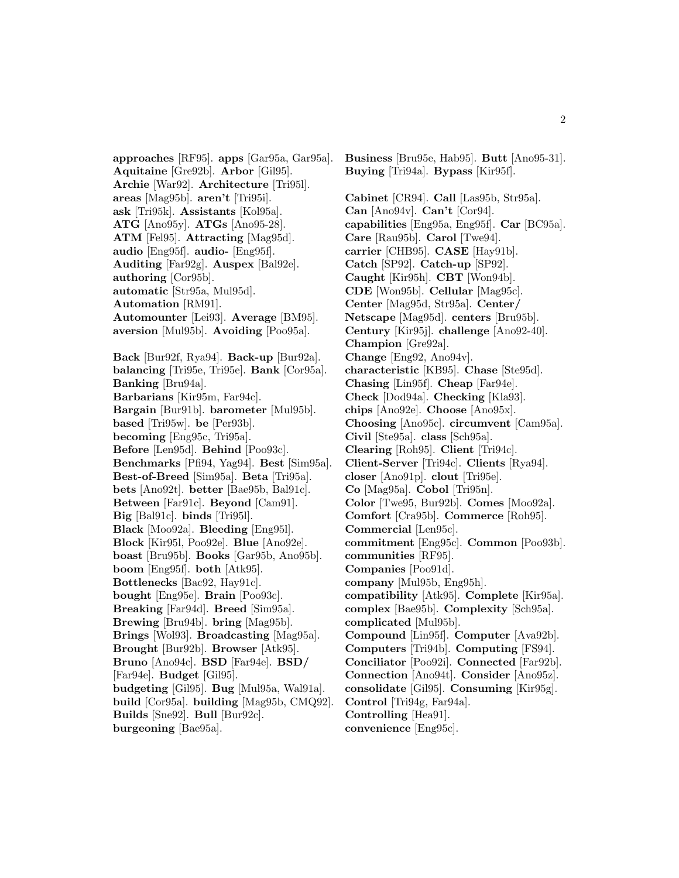**approaches** [RF95]. **apps** [Gar95a, Gar95a]. **Aquitaine** [Gre92b]. **Arbor** [Gil95]. **Archie** [War92]. **Architecture** [Tri95l]. **areas** [Mag95b]. **aren't** [Tri95i]. **ask** [Tri95k]. **Assistants** [Kol95a]. **ATG** [Ano95y]. **ATGs** [Ano95-28]. **ATM** [Fel95]. **Attracting** [Mag95d]. **audio** [Eng95f]. **audio-** [Eng95f]. **Auditing** [Far92g]. **Auspex** [Bal92e]. **authoring** [Cor95b]. **automatic** [Str95a, Mul95d]. **Automation** [RM91]. **Automounter** [Lei93]. **Average** [BM95]. **aversion** [Mul95b]. **Avoiding** [Poo95a]. **Back** [Bur92f, Rya94]. **Back-up** [Bur92a]. **balancing** [Tri95e, Tri95e]. **Bank** [Cor95a]. **Banking** [Bru94a]. **Barbarians** [Kir95m, Far94c]. **Bargain** [Bur91b]. **barometer** [Mul95b]. **based** [Tri95w]. **be** [Per93b]. **becoming** [Eng95c, Tri95a]. **Before** [Len95d]. **Behind** [Poo93c]. **Benchmarks** [Pfi94, Yag94]. **Best** [Sim95a]. **Best-of-Breed** [Sim95a]. **Beta** [Tri95a]. **bets** [Ano92t]. **better** [Bae95b, Bal91c]. **Between** [Far91c]. **Beyond** [Cam91]. **Big** [Bal91c]. **binds** [Tri95l]. **Black** [Moo92a]. **Bleeding** [Eng95l]. **Block** [Kir95l, Poo92e]. **Blue** [Ano92e]. **boast** [Bru95b]. **Books** [Gar95b, Ano95b]. **boom** [Eng95f]. **both** [Atk95]. **Bottlenecks** [Bac92, Hay91c]. **bought** [Eng95e]. **Brain** [Poo93c]. **Breaking** [Far94d]. **Breed** [Sim95a]. **Brewing** [Bru94b]. **bring** [Mag95b]. **Brings** [Wol93]. **Broadcasting** [Mag95a]. **Brought** [Bur92b]. **Browser** [Atk95]. **Bruno** [Ano94c]. **BSD** [Far94e]. **BSD/** [Far94e]. **Budget** [Gil95]. **budgeting** [Gil95]. **Bug** [Mul95a, Wal91a]. **build** [Cor95a]. **building** [Mag95b, CMQ92]. **Builds** [Sne92]. **Bull** [Bur92c]. **burgeoning** [Bae95a].

**Buying** [Tri94a]. **Bypass** [Kir95f]. **Cabinet** [CR94]. **Call** [Las95b, Str95a]. **Can** [Ano94v]. **Can't** [Cor94]. **capabilities** [Eng95a, Eng95f]. **Car** [BC95a]. **Care** [Rau95b]. **Carol** [Twe94]. **carrier** [CHB95]. **CASE** [Hay91b]. **Catch** [SP92]. **Catch-up** [SP92]. **Caught** [Kir95h]. **CBT** [Won94b]. **CDE** [Won95b]. **Cellular** [Mag95c]. **Center** [Mag95d, Str95a]. **Center/ Netscape** [Mag95d]. **centers** [Bru95b]. **Century** [Kir95j]. **challenge** [Ano92-40]. **Champion** [Gre92a]. **Change** [Eng92, Ano94v]. **characteristic** [KB95]. **Chase** [Ste95d]. **Chasing** [Lin95f]. **Cheap** [Far94e]. **Check** [Dod94a]. **Checking** [Kla93]. **chips** [Ano92e]. **Choose** [Ano95x]. **Choosing** [Ano95c]. **circumvent** [Cam95a]. **Civil** [Ste95a]. **class** [Sch95a]. **Clearing** [Roh95]. **Client** [Tri94c]. **Client-Server** [Tri94c]. **Clients** [Rya94]. **closer** [Ano91p]. **clout** [Tri95e]. **Co** [Mag95a]. **Cobol** [Tri95n]. **Color** [Twe95, Bur92b]. **Comes** [Moo92a]. **Comfort** [Cra95b]. **Commerce** [Roh95]. **Commercial** [Len95c]. **commitment** [Eng95c]. **Common** [Poo93b]. **communities** [RF95]. **Companies** [Poo91d]. **company** [Mul95b, Eng95h]. **compatibility** [Atk95]. **Complete** [Kir95a]. **complex** [Bae95b]. **Complexity** [Sch95a]. **complicated** [Mul95b]. **Compound** [Lin95f]. **Computer** [Ava92b]. **Computers** [Tri94b]. **Computing** [FS94]. **Conciliator** [Poo92i]. **Connected** [Far92b]. **Connection** [Ano94t]. **Consider** [Ano95z]. **consolidate** [Gil95]. **Consuming** [Kir95g]. **Control** [Tri94g, Far94a]. **Controlling** [Hea91]. **convenience** [Eng95c].

**Business** [Bru95e, Hab95]. **Butt** [Ano95-31].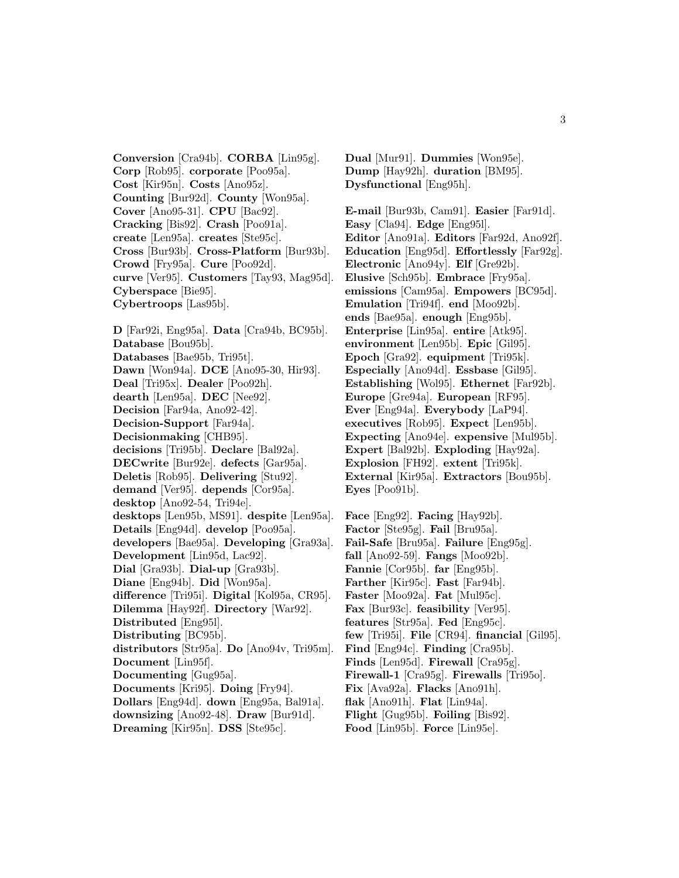**Conversion** [Cra94b]. **CORBA** [Lin95g]. **Corp** [Rob95]. **corporate** [Poo95a]. **Cost** [Kir95n]. **Costs** [Ano95z]. **Counting** [Bur92d]. **County** [Won95a]. **Cover** [Ano95-31]. **CPU** [Bac92]. **Cracking** [Bis92]. **Crash** [Poo91a]. **create** [Len95a]. **creates** [Ste95c]. **Cross** [Bur93b]. **Cross-Platform** [Bur93b]. **Crowd** [Fry95a]. **Cure** [Poo92d]. **curve** [Ver95]. **Customers** [Tay93, Mag95d]. **Cyberspace** [Bie95]. **Cybertroops** [Las95b].

**D** [Far92i, Eng95a]. **Data** [Cra94b, BC95b]. **Database** [Bou95b]. **Databases** [Bae95b, Tri95t]. **Dawn** [Won94a]. **DCE** [Ano95-30, Hir93]. **Deal** [Tri95x]. **Dealer** [Poo92h]. **dearth** [Len95a]. **DEC** [Nee92]. **Decision** [Far94a, Ano92-42]. **Decision-Support** [Far94a]. **Decisionmaking** [CHB95]. **decisions** [Tri95b]. **Declare** [Bal92a]. **DECwrite** [Bur92e]. **defects** [Gar95a]. **Deletis** [Rob95]. **Delivering** [Stu92]. **demand** [Ver95]. **depends** [Cor95a]. **desktop** [Ano92-54, Tri94e]. **desktops** [Len95b, MS91]. **despite** [Len95a]. **Details** [Eng94d]. **develop** [Poo95a]. **developers** [Bae95a]. **Developing** [Gra93a]. **Development** [Lin95d, Lac92]. **Dial** [Gra93b]. **Dial-up** [Gra93b]. **Diane** [Eng94b]. **Did** [Won95a]. **difference** [Tri95i]. **Digital** [Kol95a, CR95]. **Dilemma** [Hay92f]. **Directory** [War92]. **Distributed** [Eng95l]. **Distributing** [BC95b]. **distributors** [Str95a]. **Do** [Ano94v, Tri95m]. **Document** [Lin95f]. **Documenting** [Gug95a]. **Documents** [Kri95]. **Doing** [Fry94]. **Dollars** [Eng94d]. **down** [Eng95a, Bal91a]. **downsizing** [Ano92-48]. **Draw** [Bur91d].

**Dreaming** [Kir95n]. **DSS** [Ste95c].

**Dual** [Mur91]. **Dummies** [Won95e]. **Dump** [Hay92h]. **duration** [BM95]. **Dysfunctional** [Eng95h].

**E-mail** [Bur93b, Cam91]. **Easier** [Far91d]. **Easy** [Cla94]. **Edge** [Eng95l]. **Editor** [Ano91a]. **Editors** [Far92d, Ano92f]. **Education** [Eng95d]. **Effortlessly** [Far92g]. **Electronic** [Ano94y]. **Elf** [Gre92b]. **Elusive** [Sch95b]. **Embrace** [Fry95a]. **emissions** [Cam95a]. **Empowers** [BC95d]. **Emulation** [Tri94f]. **end** [Moo92b]. **ends** [Bae95a]. **enough** [Eng95b]. **Enterprise** [Lin95a]. **entire** [Atk95]. **environment** [Len95b]. **Epic** [Gil95]. **Epoch** [Gra92]. **equipment** [Tri95k]. **Especially** [Ano94d]. **Essbase** [Gil95]. **Establishing** [Wol95]. **Ethernet** [Far92b]. **Europe** [Gre94a]. **European** [RF95]. **Ever** [Eng94a]. **Everybody** [LaP94]. **executives** [Rob95]. **Expect** [Len95b]. **Expecting** [Ano94e]. **expensive** [Mul95b]. **Expert** [Bal92b]. **Exploding** [Hay92a]. **Explosion** [FH92]. **extent** [Tri95k]. **External** [Kir95a]. **Extractors** [Bou95b]. **Eyes** [Poo91b].

**Face** [Eng92]. **Facing** [Hay92b]. **Factor** [Ste95g]. **Fail** [Bru95a]. **Fail-Safe** [Bru95a]. **Failure** [Eng95g]. **fall** [Ano92-59]. **Fangs** [Moo92b]. **Fannie** [Cor95b]. **far** [Eng95b]. **Farther** [Kir95c]. **Fast** [Far94b]. **Faster** [Moo92a]. **Fat** [Mul95c]. **Fax** [Bur93c]. **feasibility** [Ver95]. **features** [Str95a]. **Fed** [Eng95c]. **few** [Tri95i]. **File** [CR94]. **financial** [Gil95]. **Find** [Eng94c]. **Finding** [Cra95b]. **Finds** [Len95d]. **Firewall** [Cra95g]. **Firewall-1** [Cra95g]. **Firewalls** [Tri95o]. **Fix** [Ava92a]. **Flacks** [Ano91h]. **flak** [Ano91h]. **Flat** [Lin94a]. **Flight** [Gug95b]. **Foiling** [Bis92].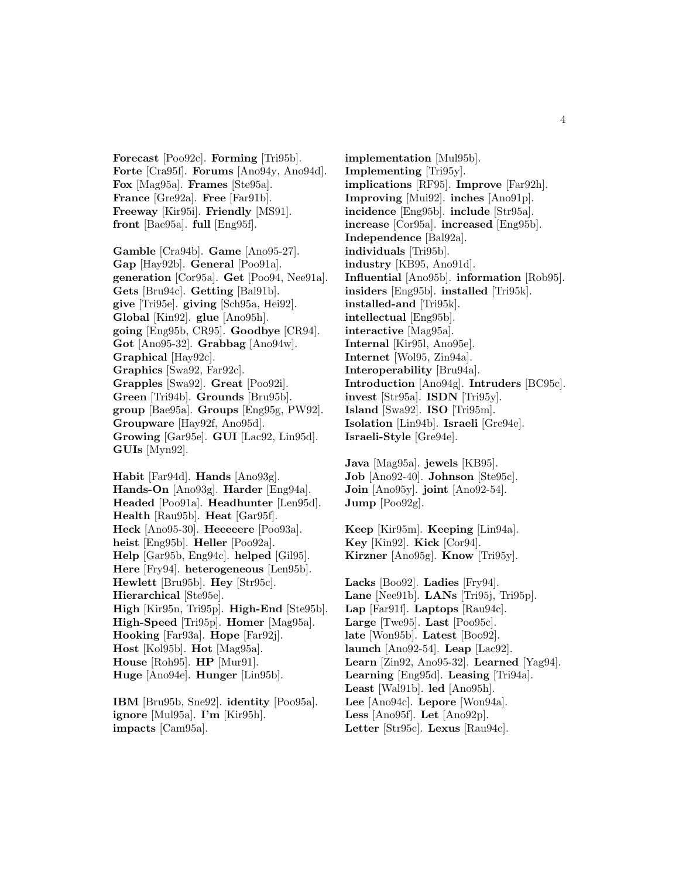**Forecast** [Poo92c]. **Forming** [Tri95b]. **Forte** [Cra95f]. **Forums** [Ano94y, Ano94d]. **Fox** [Mag95a]. **Frames** [Ste95a]. **France** [Gre92a]. **Free** [Far91b]. **Freeway** [Kir95i]. **Friendly** [MS91]. **front** [Bae95a]. **full** [Eng95f].

**Gamble** [Cra94b]. **Game** [Ano95-27]. **Gap** [Hay92b]. **General** [Poo91a]. **generation** [Cor95a]. **Get** [Poo94, Nee91a]. **Gets** [Bru94c]. **Getting** [Bal91b]. **give** [Tri95e]. **giving** [Sch95a, Hei92]. **Global** [Kin92]. **glue** [Ano95h]. **going** [Eng95b, CR95]. **Goodbye** [CR94]. **Got** [Ano95-32]. **Grabbag** [Ano94w]. **Graphical** [Hay92c]. **Graphics** [Swa92, Far92c]. **Grapples** [Swa92]. **Great** [Poo92i]. **Green** [Tri94b]. **Grounds** [Bru95b]. **group** [Bae95a]. **Groups** [Eng95g, PW92]. **Groupware** [Hay92f, Ano95d]. **Growing** [Gar95e]. **GUI** [Lac92, Lin95d]. **GUIs** [Myn92].

**Habit** [Far94d]. **Hands** [Ano93g]. **Hands-On** [Ano93g]. **Harder** [Eng94a]. **Headed** [Poo91a]. **Headhunter** [Len95d]. **Health** [Rau95b]. **Heat** [Gar95f]. **Heck** [Ano95-30]. **Heeeeere** [Poo93a]. **heist** [Eng95b]. **Heller** [Poo92a]. **Help** [Gar95b, Eng94c]. **helped** [Gil95]. **Here** [Fry94]. **heterogeneous** [Len95b]. **Hewlett** [Bru95b]. **Hey** [Str95c]. **Hierarchical** [Ste95e]. **High** [Kir95n, Tri95p]. **High-End** [Ste95b]. **High-Speed** [Tri95p]. **Homer** [Mag95a]. **Hooking** [Far93a]. **Hope** [Far92j]. **Host** [Kol95b]. **Hot** [Mag95a]. **House** [Roh95]. **HP** [Mur91]. **Huge** [Ano94e]. **Hunger** [Lin95b].

**IBM** [Bru95b, Sne92]. **identity** [Poo95a]. **ignore** [Mul95a]. **I'm** [Kir95h]. **impacts** [Cam95a].

**implementation** [Mul95b]. **Implementing** [Tri95y]. **implications** [RF95]. **Improve** [Far92h]. **Improving** [Mui92]. **inches** [Ano91p]. **incidence** [Eng95b]. **include** [Str95a]. **increase** [Cor95a]. **increased** [Eng95b]. **Independence** [Bal92a]. **individuals** [Tri95b]. **industry** [KB95, Ano91d]. **Influential** [Ano95b]. **information** [Rob95]. **insiders** [Eng95b]. **installed** [Tri95k]. **installed-and** [Tri95k]. **intellectual** [Eng95b]. **interactive** [Mag95a]. **Internal** [Kir95l, Ano95e]. **Internet** [Wol95, Zin94a]. **Interoperability** [Bru94a]. **Introduction** [Ano94g]. **Intruders** [BC95c]. **invest** [Str95a]. **ISDN** [Tri95y]. **Island** [Swa92]. **ISO** [Tri95m]. **Isolation** [Lin94b]. **Israeli** [Gre94e]. **Israeli-Style** [Gre94e].

**Java** [Mag95a]. **jewels** [KB95]. **Job** [Ano92-40]. **Johnson** [Ste95c]. **Join** [Ano95y]. **joint** [Ano92-54]. **Jump** [Poo92g].

**Keep** [Kir95m]. **Keeping** [Lin94a]. **Key** [Kin92]. **Kick** [Cor94]. **Kirzner** [Ano95g]. **Know** [Tri95y].

**Lacks** [Boo92]. **Ladies** [Fry94]. **Lane** [Nee91b]. **LANs** [Tri95j, Tri95p]. **Lap** [Far91f]. **Laptops** [Rau94c]. **Large** [Twe95]. **Last** [Poo95c]. **late** [Won95b]. **Latest** [Boo92]. **launch** [Ano92-54]. **Leap** [Lac92]. **Learn** [Zin92, Ano95-32]. **Learned** [Yag94]. **Learning** [Eng95d]. **Leasing** [Tri94a]. **Least** [Wal91b]. **led** [Ano95h]. **Lee** [Ano94c]. **Lepore** [Won94a]. **Less** [Ano95f]. **Let** [Ano92p]. **Letter** [Str95c]. **Lexus** [Rau94c].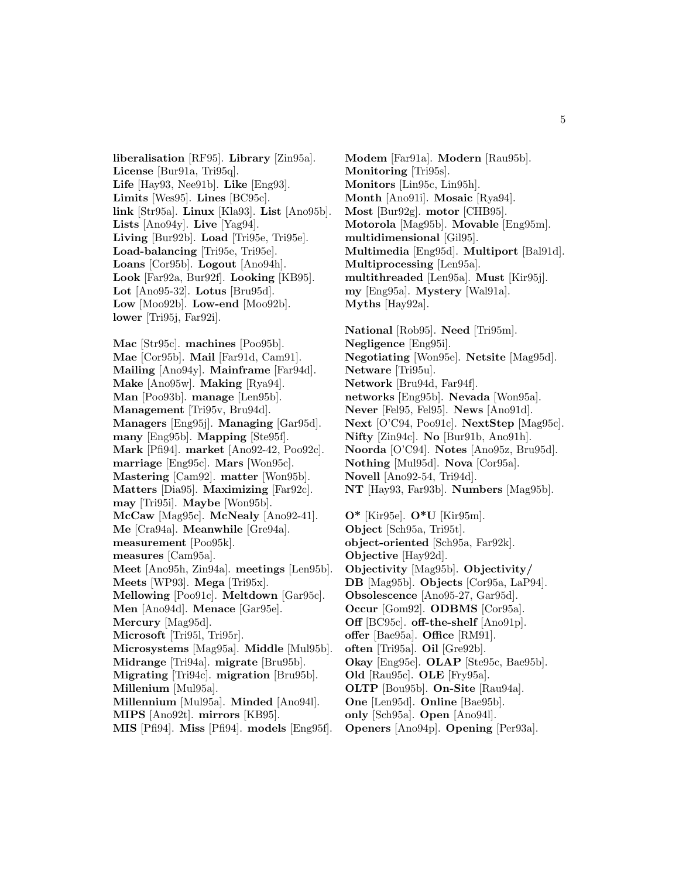**liberalisation** [RF95]. **Library** [Zin95a]. **License** [Bur91a, Tri95q]. **Life** [Hay93, Nee91b]. **Like** [Eng93]. **Limits** [Wes95]. **Lines** [BC95c]. **link** [Str95a]. **Linux** [Kla93]. **List** [Ano95b]. **Lists** [Ano94y]. **Live** [Yag94]. **Living** [Bur92b]. **Load** [Tri95e, Tri95e]. **Load-balancing** [Tri95e, Tri95e]. **Loans** [Cor95b]. **Logout** [Ano94h]. **Look** [Far92a, Bur92f]. **Looking** [KB95]. **Lot** [Ano95-32]. **Lotus** [Bru95d]. **Low** [Moo92b]. **Low-end** [Moo92b]. **lower** [Tri95j, Far92i].

**Mac** [Str95c]. **machines** [Poo95b]. **Mae** [Cor95b]. **Mail** [Far91d, Cam91]. **Mailing** [Ano94y]. **Mainframe** [Far94d]. **Make** [Ano95w]. **Making** [Rya94]. **Man** [Poo93b]. **manage** [Len95b]. **Management** [Tri95v, Bru94d]. **Managers** [Eng95j]. **Managing** [Gar95d]. **many** [Eng95b]. **Mapping** [Ste95f]. **Mark** [Pfi94]. **market** [Ano92-42, Poo92c]. **marriage** [Eng95c]. **Mars** [Won95c]. **Mastering** [Cam92]. **matter** [Won95b]. **Matters** [Dia95]. **Maximizing** [Far92c]. **may** [Tri95i]. **Maybe** [Won95b]. **McCaw** [Mag95c]. **McNealy** [Ano92-41]. **Me** [Cra94a]. **Meanwhile** [Gre94a]. **measurement** [Poo95k]. **measures** [Cam95a]. **Meet** [Ano95h, Zin94a]. **meetings** [Len95b]. **Meets** [WP93]. **Mega** [Tri95x]. **Mellowing** [Poo91c]. **Meltdown** [Gar95c]. **Men** [Ano94d]. **Menace** [Gar95e]. **Mercury** [Mag95d]. **Microsoft** [Tri95l, Tri95r]. **Microsystems** [Mag95a]. **Middle** [Mul95b]. **Midrange** [Tri94a]. **migrate** [Bru95b]. **Migrating** [Tri94c]. **migration** [Bru95b]. **Millenium** [Mul95a]. **Millennium** [Mul95a]. **Minded** [Ano94l]. **MIPS** [Ano92t]. **mirrors** [KB95].

**MIS** [Pfi94]. **Miss** [Pfi94]. **models** [Eng95f].

**Modem** [Far91a]. **Modern** [Rau95b]. **Monitoring** [Tri95s]. **Monitors** [Lin95c, Lin95h]. **Month** [Ano91i]. **Mosaic** [Rya94]. **Most** [Bur92g]. **motor** [CHB95]. **Motorola** [Mag95b]. **Movable** [Eng95m]. **multidimensional** [Gil95]. **Multimedia** [Eng95d]. **Multiport** [Bal91d]. **Multiprocessing** [Len95a]. **multithreaded** [Len95a]. **Must** [Kir95j]. **my** [Eng95a]. **Mystery** [Wal91a]. **Myths** [Hay92a].

**National** [Rob95]. **Need** [Tri95m]. **Negligence** [Eng95i]. **Negotiating** [Won95e]. **Netsite** [Mag95d]. **Netware** [Tri95u]. **Network** [Bru94d, Far94f]. **networks** [Eng95b]. **Nevada** [Won95a]. **Never** [Fel95, Fel95]. **News** [Ano91d]. **Next** [O'C94, Poo91c]. **NextStep** [Mag95c]. **Nifty** [Zin94c]. **No** [Bur91b, Ano91h]. **Noorda** [O'C94]. **Notes** [Ano95z, Bru95d]. **Nothing** [Mul95d]. **Nova** [Cor95a]. **Novell** [Ano92-54, Tri94d]. **NT** [Hay93, Far93b]. **Numbers** [Mag95b].

**O\*** [Kir95e]. **O\*U** [Kir95m]. **Object** [Sch95a, Tri95t]. **object-oriented** [Sch95a, Far92k]. **Objective** [Hay92d]. **Objectivity** [Mag95b]. **Objectivity/ DB** [Mag95b]. **Objects** [Cor95a, LaP94]. **Obsolescence** [Ano95-27, Gar95d]. **Occur** [Gom92]. **ODBMS** [Cor95a]. **Off** [BC95c]. **off-the-shelf** [Ano91p]. **offer** [Bae95a]. **Office** [RM91]. **often** [Tri95a]. **Oil** [Gre92b]. **Okay** [Eng95e]. **OLAP** [Ste95c, Bae95b]. **Old** [Rau95c]. **OLE** [Fry95a]. **OLTP** [Bou95b]. **On-Site** [Rau94a]. **One** [Len95d]. **Online** [Bae95b]. **only** [Sch95a]. **Open** [Ano94l]. **Openers** [Ano94p]. **Opening** [Per93a].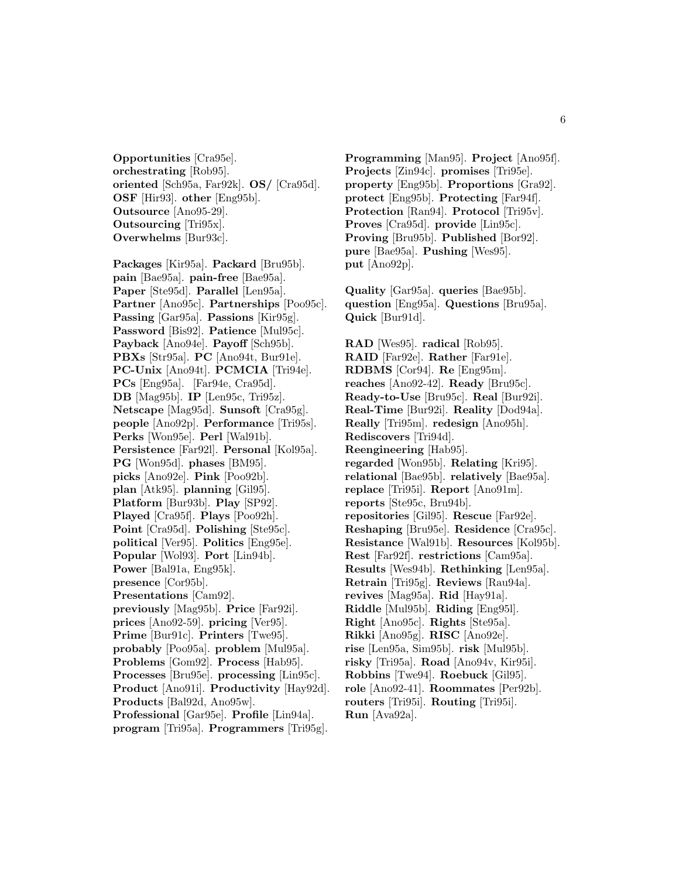**Opportunities** [Cra95e]. **orchestrating** [Rob95]. **oriented** [Sch95a, Far92k]. **OS/** [Cra95d]. **OSF** [Hir93]. **other** [Eng95b]. **Outsource** [Ano95-29]. **Outsourcing** [Tri95x]. **Overwhelms** [Bur93c].

**Packages** [Kir95a]. **Packard** [Bru95b]. **pain** [Bae95a]. **pain-free** [Bae95a]. **Paper** [Ste95d]. **Parallel** [Len95a]. **Partner** [Ano95c]. **Partnerships** [Poo95c]. **Passing** [Gar95a]. **Passions** [Kir95g]. **Password** [Bis92]. **Patience** [Mul95c]. **Payback** [Ano94e]. **Payoff** [Sch95b]. **PBXs** [Str95a]. **PC** [Ano94t, Bur91e]. **PC-Unix** [Ano94t]. **PCMCIA** [Tri94e]. **PCs** [Eng95a]. [Far94e, Cra95d]. **DB** [Mag95b]. **IP** [Len95c, Tri95z]. **Netscape** [Mag95d]. **Sunsoft** [Cra95g]. **people** [Ano92p]. **Performance** [Tri95s]. **Perks** [Won95e]. **Perl** [Wal91b]. **Persistence** [Far92l]. **Personal** [Kol95a]. **PG** [Won95d]. **phases** [BM95]. **picks** [Ano92e]. **Pink** [Poo92b]. **plan** [Atk95]. **planning** [Gil95]. **Platform** [Bur93b]. **Play** [SP92]. **Played** [Cra95f]. **Plays** [Poo92h]. **Point** [Cra95d]. **Polishing** [Ste95c]. **political** [Ver95]. **Politics** [Eng95e]. **Popular** [Wol93]. **Port** [Lin94b]. **Power** [Bal91a, Eng95k]. **presence** [Cor95b]. **Presentations** [Cam92]. **previously** [Mag95b]. **Price** [Far92i]. **prices** [Ano92-59]. **pricing** [Ver95]. **Prime** [Bur91c]. **Printers** [Twe95]. **probably** [Poo95a]. **problem** [Mul95a]. **Problems** [Gom92]. **Process** [Hab95]. **Processes** [Bru95e]. **processing** [Lin95c]. **Product** [Ano91i]. **Productivity** [Hay92d]. **Products** [Bal92d, Ano95w]. **Professional** [Gar95e]. **Profile** [Lin94a].

**program** [Tri95a]. **Programmers** [Tri95g].

**Programming** [Man95]. **Project** [Ano95f]. **Projects** [Zin94c]. **promises** [Tri95e]. **property** [Eng95b]. **Proportions** [Gra92]. **protect** [Eng95b]. **Protecting** [Far94f]. **Protection** [Ran94]. **Protocol** [Tri95v]. **Proves** [Cra95d]. **provide** [Lin95c]. **Proving** [Bru95b]. **Published** [Bor92]. **pure** [Bae95a]. **Pushing** [Wes95]. **put** [Ano92p].

**Quality** [Gar95a]. **queries** [Bae95b]. **question** [Eng95a]. **Questions** [Bru95a]. **Quick** [Bur91d].

**RAD** [Wes95]. **radical** [Rob95]. **RAID** [Far92e]. **Rather** [Far91e]. **RDBMS** [Cor94]. **Re** [Eng95m]. **reaches** [Ano92-42]. **Ready** [Bru95c]. **Ready-to-Use** [Bru95c]. **Real** [Bur92i]. **Real-Time** [Bur92i]. **Reality** [Dod94a]. **Really** [Tri95m]. **redesign** [Ano95h]. **Rediscovers** [Tri94d]. **Reengineering** [Hab95]. **regarded** [Won95b]. **Relating** [Kri95]. **relational** [Bae95b]. **relatively** [Bae95a]. **replace** [Tri95i]. **Report** [Ano91m]. **reports** [Ste95c, Bru94b]. **repositories** [Gil95]. **Rescue** [Far92e]. **Reshaping** [Bru95e]. **Residence** [Cra95c]. **Resistance** [Wal91b]. **Resources** [Kol95b]. **Rest** [Far92f]. **restrictions** [Cam95a]. **Results** [Wes94b]. **Rethinking** [Len95a]. **Retrain** [Tri95g]. **Reviews** [Rau94a]. **revives** [Mag95a]. **Rid** [Hay91a]. **Riddle** [Mul95b]. **Riding** [Eng95l]. **Right** [Ano95c]. **Rights** [Ste95a]. **Rikki** [Ano95g]. **RISC** [Ano92e]. **rise** [Len95a, Sim95b]. **risk** [Mul95b]. **risky** [Tri95a]. **Road** [Ano94v, Kir95i]. **Robbins** [Twe94]. **Roebuck** [Gil95]. **role** [Ano92-41]. **Roommates** [Per92b]. **routers** [Tri95i]. **Routing** [Tri95i]. **Run** [Ava92a].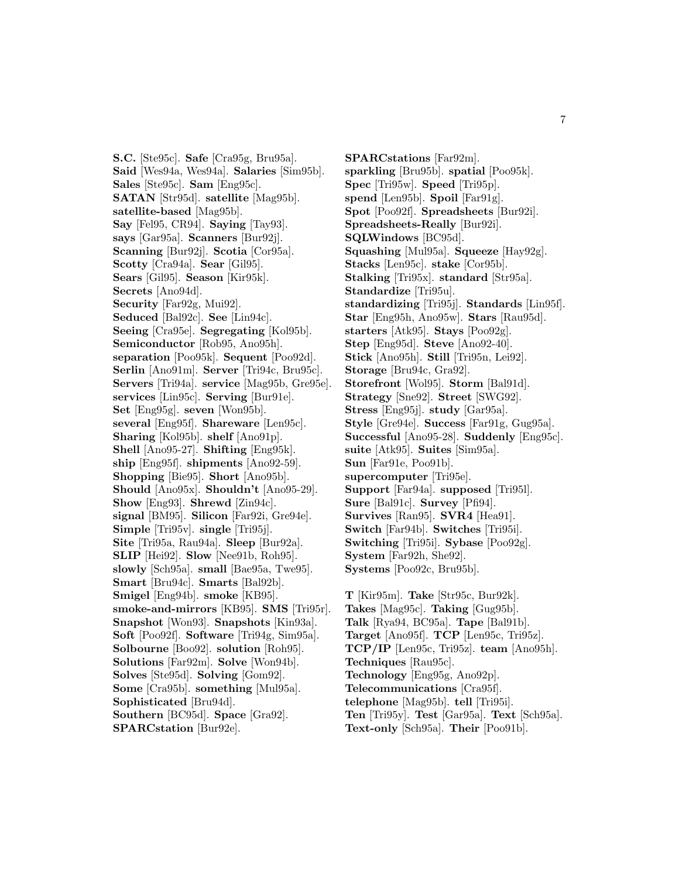**S.C.** [Ste95c]. **Safe** [Cra95g, Bru95a]. **Said** [Wes94a, Wes94a]. **Salaries** [Sim95b]. **Sales** [Ste95c]. **Sam** [Eng95c]. **SATAN** [Str95d]. **satellite** [Mag95b]. **satellite-based** [Mag95b]. **Say** [Fel95, CR94]. **Saying** [Tay93]. **says** [Gar95a]. **Scanners** [Bur92j]. **Scanning** [Bur92j]. **Scotia** [Cor95a]. **Scotty** [Cra94a]. **Sear** [Gil95]. **Sears** [Gil95]. **Season** [Kir95k]. **Secrets** [Ano94d]. **Security** [Far92g, Mui92]. **Seduced** [Bal92c]. **See** [Lin94c]. **Seeing** [Cra95e]. **Segregating** [Kol95b]. **Semiconductor** [Rob95, Ano95h]. **separation** [Poo95k]. **Sequent** [Poo92d]. **Serlin** [Ano91m]. **Server** [Tri94c, Bru95c]. **Servers** [Tri94a]. **service** [Mag95b, Gre95e]. **services** [Lin95c]. **Serving** [Bur91e]. **Set** [Eng95g]. **seven** [Won95b]. **several** [Eng95f]. **Shareware** [Len95c]. **Sharing** [Kol95b]. **shelf** [Ano91p]. **Shell** [Ano95-27]. **Shifting** [Eng95k]. **ship** [Eng95f]. **shipments** [Ano92-59]. **Shopping** [Bie95]. **Short** [Ano95b]. **Should** [Ano95x]. **Shouldn't** [Ano95-29]. **Show** [Eng93]. **Shrewd** [Zin94c]. **signal** [BM95]. **Silicon** [Far92i, Gre94e]. **Simple** [Tri95v]. **single** [Tri95j]. **Site** [Tri95a, Rau94a]. **Sleep** [Bur92a]. **SLIP** [Hei92]. **Slow** [Nee91b, Roh95]. **slowly** [Sch95a]. **small** [Bae95a, Twe95]. **Smart** [Bru94c]. **Smarts** [Bal92b]. **Smigel** [Eng94b]. **smoke** [KB95]. **smoke-and-mirrors** [KB95]. **SMS** [Tri95r]. **Snapshot** [Won93]. **Snapshots** [Kin93a]. **Soft** [Poo92f]. **Software** [Tri94g, Sim95a]. **Solbourne** [Boo92]. **solution** [Roh95]. **Solutions** [Far92m]. **Solve** [Won94b]. **Solves** [Ste95d]. **Solving** [Gom92]. **Some** [Cra95b]. **something** [Mul95a]. **Sophisticated** [Bru94d]. **Southern** [BC95d]. **Space** [Gra92]. **SPARCstation** [Bur92e].

**SPARCstations** [Far92m]. **sparkling** [Bru95b]. **spatial** [Poo95k]. **Spec** [Tri95w]. **Speed** [Tri95p]. **spend** [Len95b]. **Spoil** [Far91g]. **Spot** [Poo92f]. **Spreadsheets** [Bur92i]. **Spreadsheets-Really** [Bur92i]. **SQLWindows** [BC95d]. **Squashing** [Mul95a]. **Squeeze** [Hay92g]. **Stacks** [Len95c]. **stake** [Cor95b]. **Stalking** [Tri95x]. **standard** [Str95a]. **Standardize** [Tri95u]. **standardizing** [Tri95j]. **Standards** [Lin95f]. **Star** [Eng95h, Ano95w]. **Stars** [Rau95d]. **starters** [Atk95]. **Stays** [Poo92g]. **Step** [Eng95d]. **Steve** [Ano92-40]. **Stick** [Ano95h]. **Still** [Tri95n, Lei92]. **Storage** [Bru94c, Gra92]. **Storefront** [Wol95]. **Storm** [Bal91d]. **Strategy** [Sne92]. **Street** [SWG92]. **Stress** [Eng95j]. **study** [Gar95a]. **Style** [Gre94e]. **Success** [Far91g, Gug95a]. **Successful** [Ano95-28]. **Suddenly** [Eng95c]. **suite** [Atk95]. **Suites** [Sim95a]. **Sun** [Far91e, Poo91b]. **supercomputer** [Tri95e]. **Support** [Far94a]. **supposed** [Tri95l]. **Sure** [Bal91c]. **Survey** [Pfi94]. **Survives** [Ran95]. **SVR4** [Hea91]. **Switch** [Far94b]. **Switches** [Tri95i]. **Switching** [Tri95i]. **Sybase** [Poo92g]. **System** [Far92h, She92]. **Systems** [Poo92c, Bru95b].

**T** [Kir95m]. **Take** [Str95c, Bur92k]. **Takes** [Mag95c]. **Taking** [Gug95b]. **Talk** [Rya94, BC95a]. **Tape** [Bal91b]. **Target** [Ano95f]. **TCP** [Len95c, Tri95z]. **TCP/IP** [Len95c, Tri95z]. **team** [Ano95h]. **Techniques** [Rau95c]. **Technology** [Eng95g, Ano92p]. **Telecommunications** [Cra95f]. **telephone** [Mag95b]. **tell** [Tri95i]. **Ten** [Tri95y]. **Test** [Gar95a]. **Text** [Sch95a]. **Text-only** [Sch95a]. **Their** [Poo91b].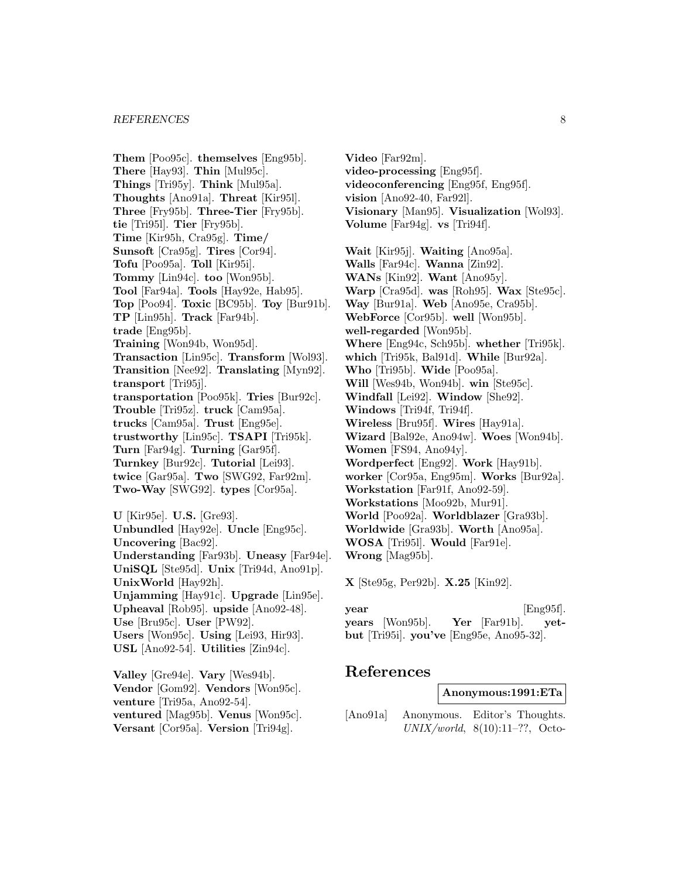**Them** [Poo95c]. **themselves** [Eng95b]. **There** [Hay93]. **Thin** [Mul95c]. **Things** [Tri95y]. **Think** [Mul95a]. **Thoughts** [Ano91a]. **Threat** [Kir95l]. **Three** [Fry95b]. **Three-Tier** [Fry95b]. **tie** [Tri95l]. **Tier** [Fry95b]. **Time** [Kir95h, Cra95g]. **Time/ Sunsoft** [Cra95g]. **Tires** [Cor94]. **Tofu** [Poo95a]. **Toll** [Kir95i]. **Tommy** [Lin94c]. **too** [Won95b]. **Tool** [Far94a]. **Tools** [Hay92e, Hab95]. **Top** [Poo94]. **Toxic** [BC95b]. **Toy** [Bur91b]. **TP** [Lin95h]. **Track** [Far94b]. **trade** [Eng95b]. **Training** [Won94b, Won95d]. **Transaction** [Lin95c]. **Transform** [Wol93]. **Transition** [Nee92]. **Translating** [Myn92]. **transport** [Tri95j]. **transportation** [Poo95k]. **Tries** [Bur92c]. **Trouble** [Tri95z]. **truck** [Cam95a]. **trucks** [Cam95a]. **Trust** [Eng95e]. **trustworthy** [Lin95c]. **TSAPI** [Tri95k]. **Turn** [Far94g]. **Turning** [Gar95f]. **Turnkey** [Bur92c]. **Tutorial** [Lei93]. **twice** [Gar95a]. **Two** [SWG92, Far92m]. **Two-Way** [SWG92]. **types** [Cor95a]. **U** [Kir95e]. **U.S.** [Gre93]. **Unbundled** [Hay92e]. **Uncle** [Eng95c]. **Uncovering** [Bac92]. **Understanding** [Far93b]. **Uneasy** [Far94e]. **UniSQL** [Ste95d]. **Unix** [Tri94d, Ano91p]. **UnixWorld** [Hay92h]. **Unjamming** [Hay91c]. **Upgrade** [Lin95e]. **Upheaval** [Rob95]. **upside** [Ano92-48]. **Use** [Bru95c]. **User** [PW92]. **Users** [Won95c]. **Using** [Lei93, Hir93].

**USL** [Ano92-54]. **Utilities** [Zin94c].

**Valley** [Gre94e]. **Vary** [Wes94b]. **Vendor** [Gom92]. **Vendors** [Won95c]. **venture** [Tri95a, Ano92-54]. **ventured** [Mag95b]. **Venus** [Won95c]. **Versant** [Cor95a]. **Version** [Tri94g].

**Video** [Far92m]. **video-processing** [Eng95f]. **videoconferencing** [Eng95f, Eng95f]. **vision** [Ano92-40, Far92l]. **Visionary** [Man95]. **Visualization** [Wol93]. **Volume** [Far94g]. **vs** [Tri94f].

**Wait** [Kir95j]. **Waiting** [Ano95a]. **Walls** [Far94c]. **Wanna** [Zin92]. **WANs** [Kin92]. **Want** [Ano95y]. **Warp** [Cra95d]. **was** [Roh95]. **Wax** [Ste95c]. **Way** [Bur91a]. **Web** [Ano95e, Cra95b]. **WebForce** [Cor95b]. **well** [Won95b]. **well-regarded** [Won95b]. **Where** [Eng94c, Sch95b]. **whether** [Tri95k]. **which** [Tri95k, Bal91d]. **While** [Bur92a]. **Who** [Tri95b]. **Wide** [Poo95a]. **Will** [Wes94b, Won94b]. **win** [Ste95c]. **Windfall** [Lei92]. **Window** [She92]. **Windows** [Tri94f, Tri94f]. **Wireless** [Bru95f]. **Wires** [Hay91a]. **Wizard** [Bal92e, Ano94w]. **Woes** [Won94b]. **Women** [FS94, Ano94y]. **Wordperfect** [Eng92]. **Work** [Hay91b]. **worker** [Cor95a, Eng95m]. **Works** [Bur92a]. **Workstation** [Far91f, Ano92-59]. **Workstations** [Moo92b, Mur91]. **World** [Poo92a]. **Worldblazer** [Gra93b]. **Worldwide** [Gra93b]. **Worth** [Ano95a]. **WOSA** [Tri95l]. **Would** [Far91e]. **Wrong** [Mag95b].

**X** [Ste95g, Per92b]. **X.25** [Kin92].

| vear                                     |  | $[Eng95f]$ . |
|------------------------------------------|--|--------------|
| years [Won95b]. Yer [Far91b]. yet-       |  |              |
| but [Tri95i]. you've [Eng95e, Ano95-32]. |  |              |

## **References**

**Anonymous:1991:ETa**

[Ano91a] Anonymous. Editor's Thoughts. UNIX/world,  $8(10):11-??$ , Octo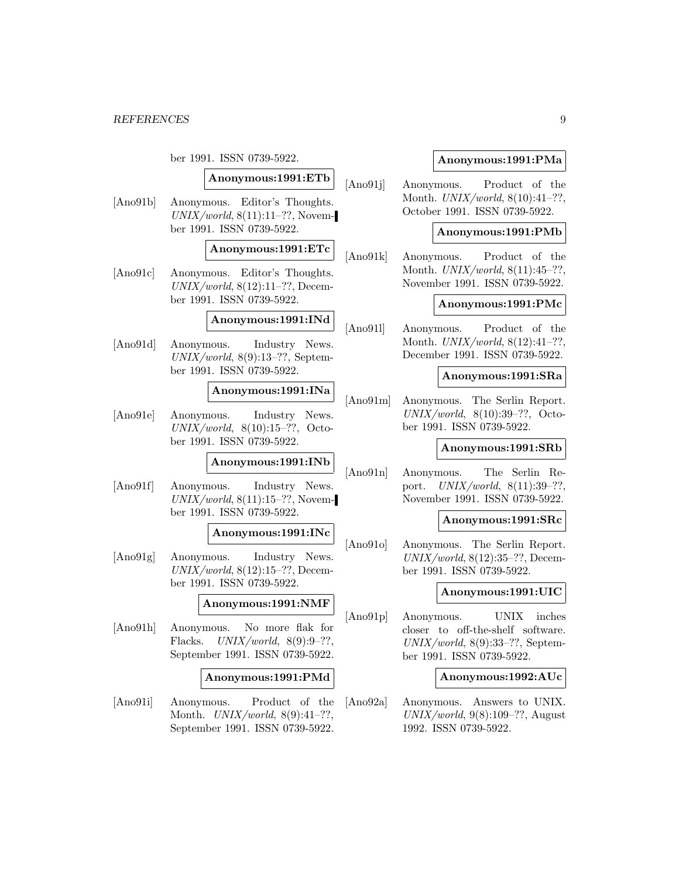ber 1991. ISSN 0739-5922.

#### **Anonymous:1991:ETb**

[Ano91b] Anonymous. Editor's Thoughts.  $UNIX/world, 8(11):11-??$ , November 1991. ISSN 0739-5922.

#### **Anonymous:1991:ETc**

[Ano91c] Anonymous. Editor's Thoughts.  $UNIX/world, 8(12):11-??$ , December 1991. ISSN 0739-5922.

## **Anonymous:1991:INd**

[Ano91d] Anonymous. Industry News.  $UNIX/world, 8(9):13-??$ , September 1991. ISSN 0739-5922.

### **Anonymous:1991:INa**

[Ano91e] Anonymous. Industry News. UNIX/world,  $8(10):15-??$ , October 1991. ISSN 0739-5922.

## **Anonymous:1991:INb**

[Ano91f] Anonymous. Industry News.  $UNIX/world, 8(11):15–??, November$ ber 1991. ISSN 0739-5922.

#### **Anonymous:1991:INc**

[Ano91g] Anonymous. Industry News.  $UNIX/world, 8(12):15–??, Decem$ ber 1991. ISSN 0739-5922.

### **Anonymous:1991:NMF**

[Ano91h] Anonymous. No more flak for Flacks.  $UNIX/world, 8(9):9-??,$ September 1991. ISSN 0739-5922.

### **Anonymous:1991:PMd**

[Ano91i] Anonymous. Product of the Month.  $UNIX/world$ , 8(9):41-??, September 1991. ISSN 0739-5922.

### **Anonymous:1991:PMa**

[Ano91j] Anonymous. Product of the Month. UNIX/world, 8(10):41–??, October 1991. ISSN 0739-5922.

### **Anonymous:1991:PMb**

[Ano91k] Anonymous. Product of the Month. UNIX/world, 8(11):45–??, November 1991. ISSN 0739-5922.

### **Anonymous:1991:PMc**

[Ano91l] Anonymous. Product of the Month. UNIX/world, 8(12):41–??, December 1991. ISSN 0739-5922.

#### **Anonymous:1991:SRa**

[Ano91m] Anonymous. The Serlin Report.  $UNIX/world, 8(10):39-??, Octo$ ber 1991. ISSN 0739-5922.

### **Anonymous:1991:SRb**

[Ano91n] Anonymous. The Serlin Report. UNIX/world, 8(11):39–??, November 1991. ISSN 0739-5922.

#### **Anonymous:1991:SRc**

[Ano91o] Anonymous. The Serlin Report.  $UNIX/world, 8(12):35-??$ , December 1991. ISSN 0739-5922.

#### **Anonymous:1991:UIC**

[Ano91p] Anonymous. UNIX inches closer to off-the-shelf software. UNIX/world,  $8(9):33-??$ , September 1991. ISSN 0739-5922.

#### **Anonymous:1992:AUc**

[Ano92a] Anonymous. Answers to UNIX.  $UNIX/world, 9(8):109-??$ , August 1992. ISSN 0739-5922.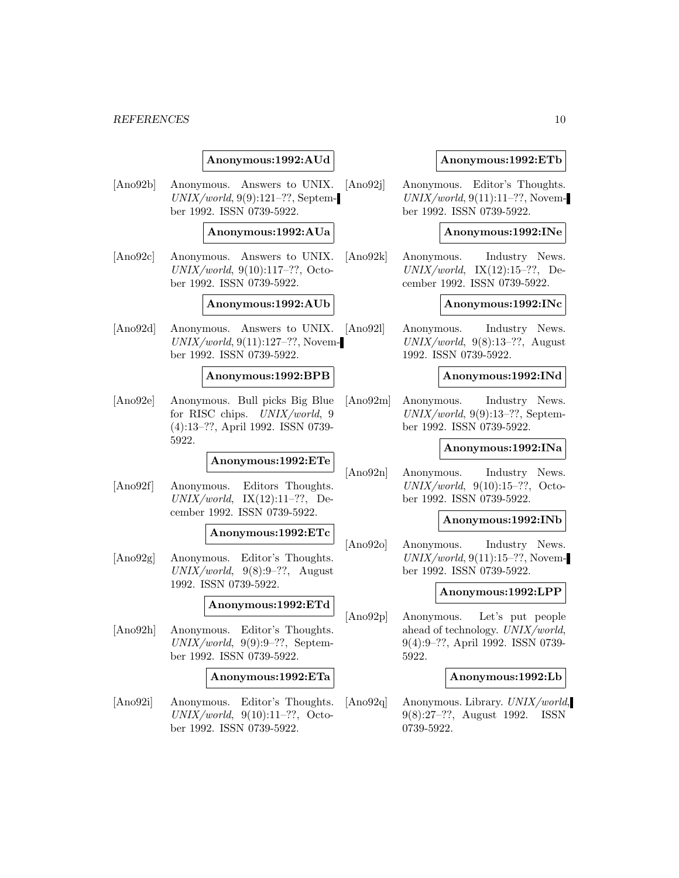### **Anonymous:1992:AUd**

[Ano92b] Anonymous. Answers to UNIX.  $UNIX/world, 9(9):121-??$ , September 1992. ISSN 0739-5922.

### **Anonymous:1992:AUa**

[Ano92c] Anonymous. Answers to UNIX. UNIX/world, 9(10):117–??, October 1992. ISSN 0739-5922.

#### **Anonymous:1992:AUb**

[Ano92d] Anonymous. Answers to UNIX. [Ano92l]  $UNIX/world, 9(11):127-??, Novem$ ber 1992. ISSN 0739-5922.

#### **Anonymous:1992:BPB**

[Ano92e] Anonymous. Bull picks Big Blue for RISC chips. UNIX/world, 9 (4):13–??, April 1992. ISSN 0739- 5922.

### **Anonymous:1992:ETe**

[Ano92f] Anonymous. Editors Thoughts.  $UNIX/world,$  IX(12):11-??, December 1992. ISSN 0739-5922.

### **Anonymous:1992:ETc**

[Ano92g] Anonymous. Editor's Thoughts.  $UNIX/world, 9(8):9-??, August$ 1992. ISSN 0739-5922.

## **Anonymous:1992:ETd**

[Ano92h] Anonymous. Editor's Thoughts.  $UNIX/world, 9(9):9-??$ , September 1992. ISSN 0739-5922.

#### **Anonymous:1992:ETa**

[Ano92i] Anonymous. Editor's Thoughts.  $UNIX/world, 9(10):11-??, Octo$ ber 1992. ISSN 0739-5922.

#### **Anonymous:1992:ETb**

[Ano92j] Anonymous. Editor's Thoughts.  $UNIX/world, 9(11):11-??$ , November 1992. ISSN 0739-5922.

#### **Anonymous:1992:INe**

[Ano92k] Anonymous. Industry News.  $UNIX/world,$  IX(12):15–??, December 1992. ISSN 0739-5922.

### **Anonymous:1992:INc**

Anonymous. Industry News.  $UNIX/world, 9(8):13-??, August$ 1992. ISSN 0739-5922.

#### **Anonymous:1992:INd**

[Ano92m] Anonymous. Industry News.  $UNIX/world, 9(9):13-??$ , September 1992. ISSN 0739-5922.

#### **Anonymous:1992:INa**

[Ano92n] Anonymous. Industry News.  $UNIX/world, 9(10):15–??, Octo$ ber 1992. ISSN 0739-5922.

#### **Anonymous:1992:INb**

[Ano92o] Anonymous. Industry News.  $UNIX/world, 9(11):15-??$ , November 1992. ISSN 0739-5922.

#### **Anonymous:1992:LPP**

[Ano92p] Anonymous. Let's put people ahead of technology. UNIX/world, 9(4):9–??, April 1992. ISSN 0739- 5922.

#### **Anonymous:1992:Lb**

[Ano92q] Anonymous. Library. UNIX/world, 9(8):27–??, August 1992. ISSN 0739-5922.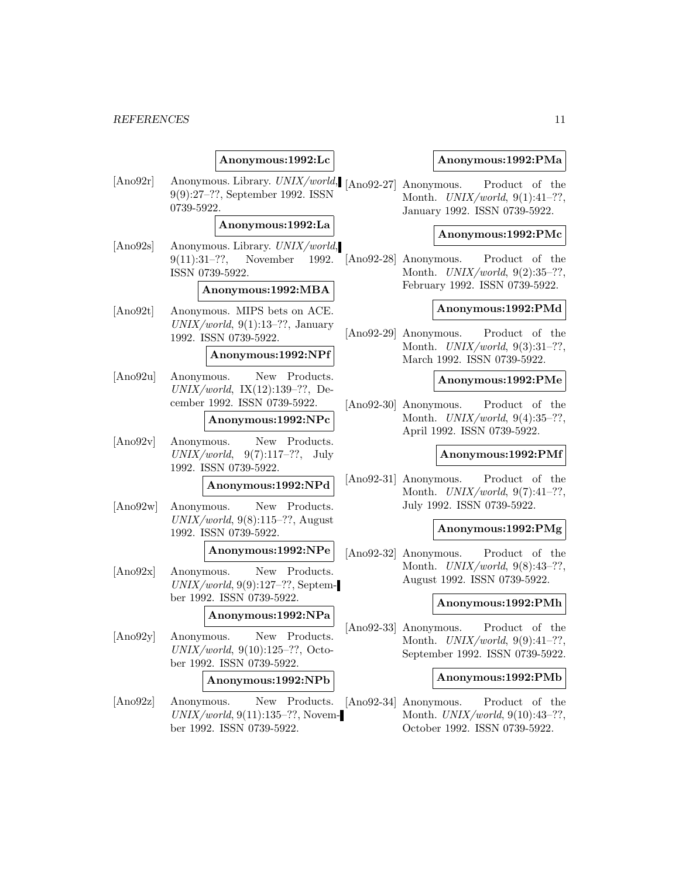|                  | Anonymous:1992:Lc                                                                                |           |
|------------------|--------------------------------------------------------------------------------------------------|-----------|
| [Ano92r]         | Anonymous. Library. UNIX/world, [Ano92-<br>9(9):27-??, September 1992. ISSN<br>0739-5922.        |           |
|                  | Anonymous:1992:La                                                                                |           |
| [Ano92s]         | Anonymous. Library. UNIX/world,<br>$9(11):31-??$ , November 1992. [Ano92-<br>ISSN 0739-5922.     |           |
|                  | Anonymous:1992:MBA                                                                               |           |
| [Ano92t]         | Anonymous. MIPS bets on ACE.<br>$UNIX/world, 9(1):13-??, January$<br>1992. ISSN 0739-5922.       | [Ano92-   |
|                  | Anonymous:1992:NPf                                                                               |           |
| [Ano92u]         | New Products.<br>Anonymous.<br>$UNIX/world, IX(12):139-??, De-$<br>cember 1992. ISSN 0739-5922.  | $[Ano92-$ |
|                  | Anonymous:1992:NPc                                                                               |           |
| [Ano92v]         | New Products.<br>Anonymous.<br>$UNIX/world, 9(7):117-??, July$<br>1992. ISSN 0739-5922.          |           |
|                  | Anonymous:1992:NPd                                                                               | $[Ano92-$ |
| [Ano92w]         | Anonymous.<br>New Products.<br>$UNIX/world, 9(8):115-??, August$<br>1992. ISSN 0739-5922.        |           |
|                  | Anonymous:1992:NPe                                                                               | $[Ano92-$ |
| [Ano92x]         | Anonymous.<br>New Products.<br>$UNIX/world, 9(9):127-??$ , Septem-<br>ber 1992. ISSN 0739-5922.  |           |
|                  | Anonymous:1992:NPa                                                                               |           |
| $[{\rm Ano92y}]$ | Anonymous.<br>New<br>Products.<br>$UNIX/world, 9(10):125-??, Octo-$<br>ber 1992. ISSN 0739-5922. | [Ano92-   |
|                  | Anonymous:1992:NPb                                                                               |           |
| [Ano92z]         | New Products.<br>Anonymous.<br>$UNIX/world, 9(11):135-??, Novem-$<br>ber 1992. ISSN 0739-5922.   | $[Ano92-$ |

### **Anonymous:1992:PMa**

27] Anonymous. Product of the Month.  $UNIX/world, 9(1):41-??,$ January 1992. ISSN 0739-5922.

### **Anonymous:1992:PMc**

[-28] Anonymous. Product of the Month. UNIX/world, 9(2):35–??, February 1992. ISSN 0739-5922.

### **Anonymous:1992:PMd**

[29] Anonymous. Product of the Month. UNIX/world, 9(3):31–??, March 1992. ISSN 0739-5922.

### **Anonymous:1992:PMe**

[-30] Anonymous. Product of the Month. UNIX/world, 9(4):35–??, April 1992. ISSN 0739-5922.

#### **Anonymous:1992:PMf**

-31] Anonymous. Product of the Month. UNIX/world, 9(7):41–??, July 1992. ISSN 0739-5922.

### **Anonymous:1992:PMg**

-32] Anonymous. Product of the Month. UNIX/world, 9(8):43–??, August 1992. ISSN 0739-5922.

### **Anonymous:1992:PMh**

[-33] Anonymous. Product of the Month. UNIX/world, 9(9):41–??, September 1992. ISSN 0739-5922.

### **Anonymous:1992:PMb**

[-34] Anonymous. Product of the Month. UNIX/world, 9(10):43–??, October 1992. ISSN 0739-5922.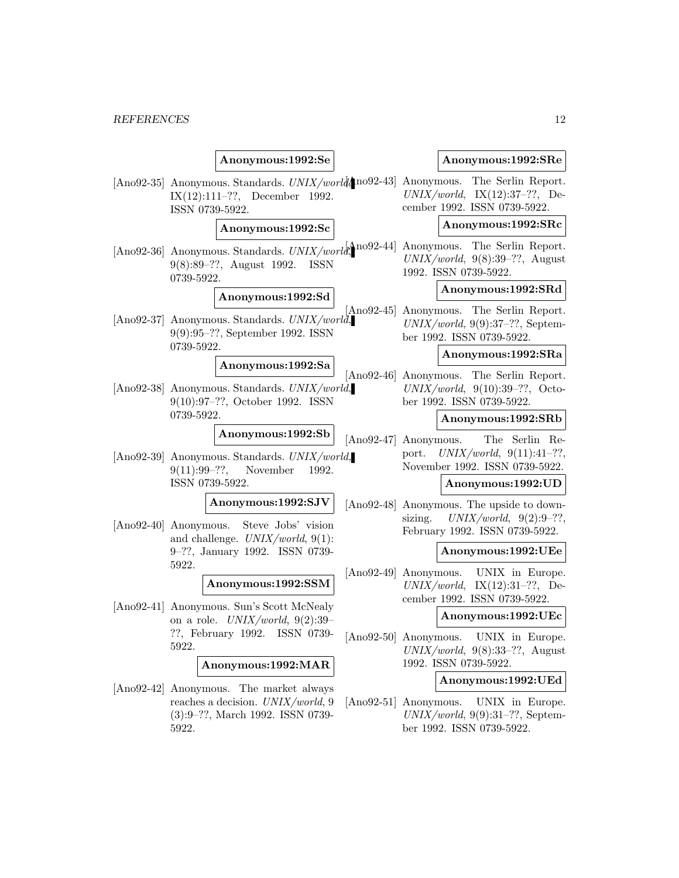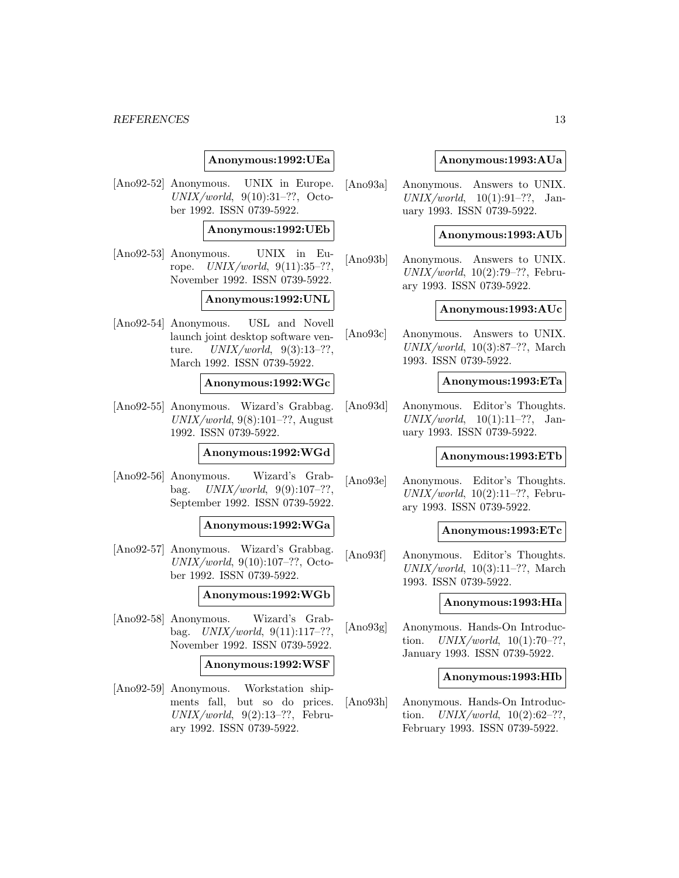### **Anonymous:1992:UEa**

[Ano92-52] Anonymous. UNIX in Europe.  $UNIX/world, 9(10):31-??, Octo$ ber 1992. ISSN 0739-5922.

#### **Anonymous:1992:UEb**

[Ano92-53] Anonymous. UNIX in Europe.  $UNIX/world, 9(11):35-??,$ November 1992. ISSN 0739-5922.

#### **Anonymous:1992:UNL**

[Ano92-54] Anonymous. USL and Novell launch joint desktop software venture.  $UNIX/world, 9(3):13-??,$ March 1992. ISSN 0739-5922.

### **Anonymous:1992:WGc**

[Ano92-55] Anonymous. Wizard's Grabbag.  $UNIX/world, 9(8):101-??$ , August 1992. ISSN 0739-5922.

### **Anonymous:1992:WGd**

[Ano92-56] Anonymous. Wizard's Grabbag.  $UNIX/world, 9(9):107-??,$ September 1992. ISSN 0739-5922.

#### **Anonymous:1992:WGa**

[Ano92-57] Anonymous. Wizard's Grabbag. UNIX/world, 9(10):107–??, October 1992. ISSN 0739-5922.

### **Anonymous:1992:WGb**

[Ano92-58] Anonymous. Wizard's Grabbag.  $UNIX/world, 9(11):117-??$ . November 1992. ISSN 0739-5922.

### **Anonymous:1992:WSF**

[Ano92-59] Anonymous. Workstation shipments fall, but so do prices.  $UNIX/world, 9(2):13-??$ , February 1992. ISSN 0739-5922.

### **Anonymous:1993:AUa**

[Ano93a] Anonymous. Answers to UNIX.  $UNIX/world, 10(1):91-??, Jan$ uary 1993. ISSN 0739-5922.

#### **Anonymous:1993:AUb**

[Ano93b] Anonymous. Answers to UNIX.  $UNIX/world, 10(2):79-??$ , February 1993. ISSN 0739-5922.

### **Anonymous:1993:AUc**

[Ano93c] Anonymous. Answers to UNIX.  $UNIX/world, 10(3):87-??, March$ 1993. ISSN 0739-5922.

#### **Anonymous:1993:ETa**

[Ano93d] Anonymous. Editor's Thoughts.  $UNIX/world, 10(1):11-??, Jan$ uary 1993. ISSN 0739-5922.

#### **Anonymous:1993:ETb**

[Ano93e] Anonymous. Editor's Thoughts.  $UNIX/world, 10(2):11-??$ , February 1993. ISSN 0739-5922.

### **Anonymous:1993:ETc**

[Ano93f] Anonymous. Editor's Thoughts.  $UNIX/world, 10(3):11-??$ , March 1993. ISSN 0739-5922.

### **Anonymous:1993:HIa**

[Ano93g] Anonymous. Hands-On Introduction.  $UNIX/world, 10(1):70-??,$ January 1993. ISSN 0739-5922.

#### **Anonymous:1993:HIb**

[Ano93h] Anonymous. Hands-On Introduction.  $UNIX/world$ ,  $10(2):62-??$ , February 1993. ISSN 0739-5922.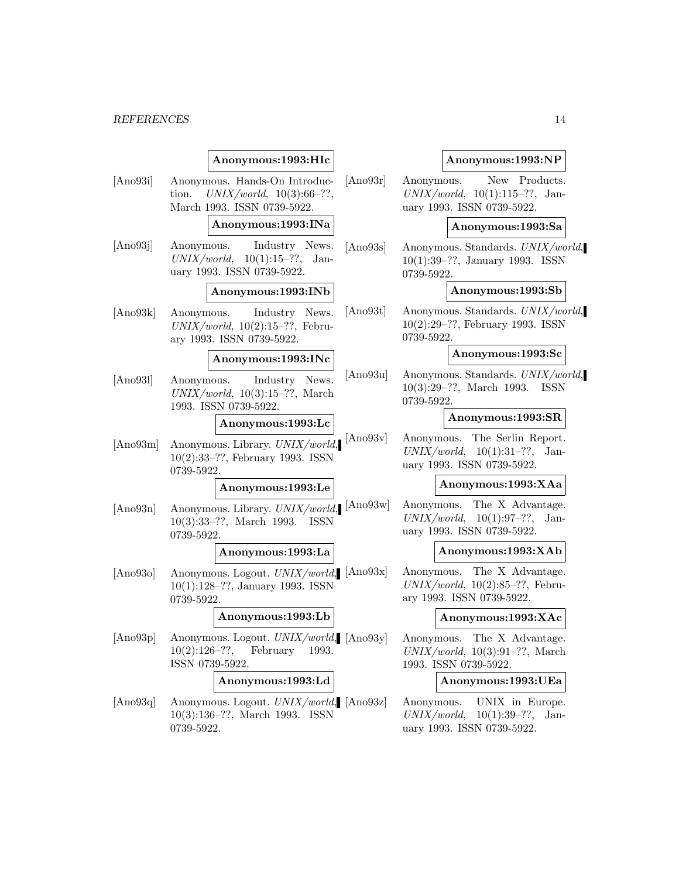## **Anonymous:1993:HIc**

- [Ano93i] Anonymous. Hands-On Introduction.  $UNIX/world, 10(3):66-??,$ March 1993. ISSN 0739-5922. **Anonymous:1993:INa** [Ano93j] Anonymous. Industry News.  $UNIX/world, 10(1):15-??, Jan$ uary 1993. ISSN 0739-5922. **Anonymous:1993:INb**
- [Ano93k] Anonymous. Industry News.  $UNIX/world, 10(2):15-??$ , February 1993. ISSN 0739-5922.

#### **Anonymous:1993:INc**

[Ano93l] Anonymous. Industry News.  $UNIX/world, 10(3):15-??$ , March 1993. ISSN 0739-5922.

#### **Anonymous:1993:Lc**

[Ano93m] Anonymous. Library. UNIX/world, 10(2):33–??, February 1993. ISSN 0739-5922.

### **Anonymous:1993:Le**

[Ano93n] Anonymous. Library. *UNIX/world*, [Ano93w] 10(3):33–??, March 1993. ISSN 0739-5922.

### **Anonymous:1993:La**

[Ano93o] Anonymous. Logout. *UNIX/world*, [Ano93x] 10(1):128–??, January 1993. ISSN 0739-5922.

## **Anonymous:1993:Lb**

[Ano93p] Anonymous. Logout. *UNIX/world*, [Ano93y] 10(2):126–??, February 1993. ISSN 0739-5922.

### **Anonymous:1993:Ld**

[Ano93q] Anonymous. Logout. *UNIX/world*, [Ano93z] 10(3):136–??, March 1993. ISSN 0739-5922.

#### **Anonymous:1993:NP**

[Ano93r] Anonymous. New Products.  $UNIX/world, 10(1):115-??, Jan$ uary 1993. ISSN 0739-5922.

#### **Anonymous:1993:Sa**

[Ano93s] Anonymous. Standards. UNIX/world, 10(1):39–??, January 1993. ISSN 0739-5922.

### **Anonymous:1993:Sb**

[Ano93t] Anonymous. Standards. UNIX/world, 10(2):29–??, February 1993. ISSN 0739-5922.

### **Anonymous:1993:Sc**

[Ano93u] Anonymous. Standards. UNIX/world, 10(3):29–??, March 1993. ISSN 0739-5922.

#### **Anonymous:1993:SR**

[Ano93v] Anonymous. The Serlin Report.  $UNIX/world, 10(1):31-??, Jan$ uary 1993. ISSN 0739-5922.

#### **Anonymous:1993:XAa**

Anonymous. The X Advantage.  $UNIX/world, 10(1):97-??, Jan$ uary 1993. ISSN 0739-5922.

#### **Anonymous:1993:XAb**

Anonymous. The X Advantage.  $UNIX/world, 10(2):85-??$ , February 1993. ISSN 0739-5922.

#### **Anonymous:1993:XAc**

Anonymous. The X Advantage.  $UNIX/world, 10(3):91-??, March$ 1993. ISSN 0739-5922.

### **Anonymous:1993:UEa**

Anonymous. UNIX in Europe.  $UNIX/world, 10(1):39-??, Jan$ uary 1993. ISSN 0739-5922.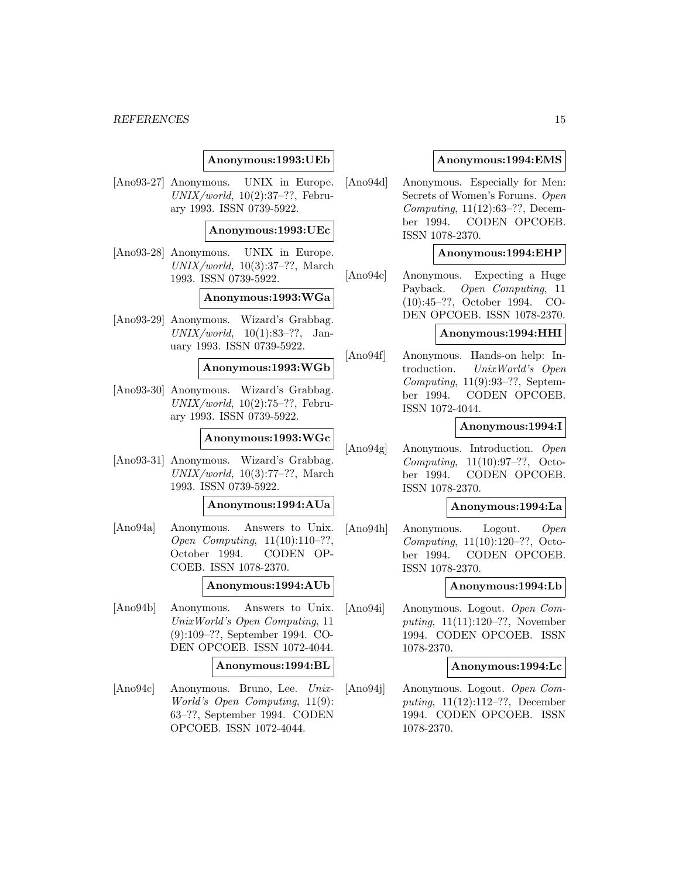### **Anonymous:1993:UEb**

[Ano93-27] Anonymous. UNIX in Europe.  $UNIX/world, 10(2):37-??$ , February 1993. ISSN 0739-5922.

### **Anonymous:1993:UEc**

[Ano93-28] Anonymous. UNIX in Europe.  $UNIX/world, 10(3):37-??$ , March 1993. ISSN 0739-5922.

### **Anonymous:1993:WGa**

[Ano93-29] Anonymous. Wizard's Grabbag.  $UNIX/world, 10(1):83-??, Jan$ uary 1993. ISSN 0739-5922.

### **Anonymous:1993:WGb**

[Ano93-30] Anonymous. Wizard's Grabbag.  $UNIX/world, 10(2):75–??, Febru$ ary 1993. ISSN 0739-5922.

### **Anonymous:1993:WGc**

[Ano93-31] Anonymous. Wizard's Grabbag. UNIX/world, 10(3):77–??, March 1993. ISSN 0739-5922.

#### **Anonymous:1994:AUa**

[Ano94a] Anonymous. Answers to Unix. Open Computing, 11(10):110–??, October 1994. CODEN OP-COEB. ISSN 1078-2370.

#### **Anonymous:1994:AUb**

[Ano94b] Anonymous. Answers to Unix. UnixWorld's Open Computing, 11 (9):109–??, September 1994. CO-DEN OPCOEB. ISSN 1072-4044.

#### **Anonymous:1994:BL**

[Ano94c] Anonymous. Bruno, Lee. Unix-World's Open Computing, 11(9): 63–??, September 1994. CODEN OPCOEB. ISSN 1072-4044.

### **Anonymous:1994:EMS**

[Ano94d] Anonymous. Especially for Men: Secrets of Women's Forums. Open Computing, 11(12):63–??, December 1994. CODEN OPCOEB. ISSN 1078-2370.

#### **Anonymous:1994:EHP**

[Ano94e] Anonymous. Expecting a Huge Payback. Open Computing, 11 (10):45–??, October 1994. CO-DEN OPCOEB. ISSN 1078-2370.

### **Anonymous:1994:HHI**

[Ano94f] Anonymous. Hands-on help: Introduction. UnixWorld's Open Computing, 11(9):93–??, September 1994. CODEN OPCOEB. ISSN 1072-4044.

#### **Anonymous:1994:I**

[Ano94g] Anonymous. Introduction. Open Computing, 11(10):97–??, October 1994. CODEN OPCOEB. ISSN 1078-2370.

### **Anonymous:1994:La**

[Ano94h] Anonymous. Logout. Open Computing, 11(10):120–??, October 1994. CODEN OPCOEB. ISSN 1078-2370.

### **Anonymous:1994:Lb**

[Ano94i] Anonymous. Logout. Open Computing, 11(11):120–??, November 1994. CODEN OPCOEB. ISSN 1078-2370.

#### **Anonymous:1994:Lc**

[Ano94j] Anonymous. Logout. Open Computing, 11(12):112–??, December 1994. CODEN OPCOEB. ISSN 1078-2370.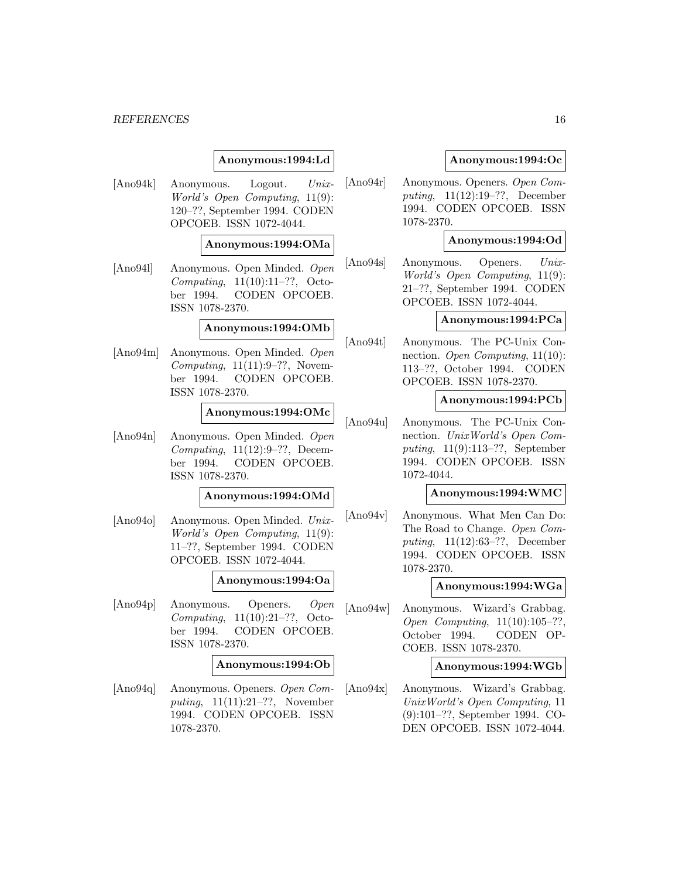### **Anonymous:1994:Ld**

[Ano94k] Anonymous. Logout. Unix-World's Open Computing, 11(9): 120–??, September 1994. CODEN OPCOEB. ISSN 1072-4044.

### **Anonymous:1994:OMa**

[Ano94l] Anonymous. Open Minded. Open Computing, 11(10):11–??, October 1994. CODEN OPCOEB. ISSN 1078-2370.

### **Anonymous:1994:OMb**

[Ano94m] Anonymous. Open Minded. Open Computing,  $11(11):9-??$ , November 1994. CODEN OPCOEB. ISSN 1078-2370.

#### **Anonymous:1994:OMc**

[Ano94n] Anonymous. Open Minded. Open Computing, 11(12):9–??, December 1994. CODEN OPCOEB. ISSN 1078-2370.

### **Anonymous:1994:OMd**

[Ano94o] Anonymous. Open Minded. Unix-World's Open Computing, 11(9): 11–??, September 1994. CODEN OPCOEB. ISSN 1072-4044.

### **Anonymous:1994:Oa**

[Ano94p] Anonymous. Openers. Open Computing, 11(10):21–??, October 1994. CODEN OPCOEB. ISSN 1078-2370.

#### **Anonymous:1994:Ob**

[Ano94q] Anonymous. Openers. Open Computing,  $11(11):21-??$ , November 1994. CODEN OPCOEB. ISSN 1078-2370.

### **Anonymous:1994:Oc**

[Ano94r] Anonymous. Openers. Open Computing, 11(12):19–??, December 1994. CODEN OPCOEB. ISSN 1078-2370.

### **Anonymous:1994:Od**

[Ano94s] Anonymous. Openers. Unix-World's Open Computing, 11(9): 21–??, September 1994. CODEN OPCOEB. ISSN 1072-4044.

#### **Anonymous:1994:PCa**

[Ano94t] Anonymous. The PC-Unix Connection. Open Computing, 11(10): 113–??, October 1994. CODEN OPCOEB. ISSN 1078-2370.

#### **Anonymous:1994:PCb**

[Ano94u] Anonymous. The PC-Unix Connection. UnixWorld's Open Computing, 11(9):113–??, September 1994. CODEN OPCOEB. ISSN 1072-4044.

### **Anonymous:1994:WMC**

[Ano94v] Anonymous. What Men Can Do: The Road to Change. Open Computing, 11(12):63–??, December 1994. CODEN OPCOEB. ISSN 1078-2370.

### **Anonymous:1994:WGa**

[Ano94w] Anonymous. Wizard's Grabbag. Open Computing, 11(10):105–??, October 1994. CODEN OP-COEB. ISSN 1078-2370.

#### **Anonymous:1994:WGb**

[Ano94x] Anonymous. Wizard's Grabbag. UnixWorld's Open Computing, 11 (9):101–??, September 1994. CO-DEN OPCOEB. ISSN 1072-4044.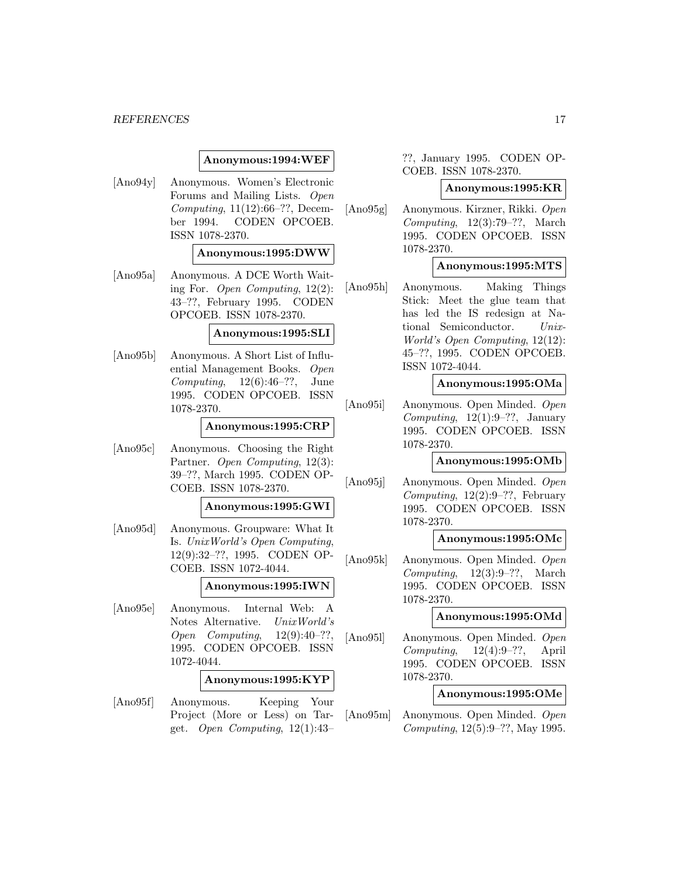### **Anonymous:1994:WEF**

[Ano94y] Anonymous. Women's Electronic Forums and Mailing Lists. Open Computing, 11(12):66–??, December 1994. CODEN OPCOEB. ISSN 1078-2370.

#### **Anonymous:1995:DWW**

[Ano95a] Anonymous. A DCE Worth Waiting For. Open Computing, 12(2): 43–??, February 1995. CODEN OPCOEB. ISSN 1078-2370.

#### **Anonymous:1995:SLI**

[Ano95b] Anonymous. A Short List of Influential Management Books. Open Computing,  $12(6):46-??$ , June 1995. CODEN OPCOEB. ISSN 1078-2370.

### **Anonymous:1995:CRP**

[Ano95c] Anonymous. Choosing the Right Partner. Open Computing, 12(3): 39–??, March 1995. CODEN OP-COEB. ISSN 1078-2370.

#### **Anonymous:1995:GWI**

[Ano95d] Anonymous. Groupware: What It Is. UnixWorld's Open Computing, 12(9):32–??, 1995. CODEN OP-COEB. ISSN 1072-4044.

#### **Anonymous:1995:IWN**

[Ano95e] Anonymous. Internal Web: A Notes Alternative. UnixWorld's Open Computing, 12(9):40–??, 1995. CODEN OPCOEB. ISSN 1072-4044.

### **Anonymous:1995:KYP**

[Ano95f] Anonymous. Keeping Your Project (More or Less) on Target. Open Computing,  $12(1):43-$ 

??, January 1995. CODEN OP-COEB. ISSN 1078-2370.

#### **Anonymous:1995:KR**

[Ano95g] Anonymous. Kirzner, Rikki. Open Computing,  $12(3):79-??$ , March 1995. CODEN OPCOEB. ISSN 1078-2370.

### **Anonymous:1995:MTS**

[Ano95h] Anonymous. Making Things Stick: Meet the glue team that has led the IS redesign at National Semiconductor. Unix-World's Open Computing, 12(12): 45–??, 1995. CODEN OPCOEB. ISSN 1072-4044.

### **Anonymous:1995:OMa**

[Ano95i] Anonymous. Open Minded. Open Computing,  $12(1):9-??$ , January 1995. CODEN OPCOEB. ISSN 1078-2370.

### **Anonymous:1995:OMb**

[Ano95j] Anonymous. Open Minded. Open Computing,  $12(2):9-??$ , February 1995. CODEN OPCOEB. ISSN 1078-2370.

### **Anonymous:1995:OMc**

[Ano95k] Anonymous. Open Minded. Open Computing,  $12(3):9-??$ , March 1995. CODEN OPCOEB. ISSN 1078-2370.

#### **Anonymous:1995:OMd**

[Ano95l] Anonymous. Open Minded. Open  $Computing, 12(4):9-??,$  April 1995. CODEN OPCOEB. ISSN 1078-2370.

### **Anonymous:1995:OMe**

[Ano95m] Anonymous. Open Minded. Open Computing, 12(5):9–??, May 1995.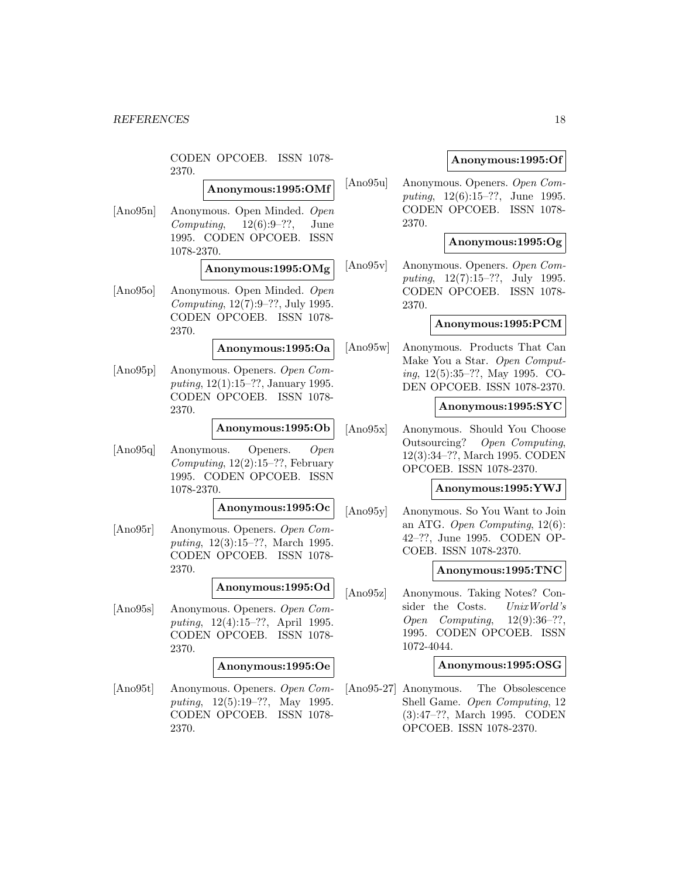CODEN OPCOEB. ISSN 1078- 2370.

## **Anonymous:1995:OMf**

[Ano95n] Anonymous. Open Minded. Open Computing,  $12(6):9-??$ , June 1995. CODEN OPCOEB. ISSN 1078-2370.

### **Anonymous:1995:OMg**

[Ano95o] Anonymous. Open Minded. Open Computing, 12(7):9–??, July 1995. CODEN OPCOEB. ISSN 1078- 2370.

**Anonymous:1995:Oa**

[Ano95p] Anonymous. Openers. Open Computing, 12(1):15–??, January 1995. CODEN OPCOEB. ISSN 1078- 2370.

### **Anonymous:1995:Ob**

[Ano95q] Anonymous. Openers. Open Computing,  $12(2):15-??$ , February 1995. CODEN OPCOEB. ISSN 1078-2370.

**Anonymous:1995:Oc**

[Ano95r] Anonymous. Openers. Open Computing, 12(3):15–??, March 1995. CODEN OPCOEB. ISSN 1078- 2370.

#### **Anonymous:1995:Od**

[Ano95s] Anonymous. Openers. Open Computing, 12(4):15–??, April 1995. CODEN OPCOEB. ISSN 1078- 2370.

#### **Anonymous:1995:Oe**

[Ano95t] Anonymous. Openers. Open Computing, 12(5):19–??, May 1995. CODEN OPCOEB. ISSN 1078- 2370.

### **Anonymous:1995:Of**

[Ano95u] Anonymous. Openers. Open Computing, 12(6):15–??, June 1995. CODEN OPCOEB. ISSN 1078- 2370.

### **Anonymous:1995:Og**

[Ano95v] Anonymous. Openers. Open Computing, 12(7):15–??, July 1995. CODEN OPCOEB. ISSN 1078- 2370.

### **Anonymous:1995:PCM**

[Ano95w] Anonymous. Products That Can Make You a Star. Open Computing, 12(5):35–??, May 1995. CO-DEN OPCOEB. ISSN 1078-2370.

### **Anonymous:1995:SYC**

[Ano95x] Anonymous. Should You Choose Outsourcing? Open Computing, 12(3):34–??, March 1995. CODEN OPCOEB. ISSN 1078-2370.

#### **Anonymous:1995:YWJ**

[Ano95y] Anonymous. So You Want to Join an ATG. Open Computing, 12(6): 42–??, June 1995. CODEN OP-COEB. ISSN 1078-2370.

#### **Anonymous:1995:TNC**

[Ano95z] Anonymous. Taking Notes? Consider the Costs. UnixWorld's Open Computing, 12(9):36–??, 1995. CODEN OPCOEB. ISSN 1072-4044.

### **Anonymous:1995:OSG**

[Ano95-27] Anonymous. The Obsolescence Shell Game. Open Computing, 12 (3):47–??, March 1995. CODEN OPCOEB. ISSN 1078-2370.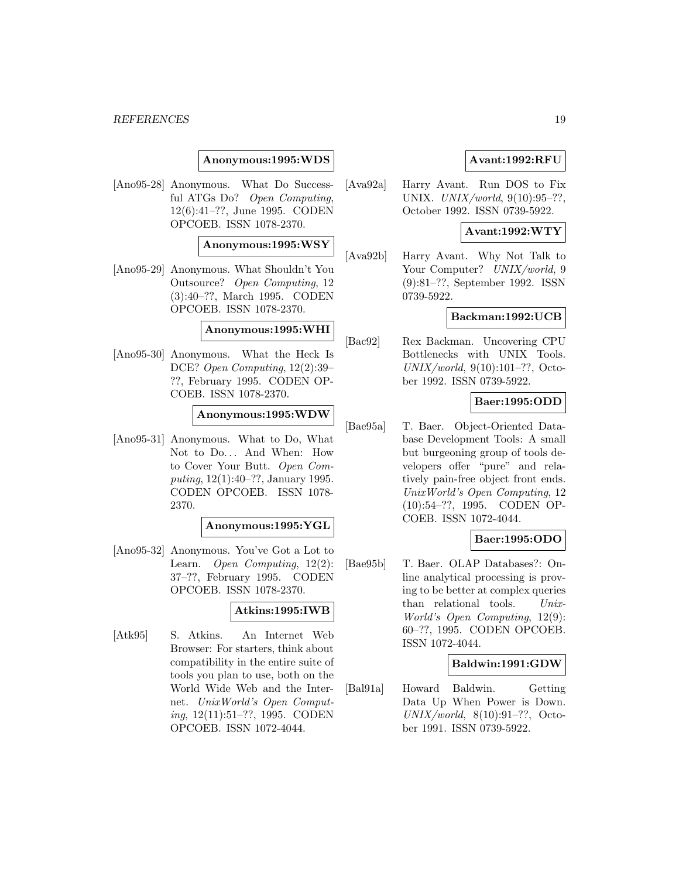### **Anonymous:1995:WDS**

[Ano95-28] Anonymous. What Do Successful ATGs Do? Open Computing, 12(6):41–??, June 1995. CODEN OPCOEB. ISSN 1078-2370.

### **Anonymous:1995:WSY**

[Ano95-29] Anonymous. What Shouldn't You Outsource? Open Computing, 12 (3):40–??, March 1995. CODEN OPCOEB. ISSN 1078-2370.

### **Anonymous:1995:WHI**

[Ano95-30] Anonymous. What the Heck Is DCE? Open Computing, 12(2):39– ??, February 1995. CODEN OP-COEB. ISSN 1078-2370.

#### **Anonymous:1995:WDW**

[Ano95-31] Anonymous. What to Do, What Not to Do... And When: How to Cover Your Butt. Open Computing, 12(1):40–??, January 1995. CODEN OPCOEB. ISSN 1078- 2370.

#### **Anonymous:1995:YGL**

[Ano95-32] Anonymous. You've Got a Lot to Learn. Open Computing, 12(2): 37–??, February 1995. CODEN OPCOEB. ISSN 1078-2370.

### **Atkins:1995:IWB**

[Atk95] S. Atkins. An Internet Web Browser: For starters, think about compatibility in the entire suite of tools you plan to use, both on the World Wide Web and the Internet. UnixWorld's Open Computing, 12(11):51–??, 1995. CODEN OPCOEB. ISSN 1072-4044.

### **Avant:1992:RFU**

[Ava92a] Harry Avant. Run DOS to Fix UNIX. UNIX/world, 9(10):95–??, October 1992. ISSN 0739-5922.

### **Avant:1992:WTY**

[Ava92b] Harry Avant. Why Not Talk to Your Computer? UNIX/world, 9 (9):81–??, September 1992. ISSN 0739-5922.

### **Backman:1992:UCB**

[Bac92] Rex Backman. Uncovering CPU Bottlenecks with UNIX Tools. UNIX/world, 9(10):101–??, October 1992. ISSN 0739-5922.

## **Baer:1995:ODD**

[Bae95a] T. Baer. Object-Oriented Database Development Tools: A small but burgeoning group of tools developers offer "pure" and relatively pain-free object front ends. UnixWorld's Open Computing, 12 (10):54–??, 1995. CODEN OP-COEB. ISSN 1072-4044.

### **Baer:1995:ODO**

[Bae95b] T. Baer. OLAP Databases?: Online analytical processing is proving to be better at complex queries than relational tools. Unix-World's Open Computing, 12(9): 60–??, 1995. CODEN OPCOEB. ISSN 1072-4044.

### **Baldwin:1991:GDW**

[Bal91a] Howard Baldwin. Getting Data Up When Power is Down. UNIX/world,  $8(10):91-??$ , October 1991. ISSN 0739-5922.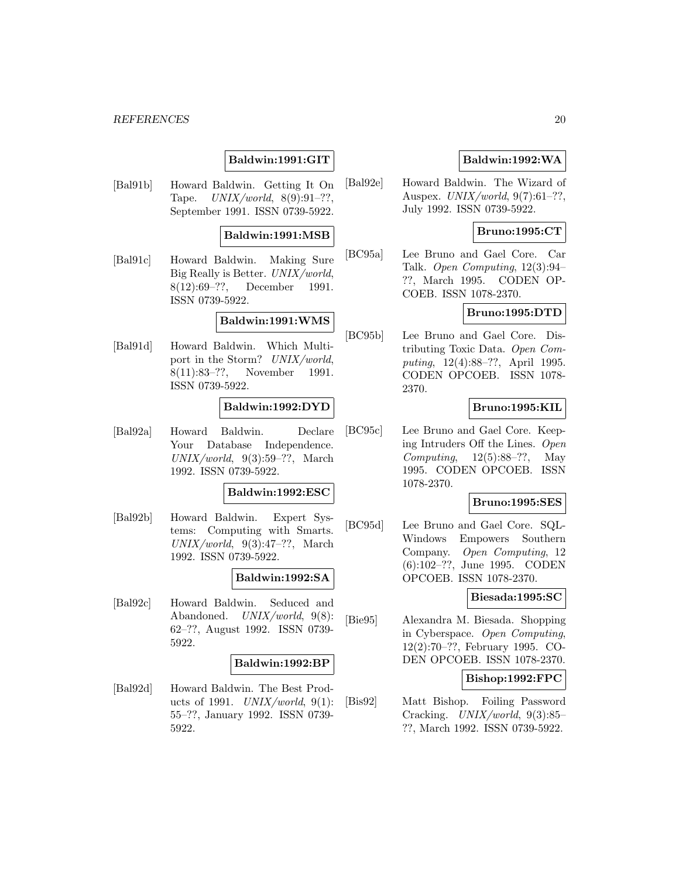### **Baldwin:1991:GIT**

[Bal91b] Howard Baldwin. Getting It On Tape.  $UNIX/world, 8(9):91-??,$ September 1991. ISSN 0739-5922.

#### **Baldwin:1991:MSB**

[Bal91c] Howard Baldwin. Making Sure Big Really is Better. UNIX/world, 8(12):69–??, December 1991. ISSN 0739-5922.

### **Baldwin:1991:WMS**

[Bal91d] Howard Baldwin. Which Multiport in the Storm? UNIX/world, 8(11):83–??, November 1991. ISSN 0739-5922.

### **Baldwin:1992:DYD**

[Bal92a] Howard Baldwin. Declare Your Database Independence.  $UNIX/world, 9(3):59-??, March$ 1992. ISSN 0739-5922.

### **Baldwin:1992:ESC**

[Bal92b] Howard Baldwin. Expert Systems: Computing with Smarts.  $UNIX/world, 9(3):47-??$ , March 1992. ISSN 0739-5922.

### **Baldwin:1992:SA**

[Bal92c] Howard Baldwin. Seduced and Abandoned. UNIX/world, 9(8): 62–??, August 1992. ISSN 0739- 5922.

### **Baldwin:1992:BP**

[Bal92d] Howard Baldwin. The Best Products of 1991.  $UNIX/world, 9(1)$ : 55–??, January 1992. ISSN 0739- 5922.

### **Baldwin:1992:WA**

[Bal92e] Howard Baldwin. The Wizard of Auspex. UNIX/world, 9(7):61–??, July 1992. ISSN 0739-5922.

### **Bruno:1995:CT**

[BC95a] Lee Bruno and Gael Core. Car Talk. Open Computing, 12(3):94– ??, March 1995. CODEN OP-COEB. ISSN 1078-2370.

## **Bruno:1995:DTD**

[BC95b] Lee Bruno and Gael Core. Distributing Toxic Data. Open Computing, 12(4):88–??, April 1995. CODEN OPCOEB. ISSN 1078- 2370.

### **Bruno:1995:KIL**

[BC95c] Lee Bruno and Gael Core. Keeping Intruders Off the Lines. Open Computing, 12(5):88–??, May 1995. CODEN OPCOEB. ISSN 1078-2370.

#### **Bruno:1995:SES**

[BC95d] Lee Bruno and Gael Core. SQL-Windows Empowers Southern Company. Open Computing, 12 (6):102–??, June 1995. CODEN OPCOEB. ISSN 1078-2370.

### **Biesada:1995:SC**

[Bie95] Alexandra M. Biesada. Shopping in Cyberspace. Open Computing, 12(2):70–??, February 1995. CO-DEN OPCOEB. ISSN 1078-2370.

### **Bishop:1992:FPC**

[Bis92] Matt Bishop. Foiling Password Cracking. UNIX/world, 9(3):85– ??, March 1992. ISSN 0739-5922.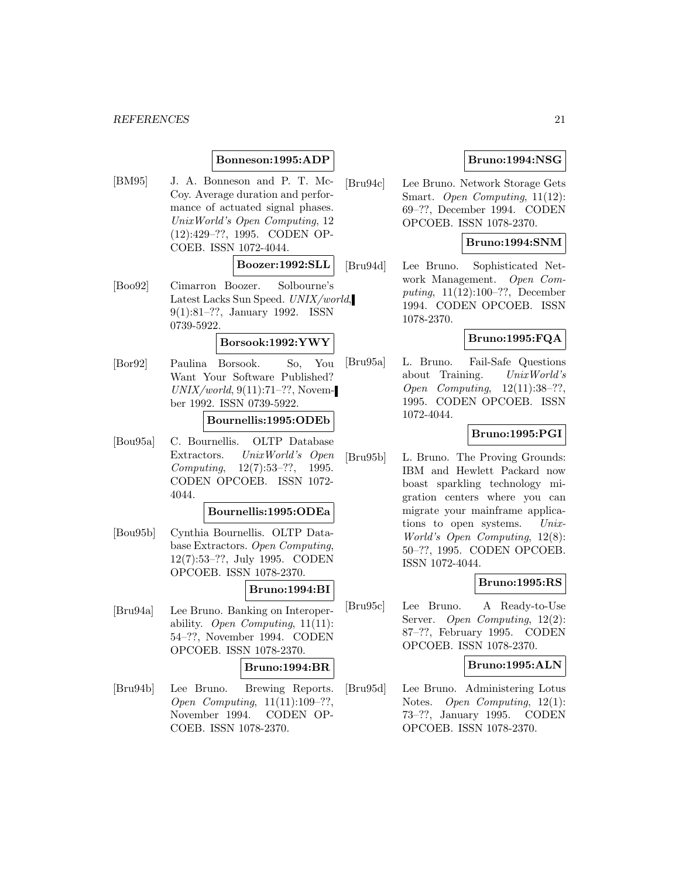### **Bonneson:1995:ADP**

[BM95] J. A. Bonneson and P. T. Mc-Coy. Average duration and performance of actuated signal phases. UnixWorld's Open Computing, 12 (12):429–??, 1995. CODEN OP-COEB. ISSN 1072-4044.

### **Boozer:1992:SLL**

[Boo92] Cimarron Boozer. Solbourne's Latest Lacks Sun Speed. UNIX/world, 9(1):81–??, January 1992. ISSN 0739-5922.

#### **Borsook:1992:YWY**

[Bor92] Paulina Borsook. So, You Want Your Software Published? UNIX/world, 9(11):71–??, November 1992. ISSN 0739-5922.

## **Bournellis:1995:ODEb**

[Bou95a] C. Bournellis. OLTP Database Extractors. UnixWorld's Open Computing, 12(7):53–??, 1995. CODEN OPCOEB. ISSN 1072- 4044.

#### **Bournellis:1995:ODEa**

[Bou95b] Cynthia Bournellis. OLTP Database Extractors. Open Computing, 12(7):53–??, July 1995. CODEN OPCOEB. ISSN 1078-2370.

### **Bruno:1994:BI**

[Bru94a] Lee Bruno. Banking on Interoperability. Open Computing,  $11(11)$ : 54–??, November 1994. CODEN OPCOEB. ISSN 1078-2370.

### **Bruno:1994:BR**

[Bru94b] Lee Bruno. Brewing Reports. Open Computing, 11(11):109–??, November 1994. CODEN OP-COEB. ISSN 1078-2370.

### **Bruno:1994:NSG**

[Bru94c] Lee Bruno. Network Storage Gets Smart. Open Computing, 11(12): 69–??, December 1994. CODEN OPCOEB. ISSN 1078-2370.

### **Bruno:1994:SNM**

[Bru94d] Lee Bruno. Sophisticated Network Management. Open Computing, 11(12):100–??, December 1994. CODEN OPCOEB. ISSN 1078-2370.

#### **Bruno:1995:FQA**

[Bru95a] L. Bruno. Fail-Safe Questions about Training. UnixWorld's Open Computing, 12(11):38–??, 1995. CODEN OPCOEB. ISSN 1072-4044.

### **Bruno:1995:PGI**

[Bru95b] L. Bruno. The Proving Grounds: IBM and Hewlett Packard now boast sparkling technology migration centers where you can migrate your mainframe applications to open systems. Unix-World's Open Computing, 12(8): 50–??, 1995. CODEN OPCOEB. ISSN 1072-4044.

#### **Bruno:1995:RS**

[Bru95c] Lee Bruno. A Ready-to-Use Server. Open Computing, 12(2): 87–??, February 1995. CODEN OPCOEB. ISSN 1078-2370.

### **Bruno:1995:ALN**

[Bru95d] Lee Bruno. Administering Lotus Notes. Open Computing, 12(1): 73–??, January 1995. CODEN OPCOEB. ISSN 1078-2370.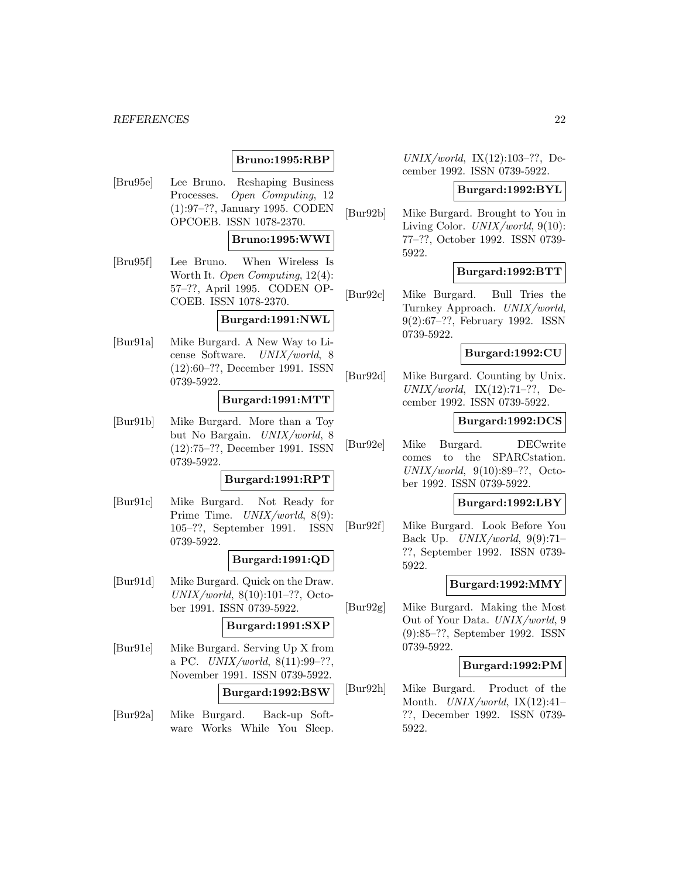### **Bruno:1995:RBP**

[Bru95e] Lee Bruno. Reshaping Business Processes. Open Computing, 12 (1):97–??, January 1995. CODEN OPCOEB. ISSN 1078-2370.

### **Bruno:1995:WWI**

[Bru95f] Lee Bruno. When Wireless Is Worth It. Open Computing, 12(4): 57–??, April 1995. CODEN OP-COEB. ISSN 1078-2370.

### **Burgard:1991:NWL**

[Bur91a] Mike Burgard. A New Way to License Software. UNIX/world, 8 (12):60–??, December 1991. ISSN 0739-5922.

#### **Burgard:1991:MTT**

[Bur91b] Mike Burgard. More than a Toy but No Bargain. UNIX/world, 8 (12):75–??, December 1991. ISSN 0739-5922.

### **Burgard:1991:RPT**

[Bur91c] Mike Burgard. Not Ready for Prime Time. UNIX/world, 8(9): 105–??, September 1991. ISSN 0739-5922.

### **Burgard:1991:QD**

[Bur91d] Mike Burgard. Quick on the Draw. UNIX/world, 8(10):101–??, October 1991. ISSN 0739-5922.

#### **Burgard:1991:SXP**

[Bur91e] Mike Burgard. Serving Up X from a PC.  $UNIX/world$ ,  $8(11):99-??$ , November 1991. ISSN 0739-5922.

## **Burgard:1992:BSW**

[Bur92a] Mike Burgard. Back-up Software Works While You Sleep.  $UNIX/world, IX(12):103-??, De$ cember 1992. ISSN 0739-5922.

#### **Burgard:1992:BYL**

[Bur92b] Mike Burgard. Brought to You in Living Color. UNIX/world, 9(10): 77–??, October 1992. ISSN 0739- 5922.

### **Burgard:1992:BTT**

[Bur92c] Mike Burgard. Bull Tries the Turnkey Approach. UNIX/world, 9(2):67–??, February 1992. ISSN 0739-5922.

### **Burgard:1992:CU**

[Bur92d] Mike Burgard. Counting by Unix.  $UNIX/world, \quad IX(12):71-??, \quad De$ cember 1992. ISSN 0739-5922.

### **Burgard:1992:DCS**

[Bur92e] Mike Burgard. DECwrite comes to the SPARCstation. UNIX/world,  $9(10):89-??$ , October 1992. ISSN 0739-5922.

#### **Burgard:1992:LBY**

[Bur92f] Mike Burgard. Look Before You Back Up.  $UNIX/world$ , 9(9):71-??, September 1992. ISSN 0739- 5922.

### **Burgard:1992:MMY**

[Bur92g] Mike Burgard. Making the Most Out of Your Data. UNIX/world, 9 (9):85–??, September 1992. ISSN 0739-5922.

### **Burgard:1992:PM**

[Bur92h] Mike Burgard. Product of the Month.  $UNIX/world$ ,  $IX(12):41-$ ??, December 1992. ISSN 0739- 5922.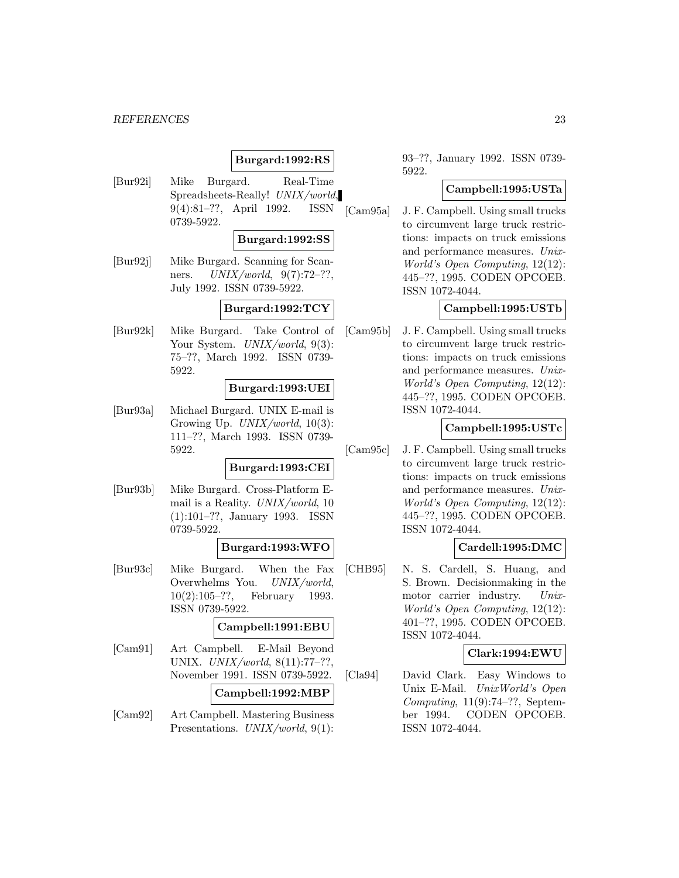### **Burgard:1992:RS**

[Bur92i] Mike Burgard. Real-Time Spreadsheets-Really! UNIX/world, 9(4):81–??, April 1992. ISSN 0739-5922.

#### **Burgard:1992:SS**

[Bur92j] Mike Burgard. Scanning for Scanners.  $UNIX/world, 9(7):72-??,$ July 1992. ISSN 0739-5922.

## **Burgard:1992:TCY**

[Bur92k] Mike Burgard. Take Control of Your System. UNIX/world, 9(3): 75–??, March 1992. ISSN 0739- 5922.

### **Burgard:1993:UEI**

[Bur93a] Michael Burgard. UNIX E-mail is Growing Up. *UNIX/world*, 10(3): 111–??, March 1993. ISSN 0739- 5922.

#### **Burgard:1993:CEI**

[Bur93b] Mike Burgard. Cross-Platform Email is a Reality. UNIX/world, 10 (1):101–??, January 1993. ISSN 0739-5922.

### **Burgard:1993:WFO**

[Bur93c] Mike Burgard. When the Fax Overwhelms You. UNIX/world, 10(2):105–??, February 1993. ISSN 0739-5922.

#### **Campbell:1991:EBU**

[Cam91] Art Campbell. E-Mail Beyond UNIX. UNIX/world, 8(11):77–??, November 1991. ISSN 0739-5922.

### **Campbell:1992:MBP**

[Cam92] Art Campbell. Mastering Business Presentations. UNIX/world, 9(1):

93–??, January 1992. ISSN 0739- 5922.

### **Campbell:1995:USTa**

[Cam95a] J. F. Campbell. Using small trucks to circumvent large truck restrictions: impacts on truck emissions and performance measures. Unix-World's Open Computing, 12(12): 445–??, 1995. CODEN OPCOEB. ISSN 1072-4044.

### **Campbell:1995:USTb**

[Cam95b] J. F. Campbell. Using small trucks to circumvent large truck restrictions: impacts on truck emissions and performance measures. Unix-World's Open Computing, 12(12): 445–??, 1995. CODEN OPCOEB. ISSN 1072-4044.

### **Campbell:1995:USTc**

[Cam95c] J. F. Campbell. Using small trucks to circumvent large truck restrictions: impacts on truck emissions and performance measures. Unix-World's Open Computing, 12(12): 445–??, 1995. CODEN OPCOEB. ISSN 1072-4044.

### **Cardell:1995:DMC**

[CHB95] N. S. Cardell, S. Huang, and S. Brown. Decisionmaking in the motor carrier industry. Unix-World's Open Computing, 12(12): 401–??, 1995. CODEN OPCOEB. ISSN 1072-4044.

### **Clark:1994:EWU**

[Cla94] David Clark. Easy Windows to Unix E-Mail. UnixWorld's Open Computing,  $11(9):74-??$ , September 1994. CODEN OPCOEB. ISSN 1072-4044.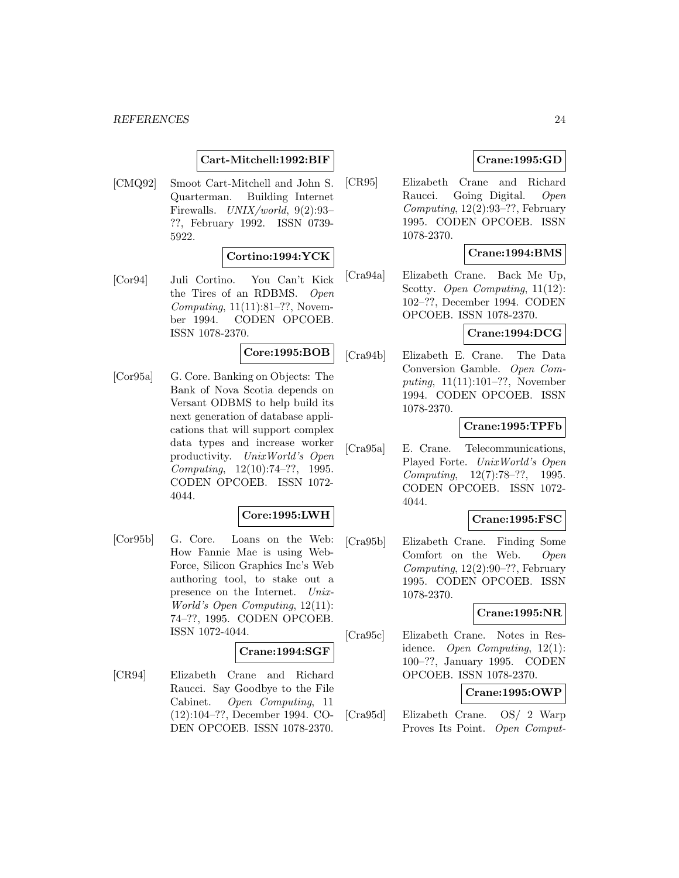### **Cart-Mitchell:1992:BIF**

[CMQ92] Smoot Cart-Mitchell and John S. Quarterman. Building Internet Firewalls. UNIX/world, 9(2):93– ??, February 1992. ISSN 0739- 5922.

### **Cortino:1994:YCK**

[Cor94] Juli Cortino. You Can't Kick the Tires of an RDBMS. Open Computing,  $11(11):81-??$ , November 1994. CODEN OPCOEB. ISSN 1078-2370.

## **Core:1995:BOB**

[Cor95a] G. Core. Banking on Objects: The Bank of Nova Scotia depends on Versant ODBMS to help build its next generation of database applications that will support complex data types and increase worker productivity. UnixWorld's Open Computing, 12(10):74–??, 1995. CODEN OPCOEB. ISSN 1072- 4044.

### **Core:1995:LWH**

[Cor95b] G. Core. Loans on the Web: How Fannie Mae is using Web-Force, Silicon Graphics Inc's Web authoring tool, to stake out a presence on the Internet. Unix-World's Open Computing, 12(11): 74–??, 1995. CODEN OPCOEB. ISSN 1072-4044.

## **Crane:1994:SGF**

[CR94] Elizabeth Crane and Richard Raucci. Say Goodbye to the File Cabinet. Open Computing, 11 (12):104–??, December 1994. CO-DEN OPCOEB. ISSN 1078-2370.

### **Crane:1995:GD**

[CR95] Elizabeth Crane and Richard Raucci. Going Digital. Open Computing,  $12(2):93-??$ , February 1995. CODEN OPCOEB. ISSN 1078-2370.

### **Crane:1994:BMS**

[Cra94a] Elizabeth Crane. Back Me Up, Scotty. Open Computing, 11(12): 102–??, December 1994. CODEN OPCOEB. ISSN 1078-2370.

### **Crane:1994:DCG**

[Cra94b] Elizabeth E. Crane. The Data Conversion Gamble. Open Computing, 11(11):101–??, November 1994. CODEN OPCOEB. ISSN 1078-2370.

### **Crane:1995:TPFb**

[Cra95a] E. Crane. Telecommunications, Played Forte. UnixWorld's Open Computing, 12(7):78–??, 1995. CODEN OPCOEB. ISSN 1072- 4044.

### **Crane:1995:FSC**

[Cra95b] Elizabeth Crane. Finding Some Comfort on the Web. Open Computing,  $12(2):90-??$ , February 1995. CODEN OPCOEB. ISSN 1078-2370.

### **Crane:1995:NR**

[Cra95c] Elizabeth Crane. Notes in Residence. Open Computing, 12(1): 100–??, January 1995. CODEN OPCOEB. ISSN 1078-2370.

### **Crane:1995:OWP**

[Cra95d] Elizabeth Crane. OS/ 2 Warp Proves Its Point. Open Comput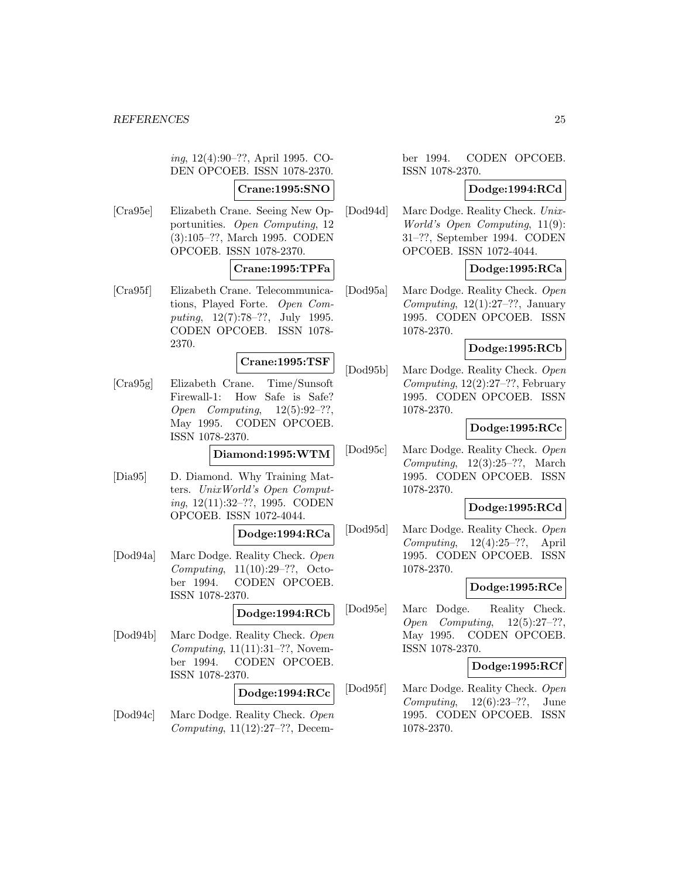ing, 12(4):90–??, April 1995. CO-DEN OPCOEB. ISSN 1078-2370.

### **Crane:1995:SNO**

[Cra95e] Elizabeth Crane. Seeing New Opportunities. Open Computing, 12 (3):105–??, March 1995. CODEN OPCOEB. ISSN 1078-2370.

### **Crane:1995:TPFa**

[Cra95f] Elizabeth Crane. Telecommunications, Played Forte. Open Computing, 12(7):78–??, July 1995. CODEN OPCOEB. ISSN 1078- 2370.

#### **Crane:1995:TSF**

[Cra95g] Elizabeth Crane. Time/Sunsoft Firewall-1: How Safe is Safe? Open Computing, 12(5):92–??, May 1995. CODEN OPCOEB. ISSN 1078-2370.

**Diamond:1995:WTM**

[Dia95] D. Diamond. Why Training Matters. UnixWorld's Open Computing, 12(11):32–??, 1995. CODEN OPCOEB. ISSN 1072-4044.

## **Dodge:1994:RCa**

[Dod94a] Marc Dodge. Reality Check. Open Computing, 11(10):29–??, October 1994. CODEN OPCOEB. ISSN 1078-2370.

### **Dodge:1994:RCb**

[Dod94b] Marc Dodge. Reality Check. Open Computing, 11(11):31–??, November 1994. CODEN OPCOEB. ISSN 1078-2370.

## **Dodge:1994:RCc**

[Dod94c] Marc Dodge. Reality Check. Open Computing, 11(12):27–??, Decem-

### ber 1994. CODEN OPCOEB. ISSN 1078-2370.

### **Dodge:1994:RCd**

[Dod94d] Marc Dodge. Reality Check. Unix-World's Open Computing, 11(9): 31–??, September 1994. CODEN OPCOEB. ISSN 1072-4044.

### **Dodge:1995:RCa**

[Dod95a] Marc Dodge. Reality Check. Open Computing,  $12(1):27-??$ , January 1995. CODEN OPCOEB. ISSN 1078-2370.

### **Dodge:1995:RCb**

[Dod95b] Marc Dodge. Reality Check. Open Computing,  $12(2):27-??$ , February 1995. CODEN OPCOEB. ISSN 1078-2370.

### **Dodge:1995:RCc**

[Dod95c] Marc Dodge. Reality Check. Open Computing,  $12(3):25-??$ , March 1995. CODEN OPCOEB. ISSN 1078-2370.

## **Dodge:1995:RCd**

[Dod95d] Marc Dodge. Reality Check. Open Computing, 12(4):25–??, April 1995. CODEN OPCOEB. ISSN 1078-2370.

### **Dodge:1995:RCe**

[Dod95e] Marc Dodge. Reality Check. Open Computing, 12(5):27–??, May 1995. CODEN OPCOEB. ISSN 1078-2370.

### **Dodge:1995:RCf**

[Dod95f] Marc Dodge. Reality Check. Open Computing,  $12(6):23-??$ , June 1995. CODEN OPCOEB. ISSN 1078-2370.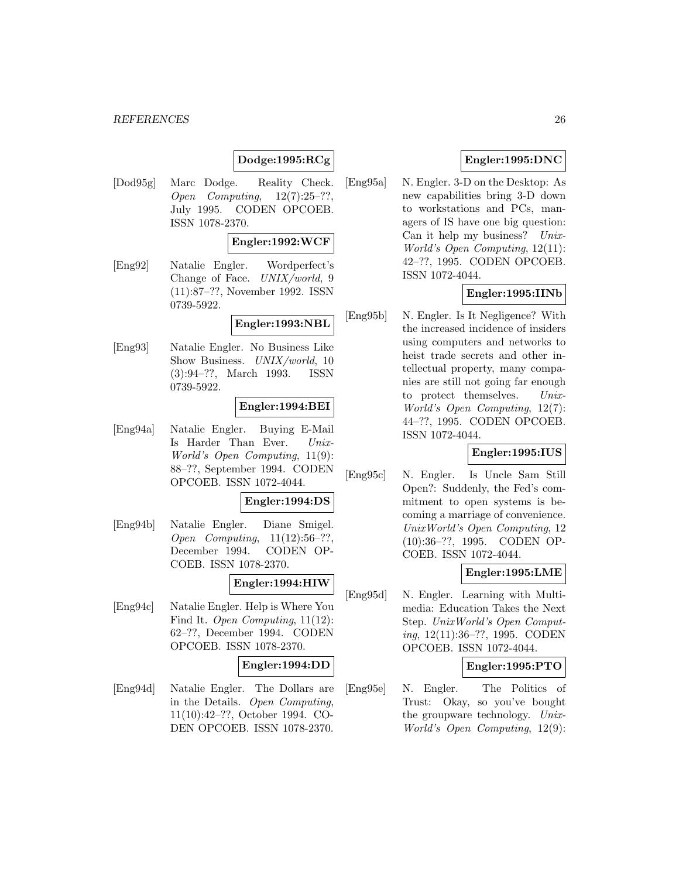## **Dodge:1995:RCg**

[Dod95g] Marc Dodge. Reality Check. Open Computing,  $12(7):25-??$ , July 1995. CODEN OPCOEB. ISSN 1078-2370.

### **Engler:1992:WCF**

[Eng92] Natalie Engler. Wordperfect's Change of Face. UNIX/world, 9 (11):87–??, November 1992. ISSN 0739-5922.

### **Engler:1993:NBL**

[Eng93] Natalie Engler. No Business Like Show Business. UNIX/world, 10 (3):94–??, March 1993. ISSN 0739-5922.

### **Engler:1994:BEI**

[Eng94a] Natalie Engler. Buying E-Mail Is Harder Than Ever. Unix-World's Open Computing, 11(9): 88–??, September 1994. CODEN OPCOEB. ISSN 1072-4044.

#### **Engler:1994:DS**

[Eng94b] Natalie Engler. Diane Smigel. Open Computing, 11(12):56–??, December 1994. CODEN OP-COEB. ISSN 1078-2370.

### **Engler:1994:HIW**

[Eng94c] Natalie Engler. Help is Where You Find It. Open Computing, 11(12): 62–??, December 1994. CODEN OPCOEB. ISSN 1078-2370.

### **Engler:1994:DD**

[Eng94d] Natalie Engler. The Dollars are in the Details. Open Computing, 11(10):42–??, October 1994. CO-DEN OPCOEB. ISSN 1078-2370.

## **Engler:1995:DNC**

[Eng95a] N. Engler. 3-D on the Desktop: As new capabilities bring 3-D down to workstations and PCs, managers of IS have one big question: Can it help my business? Unix-World's Open Computing, 12(11): 42–??, 1995. CODEN OPCOEB. ISSN 1072-4044.

## **Engler:1995:IINb**

[Eng95b] N. Engler. Is It Negligence? With the increased incidence of insiders using computers and networks to heist trade secrets and other intellectual property, many companies are still not going far enough to protect themselves. Unix-World's Open Computing, 12(7): 44–??, 1995. CODEN OPCOEB. ISSN 1072-4044.

### **Engler:1995:IUS**

[Eng95c] N. Engler. Is Uncle Sam Still Open?: Suddenly, the Fed's commitment to open systems is becoming a marriage of convenience. UnixWorld's Open Computing, 12 (10):36–??, 1995. CODEN OP-COEB. ISSN 1072-4044.

### **Engler:1995:LME**

[Eng95d] N. Engler. Learning with Multimedia: Education Takes the Next Step. UnixWorld's Open Computing, 12(11):36–??, 1995. CODEN OPCOEB. ISSN 1072-4044.

#### **Engler:1995:PTO**

[Eng95e] N. Engler. The Politics of Trust: Okay, so you've bought the groupware technology. Unix-World's Open Computing, 12(9):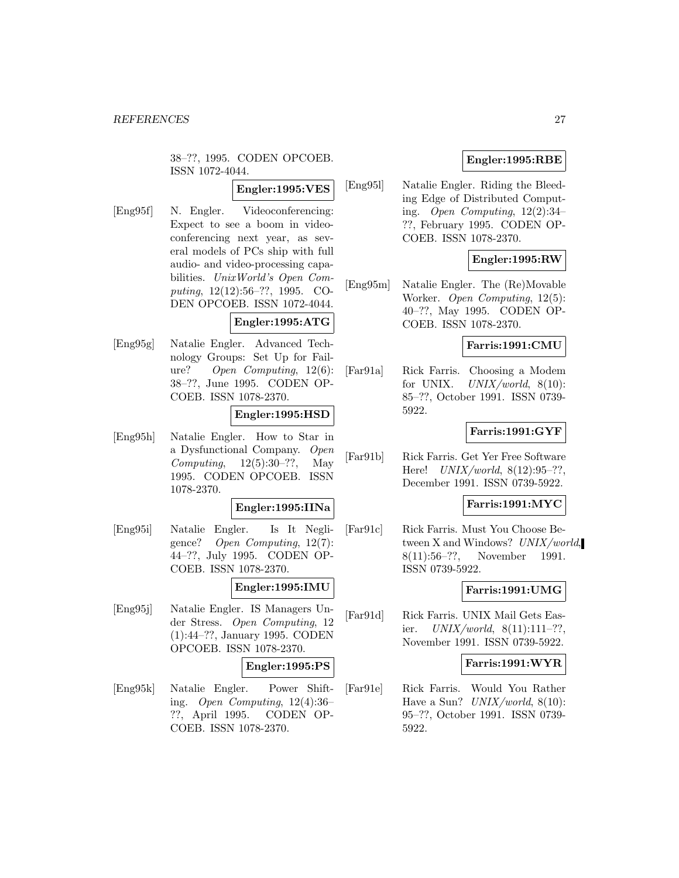38–??, 1995. CODEN OPCOEB. ISSN 1072-4044.

## **Engler:1995:VES**

[Eng95f] N. Engler. Videoconferencing: Expect to see a boom in videoconferencing next year, as several models of PCs ship with full audio- and video-processing capabilities. UnixWorld's Open Computing, 12(12):56–??, 1995. CO-DEN OPCOEB. ISSN 1072-4044.

## **Engler:1995:ATG**

[Eng95g] Natalie Engler. Advanced Technology Groups: Set Up for Failure? Open Computing, 12(6): 38–??, June 1995. CODEN OP-COEB. ISSN 1078-2370.

### **Engler:1995:HSD**

[Eng95h] Natalie Engler. How to Star in a Dysfunctional Company. Open Computing,  $12(5):30-??$ , May 1995. CODEN OPCOEB. ISSN 1078-2370.

#### **Engler:1995:IINa**

[Eng95i] Natalie Engler. Is It Negligence? Open Computing, 12(7): 44–??, July 1995. CODEN OP-COEB. ISSN 1078-2370.

#### **Engler:1995:IMU**

[Eng95j] Natalie Engler. IS Managers Under Stress. Open Computing, 12 (1):44–??, January 1995. CODEN OPCOEB. ISSN 1078-2370.

#### **Engler:1995:PS**

[Eng95k] Natalie Engler. Power Shifting. Open Computing, 12(4):36– ??, April 1995. CODEN OP-COEB. ISSN 1078-2370.

### **Engler:1995:RBE**

[Eng95l] Natalie Engler. Riding the Bleeding Edge of Distributed Computing. Open Computing, 12(2):34– ??, February 1995. CODEN OP-COEB. ISSN 1078-2370.

### **Engler:1995:RW**

[Eng95m] Natalie Engler. The (Re)Movable Worker. Open Computing, 12(5): 40–??, May 1995. CODEN OP-COEB. ISSN 1078-2370.

### **Farris:1991:CMU**

[Far91a] Rick Farris. Choosing a Modem for UNIX.  $UNIX/world$ ,  $8(10)$ : 85–??, October 1991. ISSN 0739- 5922.

### **Farris:1991:GYF**

[Far91b] Rick Farris. Get Yer Free Software Here!  $UNIX/world$ ,  $8(12):95-??$ , December 1991. ISSN 0739-5922.

### **Farris:1991:MYC**

[Far91c] Rick Farris. Must You Choose Between X and Windows? UNIX/world, 8(11):56–??, November 1991. ISSN 0739-5922.

#### **Farris:1991:UMG**

[Far91d] Rick Farris. UNIX Mail Gets Easier.  $UNIX/world, 8(11):111-??,$ November 1991. ISSN 0739-5922.

### **Farris:1991:WYR**

[Far91e] Rick Farris. Would You Rather Have a Sun?  $UNIX/world$ ,  $8(10)$ : 95–??, October 1991. ISSN 0739- 5922.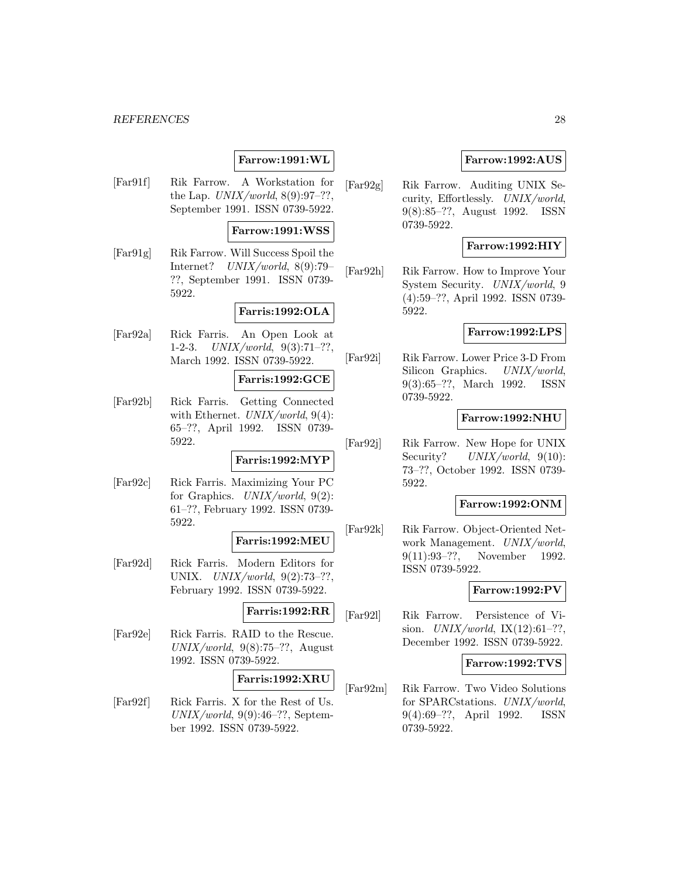## **Farrow:1991:WL**

[Far91f] Rik Farrow. A Workstation for the Lap.  $UNIX/world$ ,  $8(9):97-??$ , September 1991. ISSN 0739-5922.

### **Farrow:1991:WSS**

[Far91g] Rik Farrow. Will Success Spoil the Internet? UNIX/world, 8(9):79– ??, September 1991. ISSN 0739- 5922.

### **Farris:1992:OLA**

[Far92a] Rick Farris. An Open Look at 1-2-3.  $UNIX/world, 9(3):71-??,$ March 1992. ISSN 0739-5922.

### **Farris:1992:GCE**

[Far92b] Rick Farris. Getting Connected with Ethernet.  $UNIX/world$ , 9(4): 65–??, April 1992. ISSN 0739- 5922.

### **Farris:1992:MYP**

[Far92c] Rick Farris. Maximizing Your PC for Graphics.  $UNIX/world$ ,  $9(2)$ : 61–??, February 1992. ISSN 0739- 5922.

## **Farris:1992:MEU**

[Far92d] Rick Farris. Modern Editors for UNIX. UNIX/world, 9(2):73–??, February 1992. ISSN 0739-5922.

## **Farris:1992:RR**

[Far92e] Rick Farris. RAID to the Rescue.  $UNIX/world, 9(8):75-??, August$ 1992. ISSN 0739-5922.

#### **Farris:1992:XRU**

[Far92f] Rick Farris. X for the Rest of Us.  $UNIX/world, 9(9):46-??$ , September 1992. ISSN 0739-5922.

### **Farrow:1992:AUS**

[Far92g] Rik Farrow. Auditing UNIX Security, Effortlessly. UNIX/world, 9(8):85–??, August 1992. ISSN 0739-5922.

### **Farrow:1992:HIY**

[Far92h] Rik Farrow. How to Improve Your System Security. UNIX/world, 9 (4):59–??, April 1992. ISSN 0739- 5922.

### **Farrow:1992:LPS**

[Far92i] Rik Farrow. Lower Price 3-D From Silicon Graphics. UNIX/world, 9(3):65–??, March 1992. ISSN 0739-5922.

### **Farrow:1992:NHU**

[Far92j] Rik Farrow. New Hope for UNIX Security? UNIX/world, 9(10): 73–??, October 1992. ISSN 0739- 5922.

### **Farrow:1992:ONM**

[Far92k] Rik Farrow. Object-Oriented Network Management. UNIX/world, 9(11):93–??, November 1992. ISSN 0739-5922.

### **Farrow:1992:PV**

[Far92l] Rik Farrow. Persistence of Vision.  $UNIX/world$ ,  $IX(12):61-??$ , December 1992. ISSN 0739-5922.

### **Farrow:1992:TVS**

[Far92m] Rik Farrow. Two Video Solutions for SPARCstations. UNIX/world, 9(4):69–??, April 1992. ISSN 0739-5922.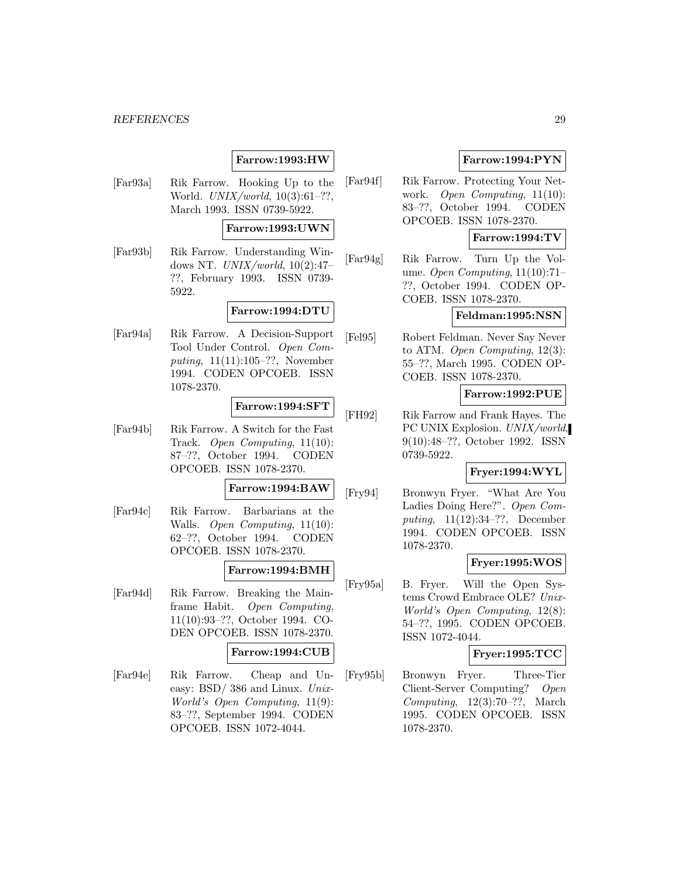### **Farrow:1993:HW**

[Far93a] Rik Farrow. Hooking Up to the World. *UNIX/world*, 10(3):61-??, March 1993. ISSN 0739-5922.

### **Farrow:1993:UWN**

[Far93b] Rik Farrow. Understanding Windows NT.  $UNIX/world$ ,  $10(2):47$ ??, February 1993. ISSN 0739- 5922.

### **Farrow:1994:DTU**

[Far94a] Rik Farrow. A Decision-Support Tool Under Control. Open Computing, 11(11):105–??, November 1994. CODEN OPCOEB. ISSN 1078-2370.

### **Farrow:1994:SFT**

[Far94b] Rik Farrow. A Switch for the Fast Track. Open Computing, 11(10): 87–??, October 1994. CODEN OPCOEB. ISSN 1078-2370.

### **Farrow:1994:BAW**

[Far94c] Rik Farrow. Barbarians at the Walls. Open Computing, 11(10): 62–??, October 1994. CODEN OPCOEB. ISSN 1078-2370.

### **Farrow:1994:BMH**

[Far94d] Rik Farrow. Breaking the Mainframe Habit. Open Computing, 11(10):93–??, October 1994. CO-DEN OPCOEB. ISSN 1078-2370.

### **Farrow:1994:CUB**

[Far94e] Rik Farrow. Cheap and Uneasy: BSD/ 386 and Linux. Unix-World's Open Computing, 11(9): 83–??, September 1994. CODEN OPCOEB. ISSN 1072-4044.

## **Farrow:1994:PYN**

[Far94f] Rik Farrow. Protecting Your Network. Open Computing, 11(10): 83–??, October 1994. CODEN OPCOEB. ISSN 1078-2370.

## **Farrow:1994:TV**

[Far94g] Rik Farrow. Turn Up the Volume. Open Computing, 11(10):71– ??, October 1994. CODEN OP-COEB. ISSN 1078-2370.

### **Feldman:1995:NSN**

[Fel95] Robert Feldman. Never Say Never to ATM. Open Computing, 12(3): 55–??, March 1995. CODEN OP-COEB. ISSN 1078-2370.

### **Farrow:1992:PUE**

[FH92] Rik Farrow and Frank Hayes. The PC UNIX Explosion. UNIX/world, 9(10):48–??, October 1992. ISSN 0739-5922.

#### **Fryer:1994:WYL**

[Fry94] Bronwyn Fryer. "What Are You Ladies Doing Here?". Open Computing, 11(12):34–??, December 1994. CODEN OPCOEB. ISSN 1078-2370.

### **Fryer:1995:WOS**

[Fry95a] B. Fryer. Will the Open Systems Crowd Embrace OLE? Unix-World's Open Computing, 12(8): 54–??, 1995. CODEN OPCOEB. ISSN 1072-4044.

#### **Fryer:1995:TCC**

[Fry95b] Bronwyn Fryer. Three-Tier Client-Server Computing? Open Computing, 12(3):70–??, March 1995. CODEN OPCOEB. ISSN 1078-2370.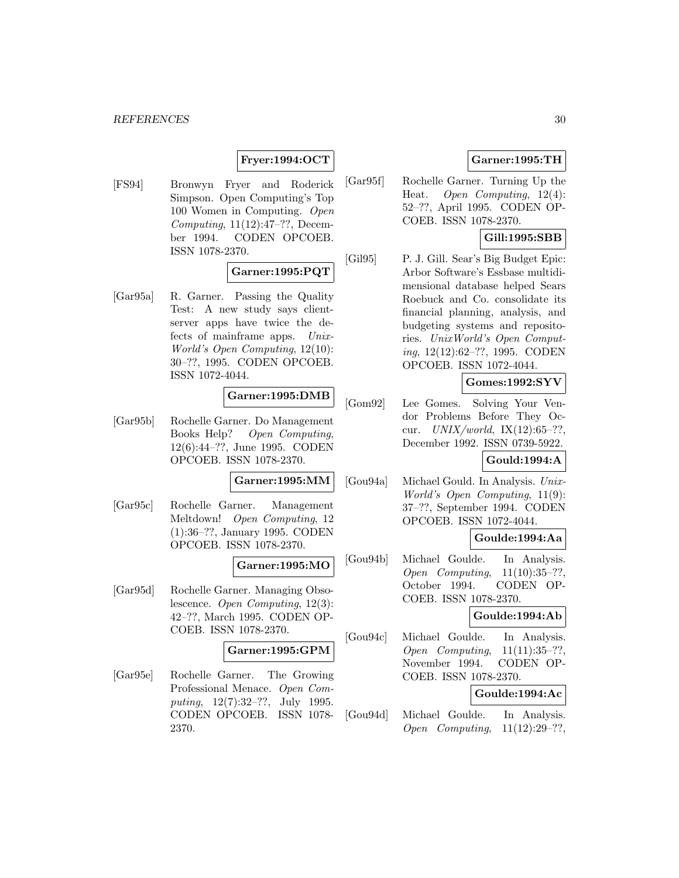### **Fryer:1994:OCT**

[FS94] Bronwyn Fryer and Roderick Simpson. Open Computing's Top 100 Women in Computing. Open Computing, 11(12):47–??, December 1994. CODEN OPCOEB. ISSN 1078-2370.

### **Garner:1995:PQT**

[Gar95a] R. Garner. Passing the Quality Test: A new study says clientserver apps have twice the defects of mainframe apps. Unix-World's Open Computing, 12(10): 30–??, 1995. CODEN OPCOEB. ISSN 1072-4044.

### **Garner:1995:DMB**

[Gar95b] Rochelle Garner. Do Management Books Help? Open Computing, 12(6):44–??, June 1995. CODEN OPCOEB. ISSN 1078-2370.

#### **Garner:1995:MM**

[Gar95c] Rochelle Garner. Management Meltdown! Open Computing, 12 (1):36–??, January 1995. CODEN OPCOEB. ISSN 1078-2370.

### **Garner:1995:MO**

[Gar95d] Rochelle Garner. Managing Obsolescence. Open Computing, 12(3): 42–??, March 1995. CODEN OP-COEB. ISSN 1078-2370.

## **Garner:1995:GPM**

[Gar95e] Rochelle Garner. The Growing Professional Menace. Open Computing, 12(7):32–??, July 1995. CODEN OPCOEB. ISSN 1078- 2370.

### **Garner:1995:TH**

[Gar95f] Rochelle Garner. Turning Up the Heat. Open Computing, 12(4): 52–??, April 1995. CODEN OP-COEB. ISSN 1078-2370.

### **Gill:1995:SBB**

[Gil95] P. J. Gill. Sear's Big Budget Epic: Arbor Software's Essbase multidimensional database helped Sears Roebuck and Co. consolidate its financial planning, analysis, and budgeting systems and repositories. UnixWorld's Open Computing, 12(12):62–??, 1995. CODEN OPCOEB. ISSN 1072-4044.

### **Gomes:1992:SYV**

[Gom92] Lee Gomes. Solving Your Vendor Problems Before They Occur.  $UNIX/world$ ,  $IX(12):65-??$ . December 1992. ISSN 0739-5922.

### **Gould:1994:A**

[Gou94a] Michael Gould. In Analysis. Unix-World's Open Computing, 11(9): 37–??, September 1994. CODEN OPCOEB. ISSN 1072-4044.

### **Goulde:1994:Aa**

[Gou94b] Michael Goulde. In Analysis. Open Computing, 11(10):35–??, October 1994. CODEN OP-COEB. ISSN 1078-2370.

### **Goulde:1994:Ab**

[Gou94c] Michael Goulde. In Analysis. Open Computing, 11(11):35–??, November 1994. CODEN OP-COEB. ISSN 1078-2370.

## **Goulde:1994:Ac**

[Gou94d] Michael Goulde. In Analysis. Open Computing, 11(12):29–??,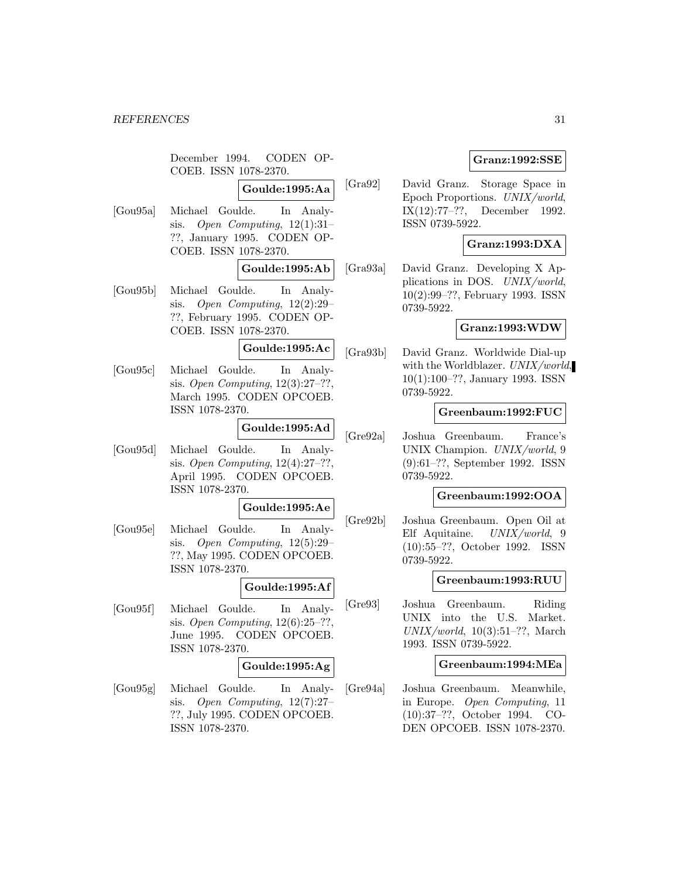December 1994. CODEN OP-COEB. ISSN 1078-2370.

## **Goulde:1995:Aa**

[Gou95a] Michael Goulde. In Analysis. Open Computing,  $12(1):31-$ ??, January 1995. CODEN OP-COEB. ISSN 1078-2370.

### **Goulde:1995:Ab**

[Gou95b] Michael Goulde. In Analysis. Open Computing, 12(2):29– ??, February 1995. CODEN OP-COEB. ISSN 1078-2370.

## **Goulde:1995:Ac**

[Gou95c] Michael Goulde. In Analysis. Open Computing, 12(3):27–??, March 1995. CODEN OPCOEB. ISSN 1078-2370.

## **Goulde:1995:Ad**

[Gou95d] Michael Goulde. In Analysis. Open Computing, 12(4):27–??, April 1995. CODEN OPCOEB. ISSN 1078-2370.

### **Goulde:1995:Ae**

[Gou95e] Michael Goulde. In Analysis. Open Computing, 12(5):29– ??, May 1995. CODEN OPCOEB. ISSN 1078-2370.

#### **Goulde:1995:Af**

[Gou95f] Michael Goulde. In Analysis. Open Computing, 12(6):25–??, June 1995. CODEN OPCOEB. ISSN 1078-2370.

#### **Goulde:1995:Ag**

[Gou95g] Michael Goulde. In Analysis. Open Computing, 12(7):27– ??, July 1995. CODEN OPCOEB. ISSN 1078-2370.

### **Granz:1992:SSE**

[Gra92] David Granz. Storage Space in Epoch Proportions. UNIX/world, IX(12):77–??, December 1992. ISSN 0739-5922.

### **Granz:1993:DXA**

[Gra93a] David Granz. Developing X Applications in DOS. UNIX/world, 10(2):99–??, February 1993. ISSN 0739-5922.

### **Granz:1993:WDW**

[Gra93b] David Granz. Worldwide Dial-up with the Worldblazer. UNIX/world, 10(1):100–??, January 1993. ISSN 0739-5922.

### **Greenbaum:1992:FUC**

[Gre92a] Joshua Greenbaum. France's UNIX Champion. UNIX/world, 9 (9):61–??, September 1992. ISSN 0739-5922.

#### **Greenbaum:1992:OOA**

[Gre92b] Joshua Greenbaum. Open Oil at Elf Aquitaine. UNIX/world, 9 (10):55–??, October 1992. ISSN 0739-5922.

### **Greenbaum:1993:RUU**

[Gre93] Joshua Greenbaum. Riding UNIX into the U.S. Market.  $UNIX/world, 10(3):51-??$ , March 1993. ISSN 0739-5922.

### **Greenbaum:1994:MEa**

[Gre94a] Joshua Greenbaum. Meanwhile, in Europe. Open Computing, 11 (10):37–??, October 1994. CO-DEN OPCOEB. ISSN 1078-2370.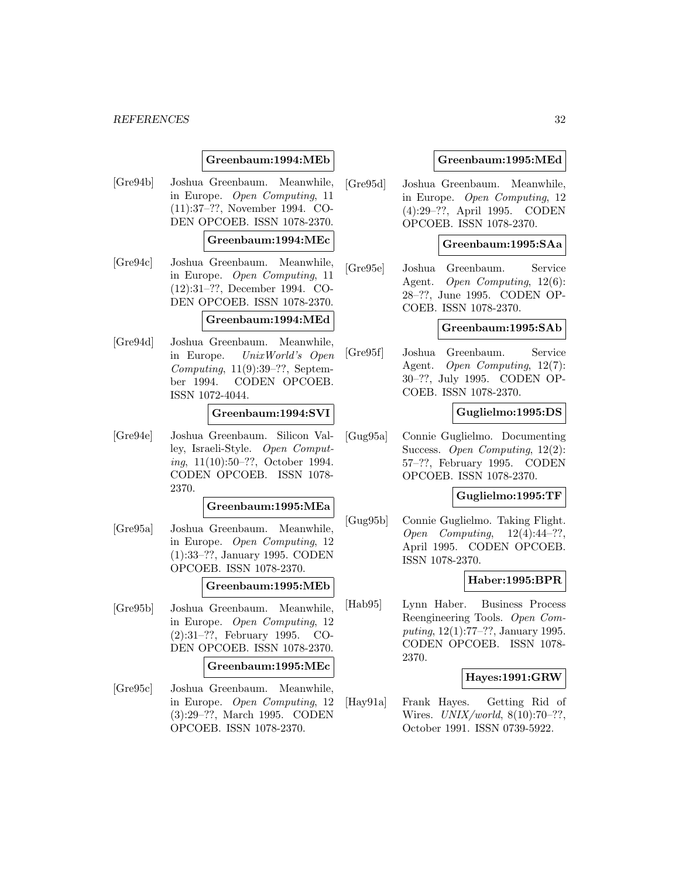### **Greenbaum:1994:MEb**

[Gre94b] Joshua Greenbaum. Meanwhile, in Europe. Open Computing, 11 (11):37–??, November 1994. CO-DEN OPCOEB. ISSN 1078-2370.

## **Greenbaum:1994:MEc**

[Gre94c] Joshua Greenbaum. Meanwhile, in Europe. Open Computing, 11 (12):31–??, December 1994. CO-DEN OPCOEB. ISSN 1078-2370.

#### **Greenbaum:1994:MEd**

[Gre94d] Joshua Greenbaum. Meanwhile, in Europe. UnixWorld's Open Computing,  $11(9):39-??$ , September 1994. CODEN OPCOEB. ISSN 1072-4044.

#### **Greenbaum:1994:SVI**

[Gre94e] Joshua Greenbaum. Silicon Valley, Israeli-Style. Open Computing, 11(10):50–??, October 1994. CODEN OPCOEB. ISSN 1078- 2370.

### **Greenbaum:1995:MEa**

[Gre95a] Joshua Greenbaum. Meanwhile, in Europe. Open Computing, 12 (1):33–??, January 1995. CODEN OPCOEB. ISSN 1078-2370.

#### **Greenbaum:1995:MEb**

[Gre95b] Joshua Greenbaum. Meanwhile, in Europe. Open Computing, 12 (2):31–??, February 1995. CO-DEN OPCOEB. ISSN 1078-2370.

#### **Greenbaum:1995:MEc**

[Gre95c] Joshua Greenbaum. Meanwhile, in Europe. Open Computing, 12 (3):29–??, March 1995. CODEN OPCOEB. ISSN 1078-2370.

### **Greenbaum:1995:MEd**

[Gre95d] Joshua Greenbaum. Meanwhile, in Europe. Open Computing, 12 (4):29–??, April 1995. CODEN OPCOEB. ISSN 1078-2370.

### **Greenbaum:1995:SAa**

[Gre95e] Joshua Greenbaum. Service Agent. Open Computing, 12(6): 28–??, June 1995. CODEN OP-COEB. ISSN 1078-2370.

### **Greenbaum:1995:SAb**

[Gre95f] Joshua Greenbaum. Service Agent. Open Computing, 12(7): 30–??, July 1995. CODEN OP-COEB. ISSN 1078-2370.

### **Guglielmo:1995:DS**

[Gug95a] Connie Guglielmo. Documenting Success. Open Computing, 12(2): 57–??, February 1995. CODEN OPCOEB. ISSN 1078-2370.

### **Guglielmo:1995:TF**

[Gug95b] Connie Guglielmo. Taking Flight. Open Computing,  $12(4):44-??$ , April 1995. CODEN OPCOEB. ISSN 1078-2370.

### **Haber:1995:BPR**

[Hab95] Lynn Haber. Business Process Reengineering Tools. Open Computing, 12(1):77–??, January 1995. CODEN OPCOEB. ISSN 1078- 2370.

### **Hayes:1991:GRW**

[Hay91a] Frank Hayes. Getting Rid of Wires. *UNIX/world*, 8(10):70-??, October 1991. ISSN 0739-5922.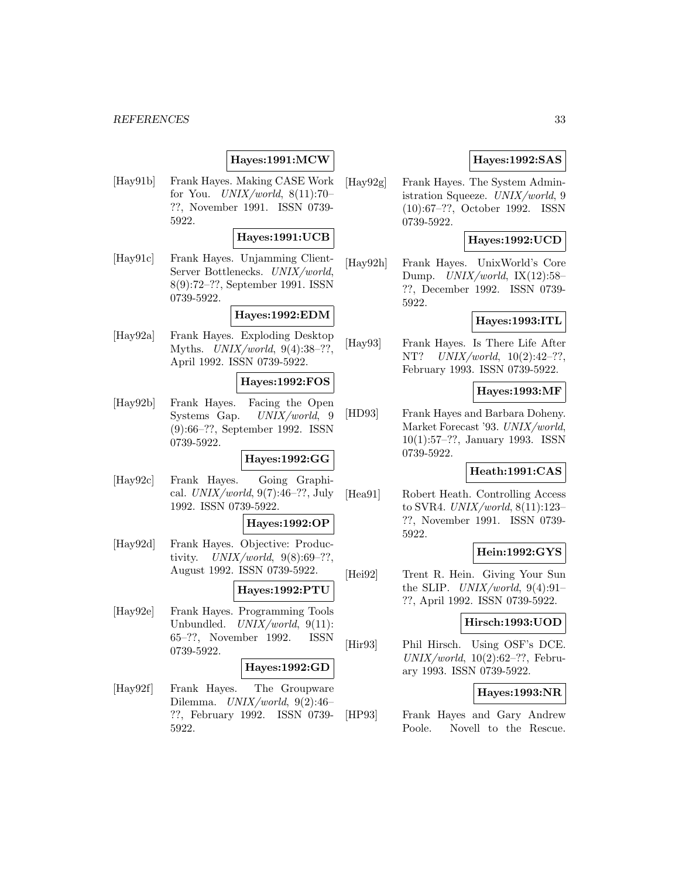## **Hayes:1991:MCW**

[Hay91b] Frank Hayes. Making CASE Work for You.  $UNIX/world$ ,  $8(11):70-$ ??, November 1991. ISSN 0739- 5922.

### **Hayes:1991:UCB**

[Hay91c] Frank Hayes. Unjamming Client-Server Bottlenecks. UNIX/world, 8(9):72–??, September 1991. ISSN 0739-5922.

### **Hayes:1992:EDM**

[Hay92a] Frank Hayes. Exploding Desktop Myths.  $UNIX/world, 9(4):38-??,$ April 1992. ISSN 0739-5922.

### **Hayes:1992:FOS**

[Hay92b] Frank Hayes. Facing the Open Systems Gap. UNIX/world, 9 (9):66–??, September 1992. ISSN 0739-5922.

### **Hayes:1992:GG**

[Hay92c] Frank Hayes. Going Graphical.  $UNIX/world$ , 9(7):46-??, July 1992. ISSN 0739-5922.

### **Hayes:1992:OP**

[Hay92d] Frank Hayes. Objective: Productivity.  $UNIX/world, 9(8):69-??,$ August 1992. ISSN 0739-5922.

## **Hayes:1992:PTU**

[Hay92e] Frank Hayes. Programming Tools Unbundled. UNIX/world, 9(11): 65–??, November 1992. ISSN 0739-5922.

#### **Hayes:1992:GD**

[Hay92f] Frank Hayes. The Groupware Dilemma. UNIX/world, 9(2):46– ??, February 1992. ISSN 0739- 5922.

### **Hayes:1992:SAS**

[Hay92g] Frank Hayes. The System Administration Squeeze. UNIX/world, 9 (10):67–??, October 1992. ISSN 0739-5922.

### **Hayes:1992:UCD**

[Hay92h] Frank Hayes. UnixWorld's Core Dump.  $UNIX/world$ ,  $IX(12):58-$ ??, December 1992. ISSN 0739- 5922.

### **Hayes:1993:ITL**

[Hay93] Frank Hayes. Is There Life After NT? UNIX/world, 10(2):42–??, February 1993. ISSN 0739-5922.

### **Hayes:1993:MF**

[HD93] Frank Hayes and Barbara Doheny. Market Forecast '93. UNIX/world, 10(1):57–??, January 1993. ISSN 0739-5922.

#### **Heath:1991:CAS**

[Hea91] Robert Heath. Controlling Access to SVR4. UNIX/world, 8(11):123– ??, November 1991. ISSN 0739- 5922.

### **Hein:1992:GYS**

[Hei92] Trent R. Hein. Giving Your Sun the SLIP.  $UNIX/world$ , 9(4):91-??, April 1992. ISSN 0739-5922.

#### **Hirsch:1993:UOD**

[Hir93] Phil Hirsch. Using OSF's DCE.  $UNIX/world, 10(2):62-??$ , February 1993. ISSN 0739-5922.

#### **Hayes:1993:NR**

[HP93] Frank Hayes and Gary Andrew Poole. Novell to the Rescue.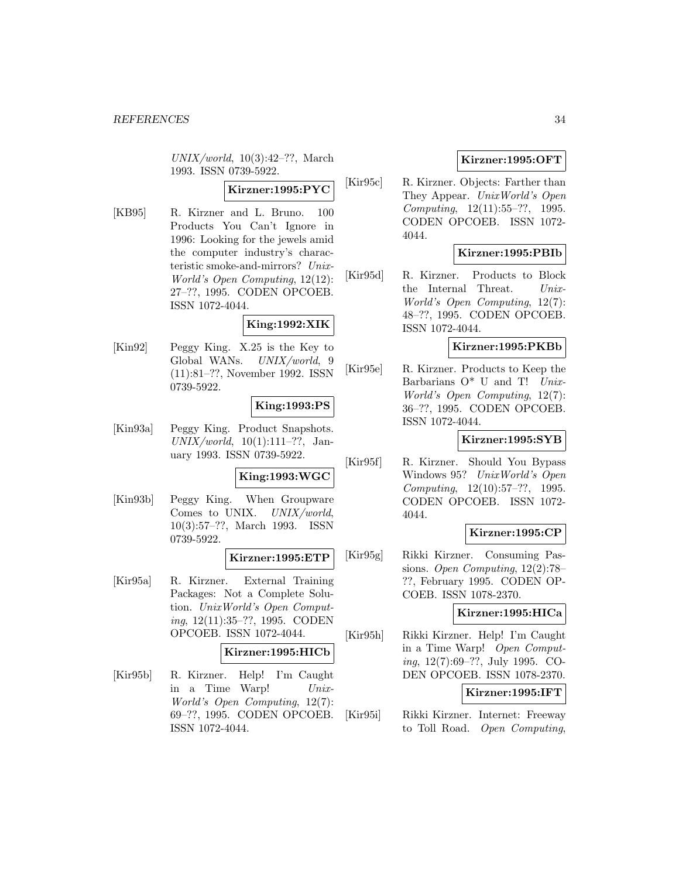$UNIX/world, 10(3):42-??$ , March 1993. ISSN 0739-5922.

## **Kirzner:1995:PYC**

[KB95] R. Kirzner and L. Bruno. 100 Products You Can't Ignore in 1996: Looking for the jewels amid the computer industry's characteristic smoke-and-mirrors? Unix-World's Open Computing, 12(12): 27–??, 1995. CODEN OPCOEB. ISSN 1072-4044.

### **King:1992:XIK**

[Kin92] Peggy King. X.25 is the Key to Global WANs. UNIX/world, 9 (11):81–??, November 1992. ISSN 0739-5922.

### **King:1993:PS**

[Kin93a] Peggy King. Product Snapshots.  $UNIX/world, 10(1):111-??, Jan$ uary 1993. ISSN 0739-5922.

#### **King:1993:WGC**

[Kin93b] Peggy King. When Groupware Comes to UNIX. UNIX/world, 10(3):57–??, March 1993. ISSN 0739-5922.

#### **Kirzner:1995:ETP**

[Kir95a] R. Kirzner. External Training Packages: Not a Complete Solution. UnixWorld's Open Computing, 12(11):35–??, 1995. CODEN OPCOEB. ISSN 1072-4044.

### **Kirzner:1995:HICb**

[Kir95b] R. Kirzner. Help! I'm Caught in a Time Warp! Unix-World's Open Computing, 12(7): 69–??, 1995. CODEN OPCOEB. ISSN 1072-4044.

### **Kirzner:1995:OFT**

[Kir95c] R. Kirzner. Objects: Farther than They Appear. UnixWorld's Open Computing, 12(11):55–??, 1995. CODEN OPCOEB. ISSN 1072- 4044.

### **Kirzner:1995:PBIb**

[Kir95d] R. Kirzner. Products to Block the Internal Threat. Unix-World's Open Computing, 12(7): 48–??, 1995. CODEN OPCOEB. ISSN 1072-4044.

### **Kirzner:1995:PKBb**

[Kir95e] R. Kirzner. Products to Keep the Barbarians  $O^*$  U and T! Unix-World's Open Computing, 12(7): 36–??, 1995. CODEN OPCOEB. ISSN 1072-4044.

## **Kirzner:1995:SYB**

[Kir95f] R. Kirzner. Should You Bypass Windows 95? UnixWorld's Open Computing, 12(10):57–??, 1995. CODEN OPCOEB. ISSN 1072- 4044.

### **Kirzner:1995:CP**

[Kir95g] Rikki Kirzner. Consuming Passions. Open Computing, 12(2):78– ??, February 1995. CODEN OP-COEB. ISSN 1078-2370.

## **Kirzner:1995:HICa**

[Kir95h] Rikki Kirzner. Help! I'm Caught in a Time Warp! Open Computing, 12(7):69–??, July 1995. CO-DEN OPCOEB. ISSN 1078-2370.

### **Kirzner:1995:IFT**

[Kir95i] Rikki Kirzner. Internet: Freeway to Toll Road. Open Computing,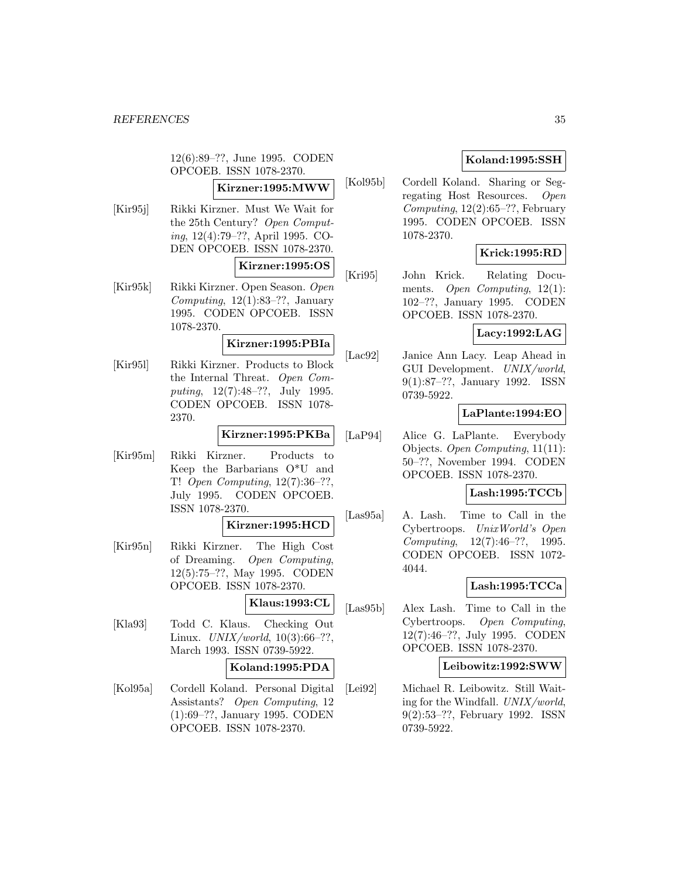12(6):89–??, June 1995. CODEN OPCOEB. ISSN 1078-2370.

## **Kirzner:1995:MWW**

[Kir95j] Rikki Kirzner. Must We Wait for the 25th Century? Open Computing, 12(4):79–??, April 1995. CO-DEN OPCOEB. ISSN 1078-2370.

### **Kirzner:1995:OS**

[Kir95k] Rikki Kirzner. Open Season. Open Computing,  $12(1):83-??$ , January 1995. CODEN OPCOEB. ISSN 1078-2370.

#### **Kirzner:1995:PBIa**

[Kir95l] Rikki Kirzner. Products to Block the Internal Threat. Open Computing, 12(7):48–??, July 1995. CODEN OPCOEB. ISSN 1078- 2370.

### **Kirzner:1995:PKBa**

[Kir95m] Rikki Kirzner. Products to Keep the Barbarians O\*U and T! Open Computing, 12(7):36–??, July 1995. CODEN OPCOEB. ISSN 1078-2370.

### **Kirzner:1995:HCD**

[Kir95n] Rikki Kirzner. The High Cost of Dreaming. Open Computing, 12(5):75–??, May 1995. CODEN OPCOEB. ISSN 1078-2370.

## **Klaus:1993:CL**

[Kla93] Todd C. Klaus. Checking Out Linux.  $UNIX/world, 10(3):66-??,$ March 1993. ISSN 0739-5922.

### **Koland:1995:PDA**

[Kol95a] Cordell Koland. Personal Digital Assistants? Open Computing, 12 (1):69–??, January 1995. CODEN OPCOEB. ISSN 1078-2370.

## **Koland:1995:SSH**

[Kol95b] Cordell Koland. Sharing or Segregating Host Resources. Open  $Computing, 12(2):65–??, February$ 1995. CODEN OPCOEB. ISSN 1078-2370.

## **Krick:1995:RD**

[Kri95] John Krick. Relating Documents. Open Computing,  $12(1)$ : 102–??, January 1995. CODEN OPCOEB. ISSN 1078-2370.

### **Lacy:1992:LAG**

[Lac92] Janice Ann Lacy. Leap Ahead in GUI Development. UNIX/world, 9(1):87–??, January 1992. ISSN 0739-5922.

### **LaPlante:1994:EO**

[LaP94] Alice G. LaPlante. Everybody Objects. Open Computing, 11(11): 50–??, November 1994. CODEN OPCOEB. ISSN 1078-2370.

### **Lash:1995:TCCb**

[Las95a] A. Lash. Time to Call in the Cybertroops. UnixWorld's Open Computing, 12(7):46–??, 1995. CODEN OPCOEB. ISSN 1072- 4044.

## **Lash:1995:TCCa**

[Las95b] Alex Lash. Time to Call in the Cybertroops. Open Computing, 12(7):46–??, July 1995. CODEN OPCOEB. ISSN 1078-2370.

### **Leibowitz:1992:SWW**

[Lei92] Michael R. Leibowitz. Still Waiting for the Windfall. UNIX/world, 9(2):53–??, February 1992. ISSN 0739-5922.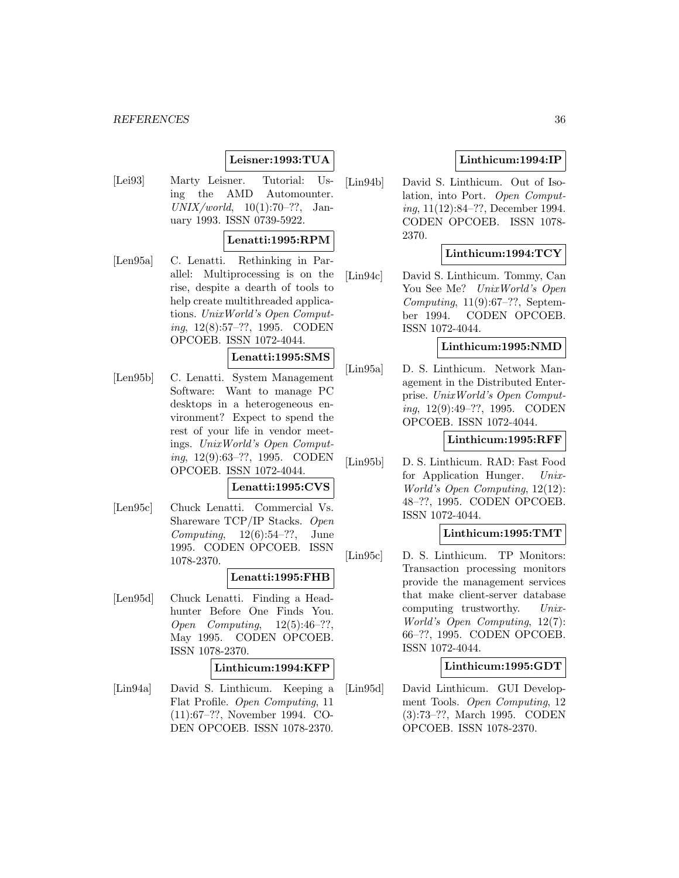### **Leisner:1993:TUA**

[Lei93] Marty Leisner. Tutorial: Using the AMD Automounter.  $UNIX/world, 10(1):70-??, Jan$ uary 1993. ISSN 0739-5922.

### **Lenatti:1995:RPM**

[Len95a] C. Lenatti. Rethinking in Parallel: Multiprocessing is on the rise, despite a dearth of tools to help create multithreaded applications. UnixWorld's Open Computing, 12(8):57–??, 1995. CODEN OPCOEB. ISSN 1072-4044.

### **Lenatti:1995:SMS**

[Len95b] C. Lenatti. System Management Software: Want to manage PC desktops in a heterogeneous environment? Expect to spend the rest of your life in vendor meetings. UnixWorld's Open Computing, 12(9):63–??, 1995. CODEN OPCOEB. ISSN 1072-4044.

### **Lenatti:1995:CVS**

[Len95c] Chuck Lenatti. Commercial Vs. Shareware TCP/IP Stacks. Open Computing,  $12(6):54-??$ , June 1995. CODEN OPCOEB. ISSN 1078-2370.

## **Lenatti:1995:FHB**

[Len95d] Chuck Lenatti. Finding a Headhunter Before One Finds You. Open Computing,  $12(5):46-??$ , May 1995. CODEN OPCOEB. ISSN 1078-2370.

### **Linthicum:1994:KFP**

[Lin94a] David S. Linthicum. Keeping a Flat Profile. Open Computing, 11 (11):67–??, November 1994. CO-DEN OPCOEB. ISSN 1078-2370.

## **Linthicum:1994:IP**

[Lin94b] David S. Linthicum. Out of Isolation, into Port. Open Computing, 11(12):84–??, December 1994. CODEN OPCOEB. ISSN 1078- 2370.

### **Linthicum:1994:TCY**

[Lin94c] David S. Linthicum. Tommy, Can You See Me? UnixWorld's Open Computing,  $11(9):67-??$ , September 1994. CODEN OPCOEB. ISSN 1072-4044.

### **Linthicum:1995:NMD**

[Lin95a] D. S. Linthicum. Network Management in the Distributed Enterprise. UnixWorld's Open Computing, 12(9):49–??, 1995. CODEN OPCOEB. ISSN 1072-4044.

## **Linthicum:1995:RFF**

[Lin95b] D. S. Linthicum. RAD: Fast Food for Application Hunger. Unix-World's Open Computing, 12(12): 48–??, 1995. CODEN OPCOEB. ISSN 1072-4044.

### **Linthicum:1995:TMT**

[Lin95c] D. S. Linthicum. TP Monitors: Transaction processing monitors provide the management services that make client-server database computing trustworthy. Unix-World's Open Computing, 12(7): 66–??, 1995. CODEN OPCOEB. ISSN 1072-4044.

#### **Linthicum:1995:GDT**

[Lin95d] David Linthicum. GUI Development Tools. Open Computing, 12 (3):73–??, March 1995. CODEN OPCOEB. ISSN 1078-2370.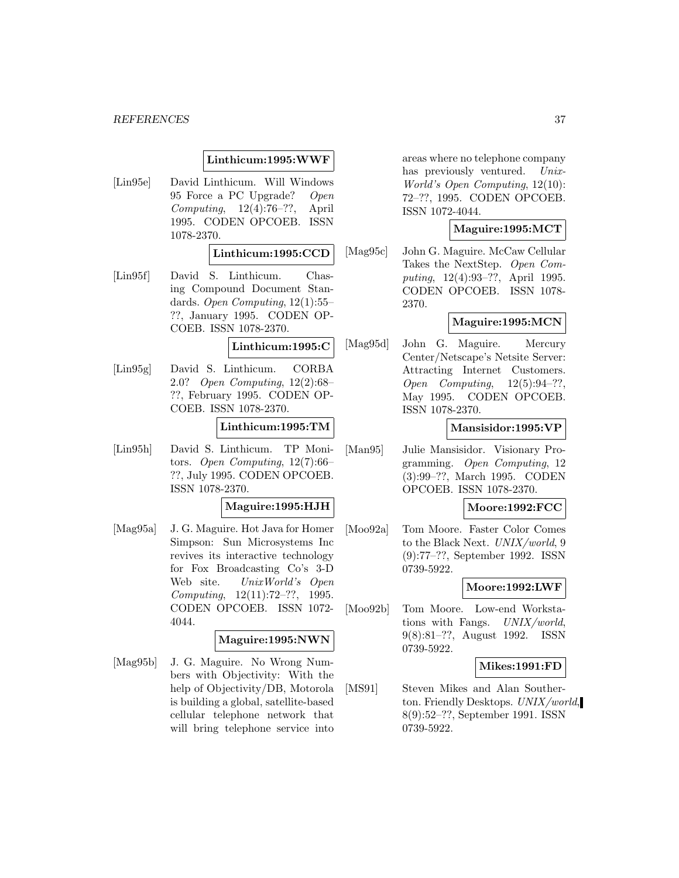### **Linthicum:1995:WWF**

[Lin95e] David Linthicum. Will Windows 95 Force a PC Upgrade? Open Computing, 12(4):76–??, April 1995. CODEN OPCOEB. ISSN 1078-2370.

### **Linthicum:1995:CCD**

[Lin95f] David S. Linthicum. Chasing Compound Document Standards. Open Computing, 12(1):55– ??, January 1995. CODEN OP-COEB. ISSN 1078-2370.

### **Linthicum:1995:C**

[Lin95g] David S. Linthicum. CORBA 2.0? Open Computing, 12(2):68– ??, February 1995. CODEN OP-COEB. ISSN 1078-2370.

### **Linthicum:1995:TM**

[Lin95h] David S. Linthicum. TP Monitors. Open Computing, 12(7):66– ??, July 1995. CODEN OPCOEB. ISSN 1078-2370.

### **Maguire:1995:HJH**

[Mag95a] J. G. Maguire. Hot Java for Homer Simpson: Sun Microsystems Inc revives its interactive technology for Fox Broadcasting Co's 3-D Web site. UnixWorld's Open Computing, 12(11):72–??, 1995. CODEN OPCOEB. ISSN 1072- 4044.

### **Maguire:1995:NWN**

[Mag95b] J. G. Maguire. No Wrong Numbers with Objectivity: With the help of Objectivity/DB, Motorola is building a global, satellite-based cellular telephone network that will bring telephone service into

areas where no telephone company has previously ventured. Unix-World's Open Computing, 12(10): 72–??, 1995. CODEN OPCOEB. ISSN 1072-4044.

### **Maguire:1995:MCT**

[Mag95c] John G. Maguire. McCaw Cellular Takes the NextStep. Open Computing, 12(4):93–??, April 1995. CODEN OPCOEB. ISSN 1078- 2370.

### **Maguire:1995:MCN**

[Mag95d] John G. Maguire. Mercury Center/Netscape's Netsite Server: Attracting Internet Customers. Open Computing, 12(5):94–??, May 1995. CODEN OPCOEB. ISSN 1078-2370.

### **Mansisidor:1995:VP**

[Man95] Julie Mansisidor. Visionary Programming. Open Computing, 12 (3):99–??, March 1995. CODEN OPCOEB. ISSN 1078-2370.

**Moore:1992:FCC**

[Moo92a] Tom Moore. Faster Color Comes to the Black Next. UNIX/world, 9 (9):77–??, September 1992. ISSN 0739-5922.

### **Moore:1992:LWF**

[Moo92b] Tom Moore. Low-end Workstations with Fangs. UNIX/world, 9(8):81–??, August 1992. ISSN 0739-5922.

### **Mikes:1991:FD**

[MS91] Steven Mikes and Alan Southerton. Friendly Desktops. UNIX/world, 8(9):52–??, September 1991. ISSN 0739-5922.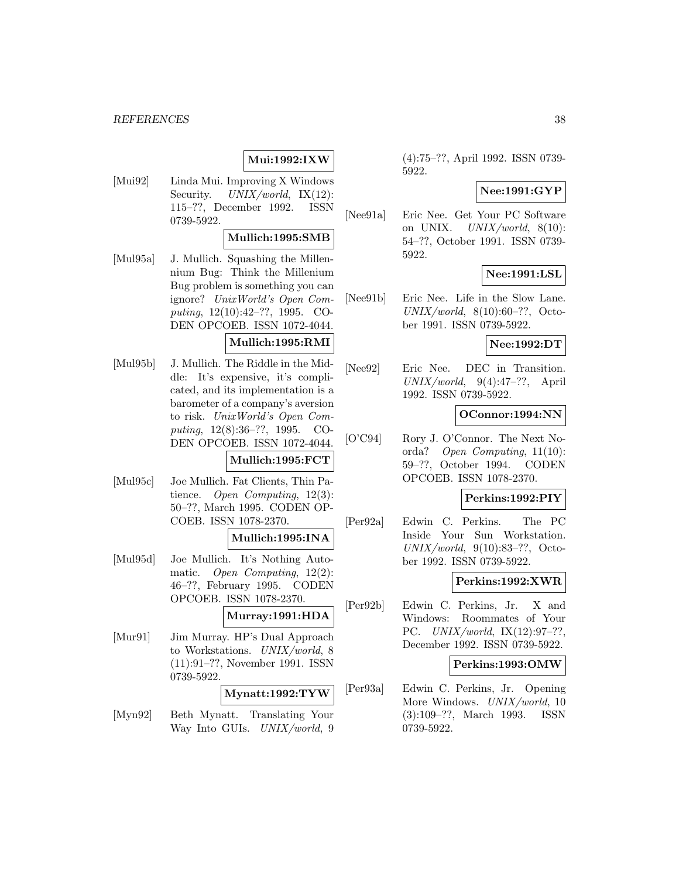## **Mui:1992:IXW**

[Mui92] Linda Mui. Improving X Windows Security. UNIX/world, IX(12): 115–??, December 1992. ISSN 0739-5922.

### **Mullich:1995:SMB**

[Mul95a] J. Mullich. Squashing the Millennium Bug: Think the Millenium Bug problem is something you can ignore? UnixWorld's Open Computing, 12(10):42–??, 1995. CO-DEN OPCOEB. ISSN 1072-4044.

### **Mullich:1995:RMI**

[Mul95b] J. Mullich. The Riddle in the Middle: It's expensive, it's complicated, and its implementation is a barometer of a company's aversion to risk. UnixWorld's Open Computing, 12(8):36–??, 1995. CO-DEN OPCOEB. ISSN 1072-4044.

### **Mullich:1995:FCT**

[Mul95c] Joe Mullich. Fat Clients, Thin Patience. Open Computing, 12(3): 50–??, March 1995. CODEN OP-COEB. ISSN 1078-2370.

### **Mullich:1995:INA**

[Mul95d] Joe Mullich. It's Nothing Automatic. Open Computing, 12(2): 46–??, February 1995. CODEN OPCOEB. ISSN 1078-2370.

### **Murray:1991:HDA**

[Mur91] Jim Murray. HP's Dual Approach to Workstations. UNIX/world, 8 (11):91–??, November 1991. ISSN 0739-5922.

## **Mynatt:1992:TYW**

[Myn92] Beth Mynatt. Translating Your Way Into GUIs. UNIX/world, 9 (4):75–??, April 1992. ISSN 0739- 5922.

### **Nee:1991:GYP**

[Nee91a] Eric Nee. Get Your PC Software on UNIX.  $UNIX/world$ ,  $8(10)$ : 54–??, October 1991. ISSN 0739- 5922.

## **Nee:1991:LSL**

[Nee91b] Eric Nee. Life in the Slow Lane.  $UNIX/world, 8(10):60-??, Octo$ ber 1991. ISSN 0739-5922.

#### **Nee:1992:DT**

[Nee92] Eric Nee. DEC in Transition.  $UNIX/world, 9(4):47-??,$  April 1992. ISSN 0739-5922.

### **OConnor:1994:NN**

[O'C94] Rory J. O'Connor. The Next Noorda? Open Computing, 11(10): 59–??, October 1994. CODEN OPCOEB. ISSN 1078-2370.

### **Perkins:1992:PIY**

[Per92a] Edwin C. Perkins. The PC Inside Your Sun Workstation. UNIX/world, 9(10):83–??, October 1992. ISSN 0739-5922.

#### **Perkins:1992:XWR**

[Per92b] Edwin C. Perkins, Jr. X and Windows: Roommates of Your PC. UNIX/world, IX(12):97–??, December 1992. ISSN 0739-5922.

### **Perkins:1993:OMW**

[Per93a] Edwin C. Perkins, Jr. Opening More Windows. UNIX/world, 10 (3):109–??, March 1993. ISSN 0739-5922.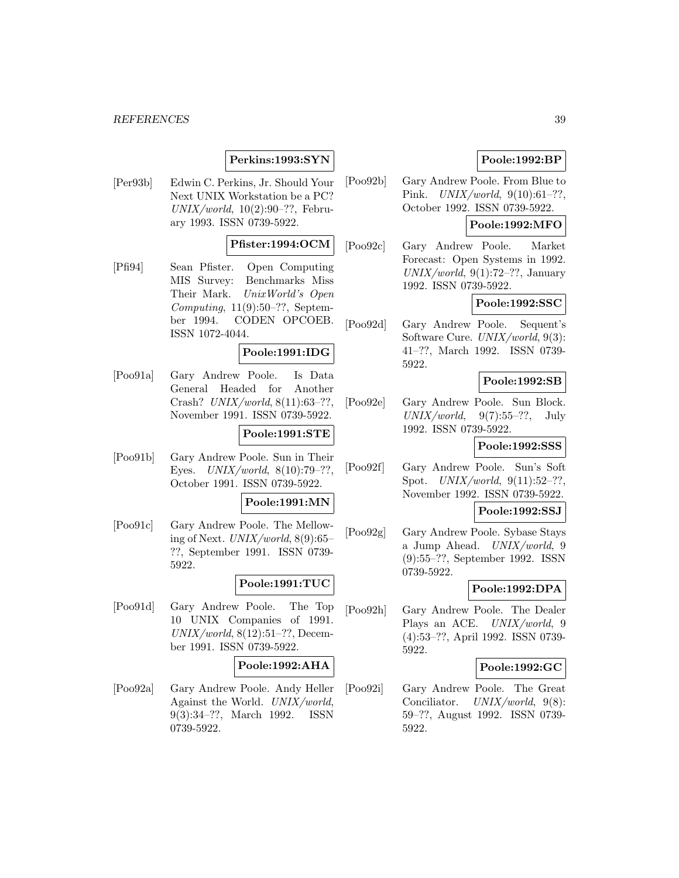### **Perkins:1993:SYN**

[Per93b] Edwin C. Perkins, Jr. Should Your Next UNIX Workstation be a PC?  $UNIX/world, 10(2):90-??$ , February 1993. ISSN 0739-5922.

### **Pfister:1994:OCM**

[Pfi94] Sean Pfister. Open Computing MIS Survey: Benchmarks Miss Their Mark. UnixWorld's Open Computing,  $11(9):50-??$ , September 1994. CODEN OPCOEB. ISSN 1072-4044.

### **Poole:1991:IDG**

[Poo91a] Gary Andrew Poole. Is Data General Headed for Another Crash? UNIX/world, 8(11):63–??, November 1991. ISSN 0739-5922.

### **Poole:1991:STE**

[Poo91b] Gary Andrew Poole. Sun in Their Eyes.  $UNIX/world, 8(10):79-??,$ October 1991. ISSN 0739-5922.

#### **Poole:1991:MN**

[Poo91c] Gary Andrew Poole. The Mellowing of Next.  $UNIX/world$ ,  $8(9):65$ – ??, September 1991. ISSN 0739- 5922.

### **Poole:1991:TUC**

[Poo91d] Gary Andrew Poole. The Top 10 UNIX Companies of 1991.  $UNIX/world, 8(12):51-??$ , December 1991. ISSN 0739-5922.

### **Poole:1992:AHA**

[Poo92a] Gary Andrew Poole. Andy Heller Against the World. UNIX/world, 9(3):34–??, March 1992. ISSN 0739-5922.

### **Poole:1992:BP**

[Poo92b] Gary Andrew Poole. From Blue to Pink. UNIX/world, 9(10):61–??, October 1992. ISSN 0739-5922.

### **Poole:1992:MFO**

[Poo92c] Gary Andrew Poole. Market Forecast: Open Systems in 1992.  $UNIX/world, 9(1):72-??$ , January 1992. ISSN 0739-5922.

### **Poole:1992:SSC**

[Poo92d] Gary Andrew Poole. Sequent's Software Cure. UNIX/world, 9(3): 41–??, March 1992. ISSN 0739- 5922.

### **Poole:1992:SB**

[Poo92e] Gary Andrew Poole. Sun Block.  $UNIX/world, 9(7):55-??, July$ 1992. ISSN 0739-5922.

### **Poole:1992:SSS**

[Poo92f] Gary Andrew Poole. Sun's Soft Spot. UNIX/world, 9(11):52–??, November 1992. ISSN 0739-5922.

### **Poole:1992:SSJ**

[Poo92g] Gary Andrew Poole. Sybase Stays a Jump Ahead. UNIX/world, 9 (9):55–??, September 1992. ISSN 0739-5922.

### **Poole:1992:DPA**

[Poo92h] Gary Andrew Poole. The Dealer Plays an ACE. UNIX/world, 9 (4):53–??, April 1992. ISSN 0739- 5922.

### **Poole:1992:GC**

[Poo92i] Gary Andrew Poole. The Great Conciliator. UNIX/world, 9(8): 59–??, August 1992. ISSN 0739- 5922.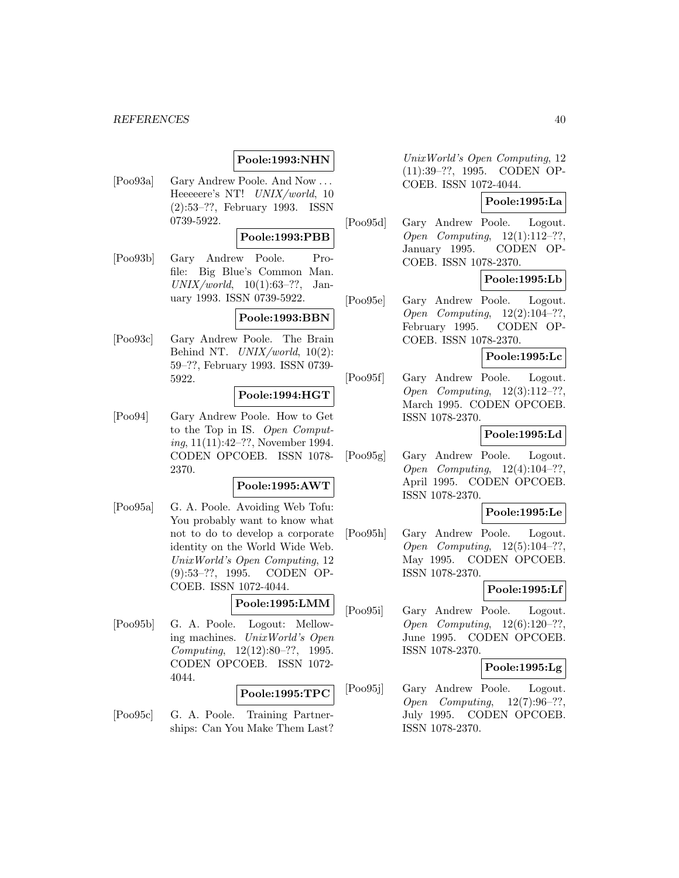### **Poole:1993:NHN**

[Poo93a] Gary Andrew Poole. And Now ... Heeeeere's NT! UNIX/world, 10 (2):53–??, February 1993. ISSN 0739-5922.

### **Poole:1993:PBB**

[Poo93b] Gary Andrew Poole. Profile: Big Blue's Common Man.  $UNIX/world, 10(1):63-??, Jan$ uary 1993. ISSN 0739-5922.

### **Poole:1993:BBN**

[Poo93c] Gary Andrew Poole. The Brain Behind NT.  $UNIX/world$ , 10(2): 59–??, February 1993. ISSN 0739- 5922.

### **Poole:1994:HGT**

[Poo94] Gary Andrew Poole. How to Get to the Top in IS. Open Computing, 11(11):42–??, November 1994. CODEN OPCOEB. ISSN 1078- 2370.

#### **Poole:1995:AWT**

[Poo95a] G. A. Poole. Avoiding Web Tofu: You probably want to know what not to do to develop a corporate identity on the World Wide Web. UnixWorld's Open Computing, 12 (9):53–??, 1995. CODEN OP-COEB. ISSN 1072-4044.

## **Poole:1995:LMM**

[Poo95b] G. A. Poole. Logout: Mellowing machines. UnixWorld's Open Computing, 12(12):80–??, 1995. CODEN OPCOEB. ISSN 1072- 4044.

#### **Poole:1995:TPC**

[Poo95c] G. A. Poole. Training Partnerships: Can You Make Them Last?

UnixWorld's Open Computing, 12 (11):39–??, 1995. CODEN OP-COEB. ISSN 1072-4044.

## **Poole:1995:La**

[Poo95d] Gary Andrew Poole. Logout. Open Computing, 12(1):112–??, January 1995. CODEN OP-COEB. ISSN 1078-2370.

### **Poole:1995:Lb**

[Poo95e] Gary Andrew Poole. Logout. Open Computing, 12(2):104–??, February 1995. CODEN OP-COEB. ISSN 1078-2370.

### **Poole:1995:Lc**

[Poo95f] Gary Andrew Poole. Logout. Open Computing, 12(3):112–??, March 1995. CODEN OPCOEB. ISSN 1078-2370.

### **Poole:1995:Ld**

[Poo95g] Gary Andrew Poole. Logout. Open Computing, 12(4):104–??, April 1995. CODEN OPCOEB. ISSN 1078-2370.

### **Poole:1995:Le**

[Poo95h] Gary Andrew Poole. Logout. Open Computing, 12(5):104–??, May 1995. CODEN OPCOEB. ISSN 1078-2370.

### **Poole:1995:Lf**

[Poo95i] Gary Andrew Poole. Logout. Open Computing, 12(6):120–??, June 1995. CODEN OPCOEB. ISSN 1078-2370.

### **Poole:1995:Lg**

[Poo95j] Gary Andrew Poole. Logout. Open Computing, 12(7):96–??, July 1995. CODEN OPCOEB. ISSN 1078-2370.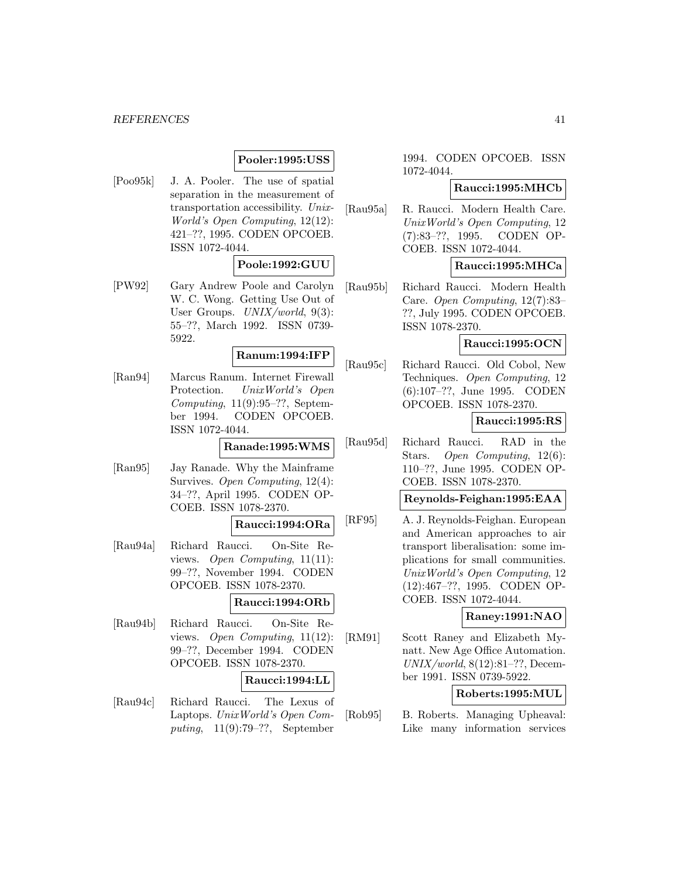### **Pooler:1995:USS**

[Poo95k] J. A. Pooler. The use of spatial separation in the measurement of transportation accessibility. Unix-World's Open Computing, 12(12): 421–??, 1995. CODEN OPCOEB. ISSN 1072-4044.

### **Poole:1992:GUU**

[PW92] Gary Andrew Poole and Carolyn W. C. Wong. Getting Use Out of User Groups. UNIX/world, 9(3): 55–??, March 1992. ISSN 0739- 5922.

#### **Ranum:1994:IFP**

[Ran94] Marcus Ranum. Internet Firewall Protection. UnixWorld's Open Computing,  $11(9):95-??$ , September 1994. CODEN OPCOEB. ISSN 1072-4044.

### **Ranade:1995:WMS**

[Ran95] Jay Ranade. Why the Mainframe Survives. Open Computing, 12(4): 34–??, April 1995. CODEN OP-COEB. ISSN 1078-2370.

## **Raucci:1994:ORa**

[Rau94a] Richard Raucci. On-Site Reviews. Open Computing, 11(11): 99–??, November 1994. CODEN OPCOEB. ISSN 1078-2370.

## **Raucci:1994:ORb**

[Rau94b] Richard Raucci. On-Site Reviews. Open Computing, 11(12): 99–??, December 1994. CODEN OPCOEB. ISSN 1078-2370.

#### **Raucci:1994:LL**

[Rau94c] Richard Raucci. The Lexus of Laptops. UnixWorld's Open Computing, 11(9):79–??, September

1994. CODEN OPCOEB. ISSN 1072-4044.

### **Raucci:1995:MHCb**

[Rau95a] R. Raucci. Modern Health Care. UnixWorld's Open Computing, 12 (7):83–??, 1995. CODEN OP-COEB. ISSN 1072-4044.

#### **Raucci:1995:MHCa**

[Rau95b] Richard Raucci. Modern Health Care. Open Computing, 12(7):83– ??, July 1995. CODEN OPCOEB. ISSN 1078-2370.

#### **Raucci:1995:OCN**

[Rau95c] Richard Raucci. Old Cobol, New Techniques. Open Computing, 12 (6):107–??, June 1995. CODEN OPCOEB. ISSN 1078-2370.

### **Raucci:1995:RS**

[Rau95d] Richard Raucci. RAD in the Stars. Open Computing, 12(6): 110–??, June 1995. CODEN OP-COEB. ISSN 1078-2370.

### **Reynolds-Feighan:1995:EAA**

[RF95] A. J. Reynolds-Feighan. European and American approaches to air transport liberalisation: some implications for small communities. UnixWorld's Open Computing, 12 (12):467–??, 1995. CODEN OP-COEB. ISSN 1072-4044.

### **Raney:1991:NAO**

[RM91] Scott Raney and Elizabeth Mynatt. New Age Office Automation.  $UNIX/world, 8(12):81-??$ , December 1991. ISSN 0739-5922.

### **Roberts:1995:MUL**

[Rob95] B. Roberts. Managing Upheaval: Like many information services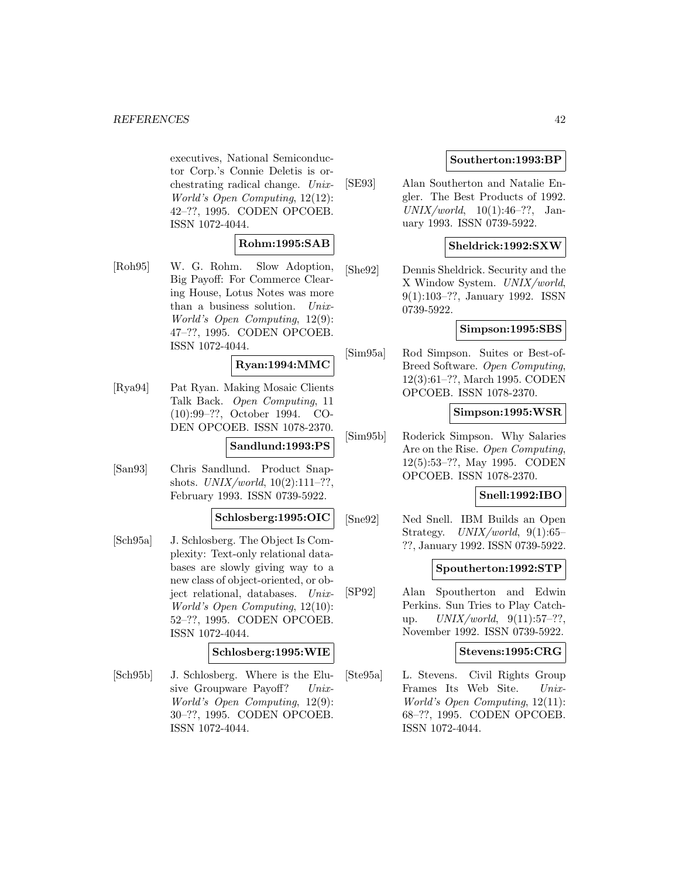executives, National Semiconductor Corp.'s Connie Deletis is orchestrating radical change. Unix-World's Open Computing, 12(12): 42–??, 1995. CODEN OPCOEB. ISSN 1072-4044.

### **Rohm:1995:SAB**

[Roh95] W. G. Rohm. Slow Adoption, Big Payoff: For Commerce Clearing House, Lotus Notes was more than a business solution. Unix-World's Open Computing, 12(9): 47–??, 1995. CODEN OPCOEB. ISSN 1072-4044.

### **Ryan:1994:MMC**

[Rya94] Pat Ryan. Making Mosaic Clients Talk Back. Open Computing, 11 (10):99–??, October 1994. CO-DEN OPCOEB. ISSN 1078-2370. **Sandlund:1993:PS**

[San93] Chris Sandlund. Product Snapshots.  $UNIX/world$ ,  $10(2):111-??$ , February 1993. ISSN 0739-5922.

#### **Schlosberg:1995:OIC**

[Sch95a] J. Schlosberg. The Object Is Complexity: Text-only relational databases are slowly giving way to a new class of object-oriented, or object relational, databases. Unix-World's Open Computing, 12(10): 52–??, 1995. CODEN OPCOEB. ISSN 1072-4044.

### **Schlosberg:1995:WIE**

[Sch95b] J. Schlosberg. Where is the Elusive Groupware Payoff? Unix-World's Open Computing, 12(9): 30–??, 1995. CODEN OPCOEB. ISSN 1072-4044.

### **Southerton:1993:BP**

[SE93] Alan Southerton and Natalie Engler. The Best Products of 1992.  $UNIX/world, 10(1):46-??, Jan$ uary 1993. ISSN 0739-5922.

### **Sheldrick:1992:SXW**

[She92] Dennis Sheldrick. Security and the X Window System. UNIX/world, 9(1):103–??, January 1992. ISSN 0739-5922.

### **Simpson:1995:SBS**

[Sim95a] Rod Simpson. Suites or Best-of-Breed Software. Open Computing, 12(3):61–??, March 1995. CODEN OPCOEB. ISSN 1078-2370.

### **Simpson:1995:WSR**

[Sim95b] Roderick Simpson. Why Salaries Are on the Rise. Open Computing, 12(5):53–??, May 1995. CODEN OPCOEB. ISSN 1078-2370.

## **Snell:1992:IBO**

[Sne92] Ned Snell. IBM Builds an Open Strategy.  $UNIX/world$ , 9(1):65– ??, January 1992. ISSN 0739-5922.

### **Spoutherton:1992:STP**

[SP92] Alan Spoutherton and Edwin Perkins. Sun Tries to Play Catchup.  $UNIX/world, 9(11):57-??,$ November 1992. ISSN 0739-5922.

#### **Stevens:1995:CRG**

[Ste95a] L. Stevens. Civil Rights Group Frames Its Web Site. Unix-World's Open Computing, 12(11): 68–??, 1995. CODEN OPCOEB. ISSN 1072-4044.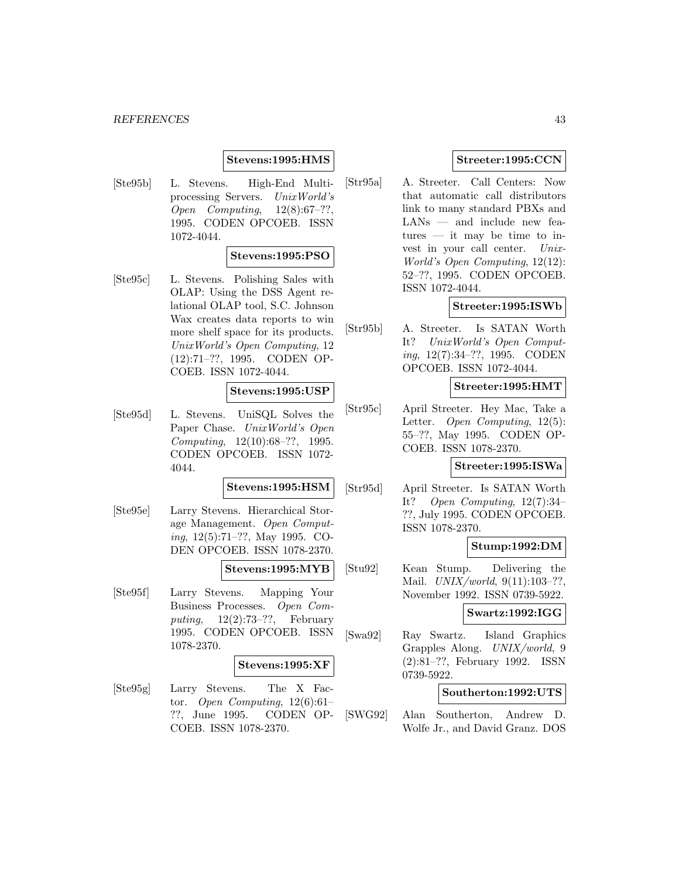### **Stevens:1995:HMS**

[Ste95b] L. Stevens. High-End Multiprocessing Servers. UnixWorld's Open Computing, 12(8):67–??, 1995. CODEN OPCOEB. ISSN 1072-4044.

### **Stevens:1995:PSO**

[Ste95c] L. Stevens. Polishing Sales with OLAP: Using the DSS Agent relational OLAP tool, S.C. Johnson Wax creates data reports to win more shelf space for its products. UnixWorld's Open Computing, 12 (12):71–??, 1995. CODEN OP-COEB. ISSN 1072-4044.

#### **Stevens:1995:USP**

[Ste95d] L. Stevens. UniSQL Solves the Paper Chase. UnixWorld's Open Computing, 12(10):68–??, 1995. CODEN OPCOEB. ISSN 1072- 4044.

#### **Stevens:1995:HSM**

[Ste95e] Larry Stevens. Hierarchical Storage Management. Open Computing, 12(5):71–??, May 1995. CO-DEN OPCOEB. ISSN 1078-2370.

#### **Stevens:1995:MYB**

[Ste95f] Larry Stevens. Mapping Your Business Processes. Open Computing,  $12(2):73-??$ , February 1995. CODEN OPCOEB. ISSN 1078-2370.

### **Stevens:1995:XF**

[Ste95g] Larry Stevens. The X Factor. Open Computing,  $12(6):61-$ ??, June 1995. CODEN OP-COEB. ISSN 1078-2370.

### **Streeter:1995:CCN**

[Str95a] A. Streeter. Call Centers: Now that automatic call distributors link to many standard PBXs and LANs — and include new features — it may be time to invest in your call center. Unix-World's Open Computing, 12(12): 52–??, 1995. CODEN OPCOEB. ISSN 1072-4044.

#### **Streeter:1995:ISWb**

[Str95b] A. Streeter. Is SATAN Worth It? UnixWorld's Open Computing, 12(7):34–??, 1995. CODEN OPCOEB. ISSN 1072-4044.

### **Streeter:1995:HMT**

[Str95c] April Streeter. Hey Mac, Take a Letter. Open Computing, 12(5): 55–??, May 1995. CODEN OP-COEB. ISSN 1078-2370.

#### **Streeter:1995:ISWa**

[Str95d] April Streeter. Is SATAN Worth It? Open Computing, 12(7):34– ??, July 1995. CODEN OPCOEB. ISSN 1078-2370.

#### **Stump:1992:DM**

[Stu92] Kean Stump. Delivering the Mail. UNIX/world, 9(11):103–??, November 1992. ISSN 0739-5922.

### **Swartz:1992:IGG**

[Swa92] Ray Swartz. Island Graphics Grapples Along. UNIX/world, 9 (2):81–??, February 1992. ISSN 0739-5922.

#### **Southerton:1992:UTS**

[SWG92] Alan Southerton, Andrew D. Wolfe Jr., and David Granz. DOS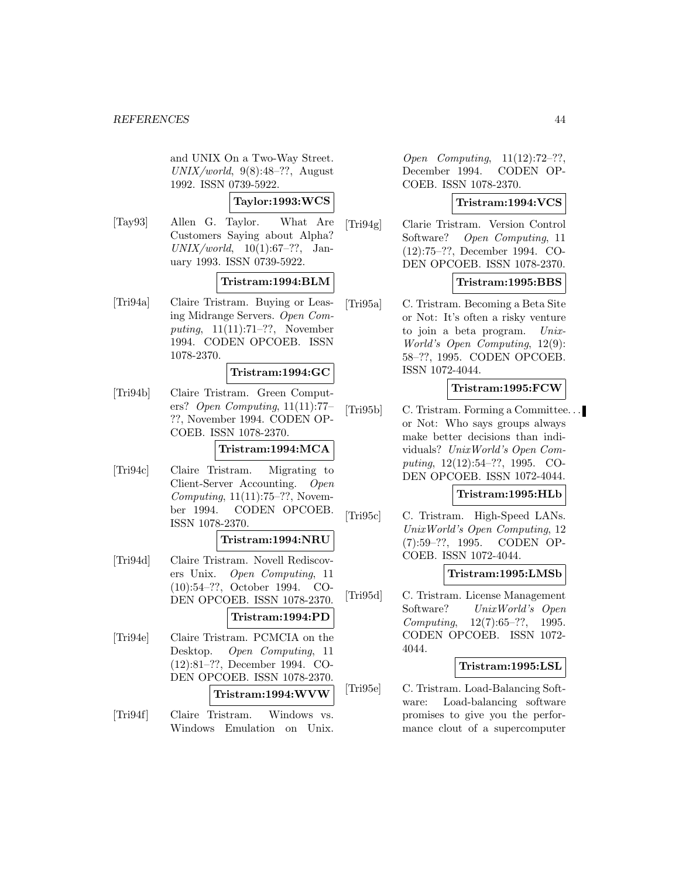and UNIX On a Two-Way Street.  $UNIX/world, 9(8):48-??$ , August 1992. ISSN 0739-5922.

**Taylor:1993:WCS**

[Tay93] Allen G. Taylor. What Are Customers Saying about Alpha?  $UNIX/world, 10(1):67-??.$  January 1993. ISSN 0739-5922.

### **Tristram:1994:BLM**

[Tri94a] Claire Tristram. Buying or Leasing Midrange Servers. Open Computing, 11(11):71–??, November 1994. CODEN OPCOEB. ISSN 1078-2370.

### **Tristram:1994:GC**

[Tri94b] Claire Tristram. Green Computers? Open Computing, 11(11):77– ??, November 1994. CODEN OP-COEB. ISSN 1078-2370.

### **Tristram:1994:MCA**

[Tri94c] Claire Tristram. Migrating to Client-Server Accounting. Open Computing,  $11(11):75-??$ , November 1994. CODEN OPCOEB. ISSN 1078-2370.

### **Tristram:1994:NRU**

[Tri94d] Claire Tristram. Novell Rediscovers Unix. Open Computing, 11 (10):54–??, October 1994. CO-DEN OPCOEB. ISSN 1078-2370.

### **Tristram:1994:PD**

- [Tri94e] Claire Tristram. PCMCIA on the Desktop. Open Computing, 11 (12):81–??, December 1994. CO-DEN OPCOEB. ISSN 1078-2370. **Tristram:1994:WVW**
- [Tri94f] Claire Tristram. Windows vs. Windows Emulation on Unix.

Open Computing, 11(12):72–??, December 1994. CODEN OP-COEB. ISSN 1078-2370.

### **Tristram:1994:VCS**

[Tri94g] Clarie Tristram. Version Control Software? Open Computing, 11 (12):75–??, December 1994. CO-DEN OPCOEB. ISSN 1078-2370.

### **Tristram:1995:BBS**

[Tri95a] C. Tristram. Becoming a Beta Site or Not: It's often a risky venture to join a beta program. Unix-World's Open Computing, 12(9): 58–??, 1995. CODEN OPCOEB. ISSN 1072-4044.

### **Tristram:1995:FCW**

[Tri95b] C. Tristram. Forming a Committee. . . or Not: Who says groups always make better decisions than individuals? UnixWorld's Open Computing, 12(12):54–??, 1995. CO-DEN OPCOEB. ISSN 1072-4044.

### **Tristram:1995:HLb**

[Tri95c] C. Tristram. High-Speed LANs. UnixWorld's Open Computing, 12 (7):59–??, 1995. CODEN OP-COEB. ISSN 1072-4044.

### **Tristram:1995:LMSb**

[Tri95d] C. Tristram. License Management Software? UnixWorld's Open Computing, 12(7):65–??, 1995. CODEN OPCOEB. ISSN 1072- 4044.

#### **Tristram:1995:LSL**

[Tri95e] C. Tristram. Load-Balancing Software: Load-balancing software promises to give you the performance clout of a supercomputer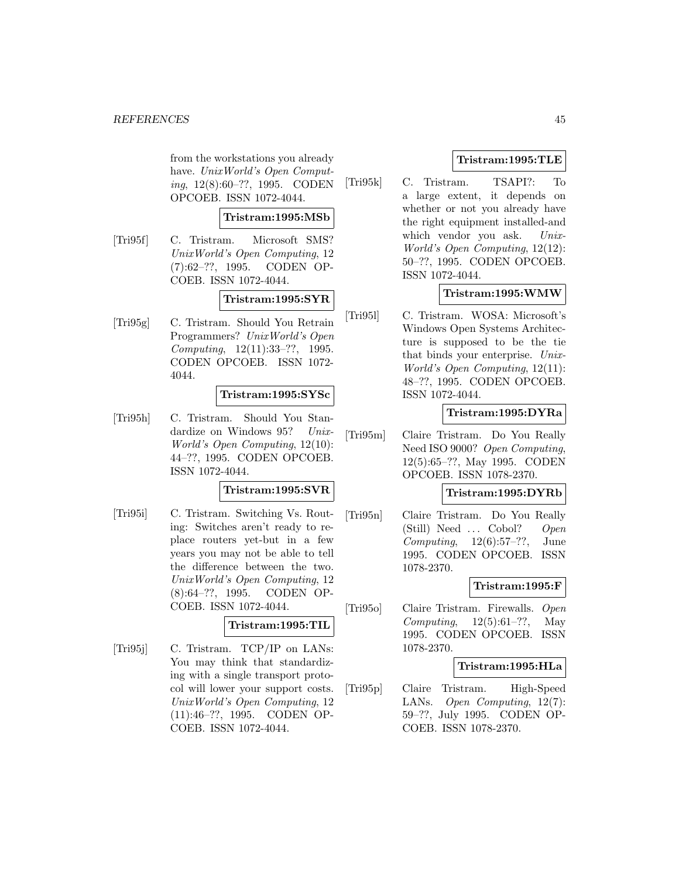from the workstations you already have. UnixWorld's Open Computing, 12(8):60–??, 1995. CODEN OPCOEB. ISSN 1072-4044.

#### **Tristram:1995:MSb**

[Tri95f] C. Tristram. Microsoft SMS? UnixWorld's Open Computing, 12 (7):62–??, 1995. CODEN OP-COEB. ISSN 1072-4044.

### **Tristram:1995:SYR**

[Tri95g] C. Tristram. Should You Retrain Programmers? UnixWorld's Open Computing, 12(11):33–??, 1995. CODEN OPCOEB. ISSN 1072- 4044.

### **Tristram:1995:SYSc**

[Tri95h] C. Tristram. Should You Standardize on Windows 95? Unix-World's Open Computing, 12(10): 44–??, 1995. CODEN OPCOEB. ISSN 1072-4044.

#### **Tristram:1995:SVR**

[Tri95i] C. Tristram. Switching Vs. Routing: Switches aren't ready to replace routers yet-but in a few years you may not be able to tell the difference between the two. UnixWorld's Open Computing, 12 (8):64–??, 1995. CODEN OP-COEB. ISSN 1072-4044.

#### **Tristram:1995:TIL**

[Tri95j] C. Tristram. TCP/IP on LANs: You may think that standardizing with a single transport protocol will lower your support costs. UnixWorld's Open Computing, 12 (11):46–??, 1995. CODEN OP-COEB. ISSN 1072-4044.

### **Tristram:1995:TLE**

[Tri95k] C. Tristram. TSAPI?: To a large extent, it depends on whether or not you already have the right equipment installed-and which vendor you ask. Unix-World's Open Computing, 12(12): 50–??, 1995. CODEN OPCOEB. ISSN 1072-4044.

## **Tristram:1995:WMW**

[Tri95l] C. Tristram. WOSA: Microsoft's Windows Open Systems Architecture is supposed to be the tie that binds your enterprise. Unix-World's Open Computing, 12(11): 48–??, 1995. CODEN OPCOEB. ISSN 1072-4044.

### **Tristram:1995:DYRa**

[Tri95m] Claire Tristram. Do You Really Need ISO 9000? Open Computing, 12(5):65–??, May 1995. CODEN OPCOEB. ISSN 1078-2370.

### **Tristram:1995:DYRb**

[Tri95n] Claire Tristram. Do You Really (Still) Need ... Cobol? Open Computing,  $12(6):57-??$ , June 1995. CODEN OPCOEB. ISSN 1078-2370.

### **Tristram:1995:F**

[Tri95o] Claire Tristram. Firewalls. Open Computing,  $12(5):61-??$ , May 1995. CODEN OPCOEB. ISSN 1078-2370.

#### **Tristram:1995:HLa**

[Tri95p] Claire Tristram. High-Speed LANs. Open Computing, 12(7): 59–??, July 1995. CODEN OP-COEB. ISSN 1078-2370.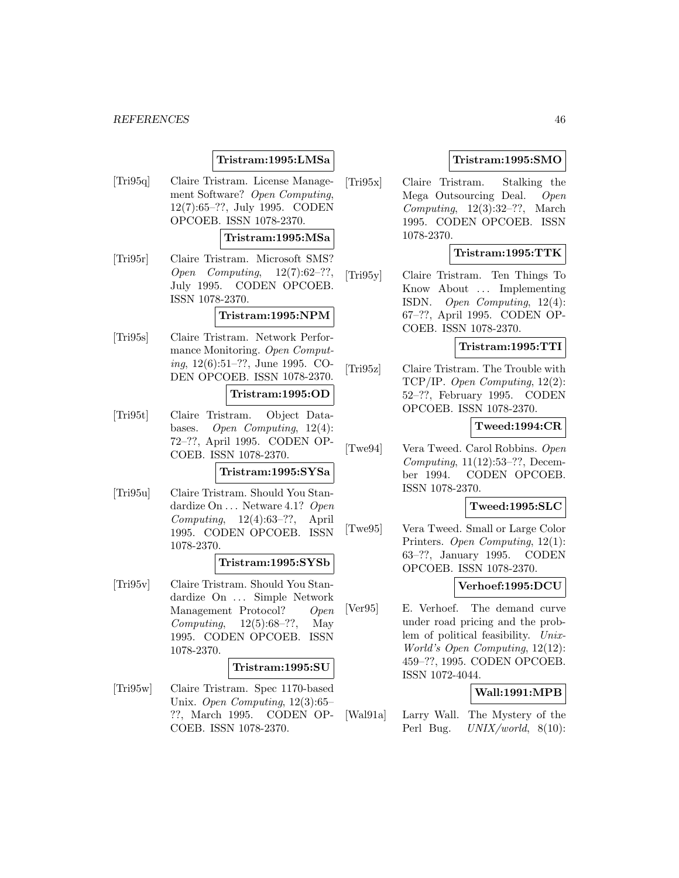### **Tristram:1995:LMSa**

[Tri95q] Claire Tristram. License Management Software? Open Computing, 12(7):65–??, July 1995. CODEN OPCOEB. ISSN 1078-2370.

### **Tristram:1995:MSa**

[Tri95r] Claire Tristram. Microsoft SMS? Open Computing, 12(7):62–??, July 1995. CODEN OPCOEB. ISSN 1078-2370.

### **Tristram:1995:NPM**

[Tri95s] Claire Tristram. Network Performance Monitoring. Open Computing, 12(6):51–??, June 1995. CO-DEN OPCOEB. ISSN 1078-2370.

#### **Tristram:1995:OD**

[Tri95t] Claire Tristram. Object Databases. Open Computing, 12(4): 72–??, April 1995. CODEN OP-COEB. ISSN 1078-2370.

### **Tristram:1995:SYSa**

[Tri95u] Claire Tristram. Should You Standardize On ... Netware 4.1? Open Computing,  $12(4):63-??$ , April 1995. CODEN OPCOEB. ISSN 1078-2370.

#### **Tristram:1995:SYSb**

[Tri95v] Claire Tristram. Should You Standardize On ... Simple Network Management Protocol? Open Computing,  $12(5):68-??$ , May 1995. CODEN OPCOEB. ISSN 1078-2370.

#### **Tristram:1995:SU**

[Tri95w] Claire Tristram. Spec 1170-based Unix. Open Computing, 12(3):65– ??, March 1995. CODEN OP-COEB. ISSN 1078-2370.

### **Tristram:1995:SMO**

[Tri95x] Claire Tristram. Stalking the Mega Outsourcing Deal. Open Computing,  $12(3):32-??$ , March 1995. CODEN OPCOEB. ISSN 1078-2370.

### **Tristram:1995:TTK**

[Tri95y] Claire Tristram. Ten Things To Know About ... Implementing ISDN. Open Computing, 12(4): 67–??, April 1995. CODEN OP-COEB. ISSN 1078-2370.

### **Tristram:1995:TTI**

[Tri95z] Claire Tristram. The Trouble with TCP/IP. Open Computing, 12(2): 52–??, February 1995. CODEN OPCOEB. ISSN 1078-2370.

### **Tweed:1994:CR**

[Twe94] Vera Tweed. Carol Robbins. Open Computing, 11(12):53–??, December 1994. CODEN OPCOEB. ISSN 1078-2370.

### **Tweed:1995:SLC**

[Twe95] Vera Tweed. Small or Large Color Printers. Open Computing, 12(1): 63–??, January 1995. CODEN OPCOEB. ISSN 1078-2370.

### **Verhoef:1995:DCU**

[Ver95] E. Verhoef. The demand curve under road pricing and the problem of political feasibility. Unix-World's Open Computing, 12(12): 459–??, 1995. CODEN OPCOEB. ISSN 1072-4044.

### **Wall:1991:MPB**

[Wal91a] Larry Wall. The Mystery of the Perl Bug. UNIX/world, 8(10):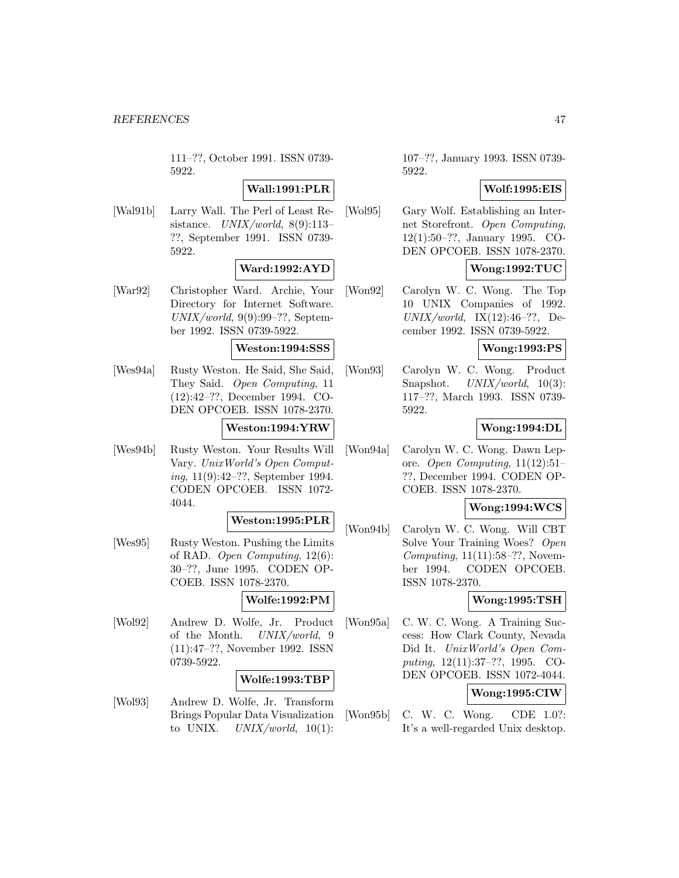111–??, October 1991. ISSN 0739- 5922.

## **Wall:1991:PLR**

[Wal91b] Larry Wall. The Perl of Least Resistance.  $UNIX/world$ , 8(9):113-??, September 1991. ISSN 0739- 5922.

## **Ward:1992:AYD**

[War92] Christopher Ward. Archie, Your Directory for Internet Software.  $UNIX/world, 9(9):99-??$ , September 1992. ISSN 0739-5922.

## **Weston:1994:SSS**

[Wes94a] Rusty Weston. He Said, She Said, They Said. Open Computing, 11 (12):42–??, December 1994. CO-DEN OPCOEB. ISSN 1078-2370.

### **Weston:1994:YRW**

[Wes94b] Rusty Weston. Your Results Will Vary. UnixWorld's Open Computing, 11(9):42–??, September 1994. CODEN OPCOEB. ISSN 1072- 4044.

#### **Weston:1995:PLR**

[Wes95] Rusty Weston. Pushing the Limits of RAD. Open Computing, 12(6): 30–??, June 1995. CODEN OP-COEB. ISSN 1078-2370.

### **Wolfe:1992:PM**

[Wol92] Andrew D. Wolfe, Jr. Product of the Month. UNIX/world, 9 (11):47–??, November 1992. ISSN 0739-5922.

### **Wolfe:1993:TBP**

[Wol93] Andrew D. Wolfe, Jr. Transform Brings Popular Data Visualization to UNIX.  $UNIX/world$ ,  $10(1)$ :

107–??, January 1993. ISSN 0739- 5922.

### **Wolf:1995:EIS**

[Wol95] Gary Wolf. Establishing an Internet Storefront. Open Computing, 12(1):50–??, January 1995. CO-DEN OPCOEB. ISSN 1078-2370.

### **Wong:1992:TUC**

[Won92] Carolyn W. C. Wong. The Top 10 UNIX Companies of 1992.  $UNIX/world, IX(12):46-??, De$ cember 1992. ISSN 0739-5922.

### **Wong:1993:PS**

[Won93] Carolyn W. C. Wong. Product Snapshot. UNIX/world, 10(3): 117–??, March 1993. ISSN 0739- 5922.

### **Wong:1994:DL**

[Won94a] Carolyn W. C. Wong. Dawn Lepore. Open Computing, 11(12):51– ??, December 1994. CODEN OP-COEB. ISSN 1078-2370.

### **Wong:1994:WCS**

[Won94b] Carolyn W. C. Wong. Will CBT Solve Your Training Woes? Open Computing,  $11(11):58-??$ , November 1994. CODEN OPCOEB. ISSN 1078-2370.

### **Wong:1995:TSH**

[Won95a] C. W. C. Wong. A Training Success: How Clark County, Nevada Did It. UnixWorld's Open Computing, 12(11):37–??, 1995. CO-DEN OPCOEB. ISSN 1072-4044.

## **Wong:1995:CIW**

[Won95b] C. W. C. Wong. CDE 1.0?: It's a well-regarded Unix desktop.